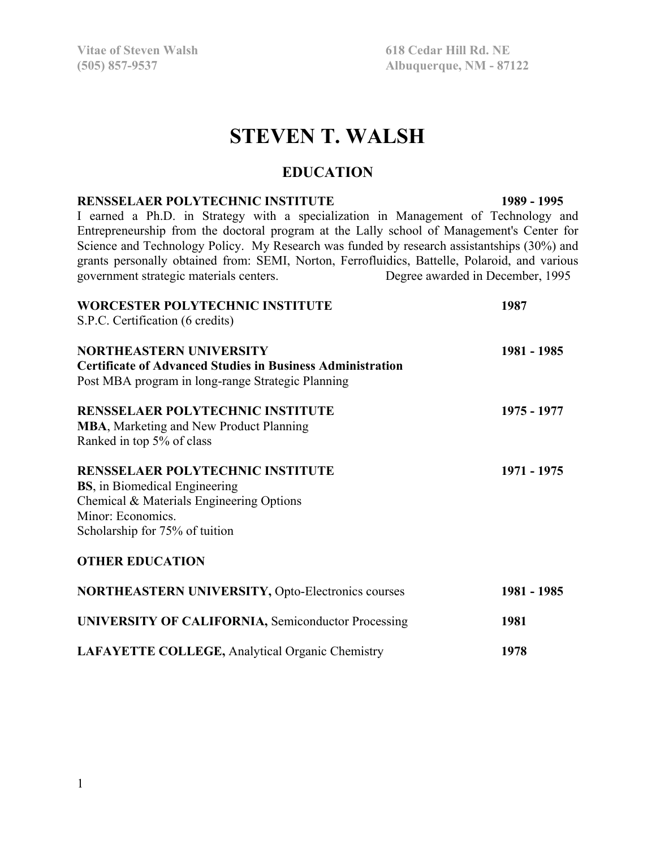**Vitae of Steven Walsh 618 Cedar Hill Rd. NE** 

**(505) 857-9537 Albuquerque, NM - 87122** 

# **STEVEN T. WALSH**

### **EDUCATION**

#### **RENSSELAER POLYTECHNIC INSTITUTE 1989 - 1995**

I earned a Ph.D. in Strategy with a specialization in Management of Technology and Entrepreneurship from the doctoral program at the Lally school of Management's Center for Science and Technology Policy. My Research was funded by research assistantships (30%) and grants personally obtained from: SEMI, Norton, Ferrofluidics, Battelle, Polaroid, and various government strategic materials centers. Degree awarded in December, 1995

| <b>WORCESTER POLYTECHNIC INSTITUTE</b><br>S.P.C. Certification (6 credits)                                                                                                          | 1987        |
|-------------------------------------------------------------------------------------------------------------------------------------------------------------------------------------|-------------|
| <b>NORTHEASTERN UNIVERSITY</b><br><b>Certificate of Advanced Studies in Business Administration</b><br>Post MBA program in long-range Strategic Planning                            | 1981 - 1985 |
| <b>RENSSELAER POLYTECHNIC INSTITUTE</b><br><b>MBA, Marketing and New Product Planning</b><br>Ranked in top 5% of class                                                              | 1975 - 1977 |
| <b>RENSSELAER POLYTECHNIC INSTITUTE</b><br><b>BS</b> , in Biomedical Engineering<br>Chemical & Materials Engineering Options<br>Minor: Economics.<br>Scholarship for 75% of tuition | 1971 - 1975 |
| <b>OTHER EDUCATION</b>                                                                                                                                                              |             |
| <b>NORTHEASTERN UNIVERSITY, Opto-Electronics courses</b>                                                                                                                            | 1981 - 1985 |
| <b>UNIVERSITY OF CALIFORNIA, Semiconductor Processing</b>                                                                                                                           | 1981        |
| <b>LAFAYETTE COLLEGE, Analytical Organic Chemistry</b>                                                                                                                              | 1978        |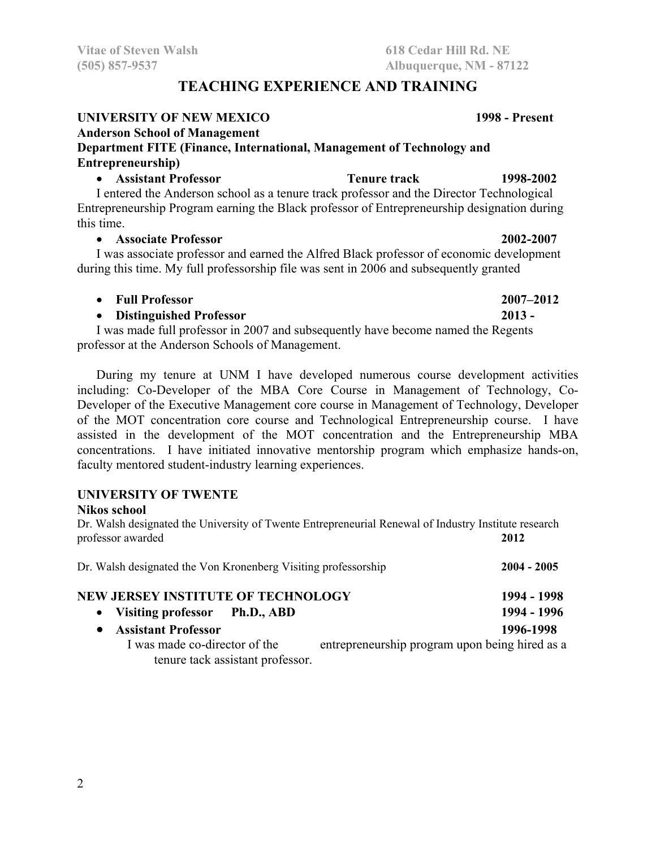# **TEACHING EXPERIENCE AND TRAINING**

### **UNIVERSITY OF NEW MEXICO 1998 - Present**

# **Anderson School of Management**

# **Department FITE (Finance, International, Management of Technology and Entrepreneurship)**

#### **Assistant Professor Tenure track 1998-2002**

I entered the Anderson school as a tenure track professor and the Director Technological Entrepreneurship Program earning the Black professor of Entrepreneurship designation during this time.

#### **Associate Professor 2002-2007**

I was associate professor and earned the Alfred Black professor of economic development during this time. My full professorship file was sent in 2006 and subsequently granted

**Full Professor 2007–2012** 

# **Distinguished Professor 2013 -**

I was made full professor in 2007 and subsequently have become named the Regents professor at the Anderson Schools of Management.

During my tenure at UNM I have developed numerous course development activities including: Co-Developer of the MBA Core Course in Management of Technology, Co-Developer of the Executive Management core course in Management of Technology, Developer of the MOT concentration core course and Technological Entrepreneurship course. I have assisted in the development of the MOT concentration and the Entrepreneurship MBA concentrations. I have initiated innovative mentorship program which emphasize hands-on, faculty mentored student-industry learning experiences.

# **UNIVERSITY OF TWENTE**

#### **Nikos school**

Dr. Walsh designated the University of Twente Entrepreneurial Renewal of Industry Institute research professor awarded **2012** 

| Dr. Walsh designated the Von Kronenberg Visiting professorship | $2004 - 2005$                                  |
|----------------------------------------------------------------|------------------------------------------------|
| <b>NEW JERSEY INSTITUTE OF TECHNOLOGY</b>                      | 1994 - 1998                                    |
| • Visiting professor Ph.D., ABD                                | 1994 - 1996                                    |
| • Assistant Professor                                          | 1996-1998                                      |
| I was made co-director of the                                  | entrepreneurship program upon being hired as a |
| tenure tack assistant professor.                               |                                                |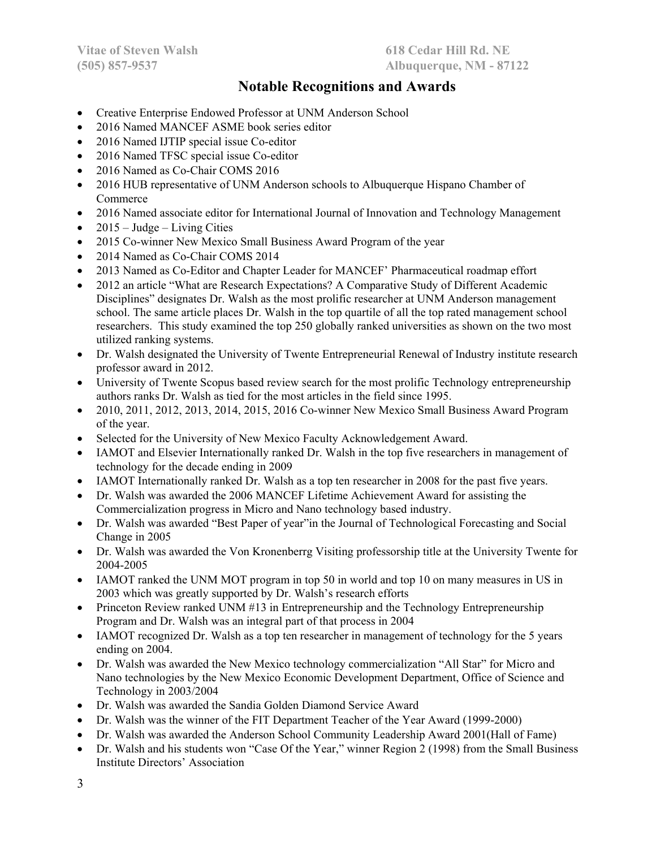# **Notable Recognitions and Awards**

- Creative Enterprise Endowed Professor at UNM Anderson School
- 2016 Named MANCEF ASME book series editor
- 2016 Named IJTIP special issue Co-editor
- 2016 Named TFSC special issue Co-editor
- 2016 Named as Co-Chair COMS 2016
- 2016 HUB representative of UNM Anderson schools to Albuquerque Hispano Chamber of Commerce
- 2016 Named associate editor for International Journal of Innovation and Technology Management
- $\bullet$  2015 Judge Living Cities
- 2015 Co-winner New Mexico Small Business Award Program of the year
- 2014 Named as Co-Chair COMS 2014
- 2013 Named as Co-Editor and Chapter Leader for MANCEF' Pharmaceutical roadmap effort
- 2012 an article "What are Research Expectations? A Comparative Study of Different Academic Disciplines" designates Dr. Walsh as the most prolific researcher at UNM Anderson management school. The same article places Dr. Walsh in the top quartile of all the top rated management school researchers. This study examined the top 250 globally ranked universities as shown on the two most utilized ranking systems.
- Dr. Walsh designated the University of Twente Entrepreneurial Renewal of Industry institute research professor award in 2012.
- University of Twente Scopus based review search for the most prolific Technology entrepreneurship authors ranks Dr. Walsh as tied for the most articles in the field since 1995.
- 2010, 2011, 2012, 2013, 2014, 2015, 2016 Co-winner New Mexico Small Business Award Program of the year.
- Selected for the University of New Mexico Faculty Acknowledgement Award.
- IAMOT and Elsevier Internationally ranked Dr. Walsh in the top five researchers in management of technology for the decade ending in 2009
- IAMOT Internationally ranked Dr. Walsh as a top ten researcher in 2008 for the past five years.
- Dr. Walsh was awarded the 2006 MANCEF Lifetime Achievement Award for assisting the Commercialization progress in Micro and Nano technology based industry.
- Dr. Walsh was awarded "Best Paper of year"in the Journal of Technological Forecasting and Social Change in 2005
- Dr. Walsh was awarded the Von Kronenberrg Visiting professorship title at the University Twente for 2004-2005
- IAMOT ranked the UNM MOT program in top 50 in world and top 10 on many measures in US in 2003 which was greatly supported by Dr. Walsh's research efforts
- Princeton Review ranked UNM #13 in Entrepreneurship and the Technology Entrepreneurship Program and Dr. Walsh was an integral part of that process in 2004
- IAMOT recognized Dr. Walsh as a top ten researcher in management of technology for the 5 years ending on 2004.
- Dr. Walsh was awarded the New Mexico technology commercialization "All Star" for Micro and Nano technologies by the New Mexico Economic Development Department, Office of Science and Technology in 2003/2004
- Dr. Walsh was awarded the Sandia Golden Diamond Service Award
- Dr. Walsh was the winner of the FIT Department Teacher of the Year Award (1999-2000)
- Dr. Walsh was awarded the Anderson School Community Leadership Award 2001(Hall of Fame)
- Dr. Walsh and his students won "Case Of the Year," winner Region 2 (1998) from the Small Business Institute Directors' Association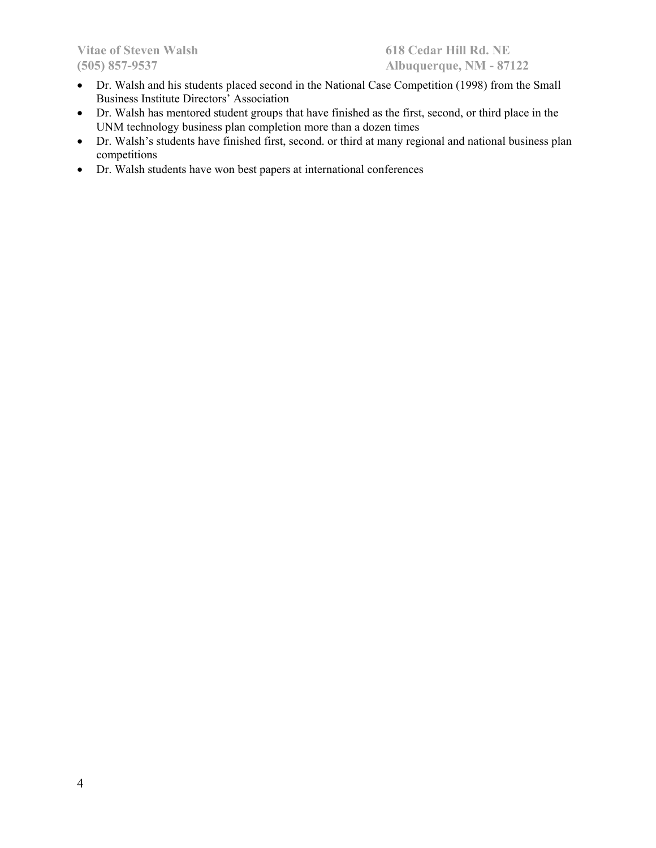- Dr. Walsh and his students placed second in the National Case Competition (1998) from the Small Business Institute Directors' Association
- Dr. Walsh has mentored student groups that have finished as the first, second, or third place in the UNM technology business plan completion more than a dozen times
- Dr. Walsh's students have finished first, second. or third at many regional and national business plan competitions
- Dr. Walsh students have won best papers at international conferences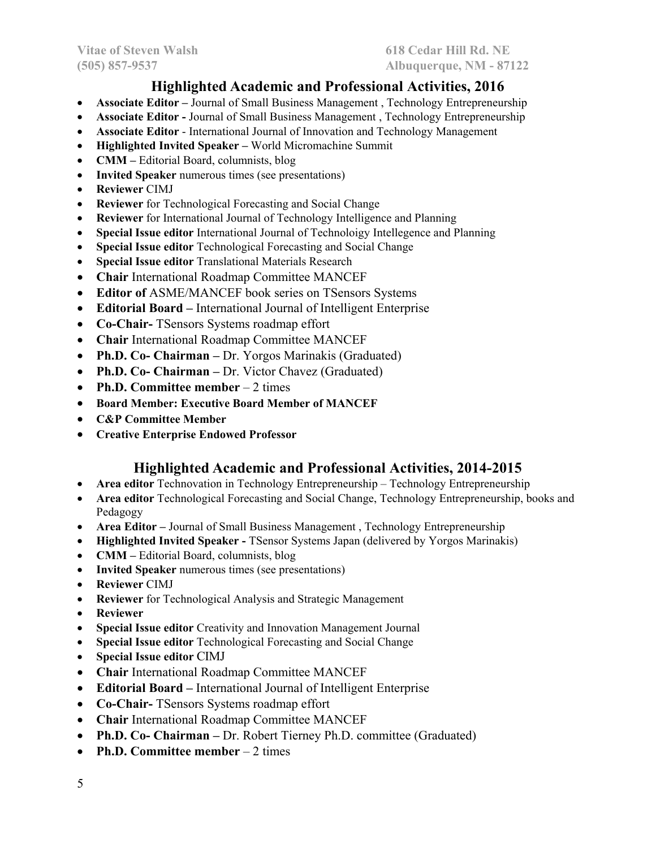# **Highlighted Academic and Professional Activities, 2016**

- **Associate Editor** Journal of Small Business Management , Technology Entrepreneurship
- **Associate Editor Journal of Small Business Management, Technology Entrepreneurship**
- **Associate Editor** International Journal of Innovation and Technology Management
- **Highlighted Invited Speaker** World Micromachine Summit
- **CMM** Editorial Board, columnists, blog
- **Invited Speaker** numerous times (see presentations)
- **Reviewer** CIMJ
- **Reviewer** for Technological Forecasting and Social Change
- **Reviewer** for International Journal of Technology Intelligence and Planning
- **Special Issue editor** International Journal of Technoloigy Intellegence and Planning
- **Special Issue editor** Technological Forecasting and Social Change
- **Special Issue editor** Translational Materials Research
- **Chair** International Roadmap Committee MANCEF
- **Editor of** ASME/MANCEF book series on TSensors Systems
- **Editorial Board –** International Journal of Intelligent Enterprise
- **Co-Chair-** TSensors Systems roadmap effort
- **Chair** International Roadmap Committee MANCEF
- **Ph.D. Co- Chairman –** Dr. Yorgos Marinakis (Graduated)
- **Ph.D. Co- Chairman** Dr. Victor Chavez (Graduated)
- Ph.D. Committee member 2 times
- **Board Member: Executive Board Member of MANCEF**
- **C&P Committee Member**
- **Creative Enterprise Endowed Professor**

# **Highlighted Academic and Professional Activities, 2014-2015**

- **Area editor** Technovation in Technology Entrepreneurship Technology Entrepreneurship
- **Area editor** Technological Forecasting and Social Change, Technology Entrepreneurship, books and Pedagogy
- **Area Editor** Journal of Small Business Management , Technology Entrepreneurship
- **Highlighted Invited Speaker** TSensor Systems Japan (delivered by Yorgos Marinakis)
- **CMM** Editorial Board, columnists, blog
- **Invited Speaker** numerous times (see presentations)
- **Reviewer** CIMJ
- **Reviewer** for Technological Analysis and Strategic Management
- **Reviewer**
- **Special Issue editor** Creativity and Innovation Management Journal
- **Special Issue editor** Technological Forecasting and Social Change
- **Special Issue editor** CIMJ
- **Chair** International Roadmap Committee MANCEF
- **Editorial Board –** International Journal of Intelligent Enterprise
- **Co-Chair-** TSensors Systems roadmap effort
- **Chair** International Roadmap Committee MANCEF
- **Ph.D. Co- Chairman –** Dr. Robert Tierney Ph.D. committee (Graduated)
- **Ph.D. Committee member** 2 times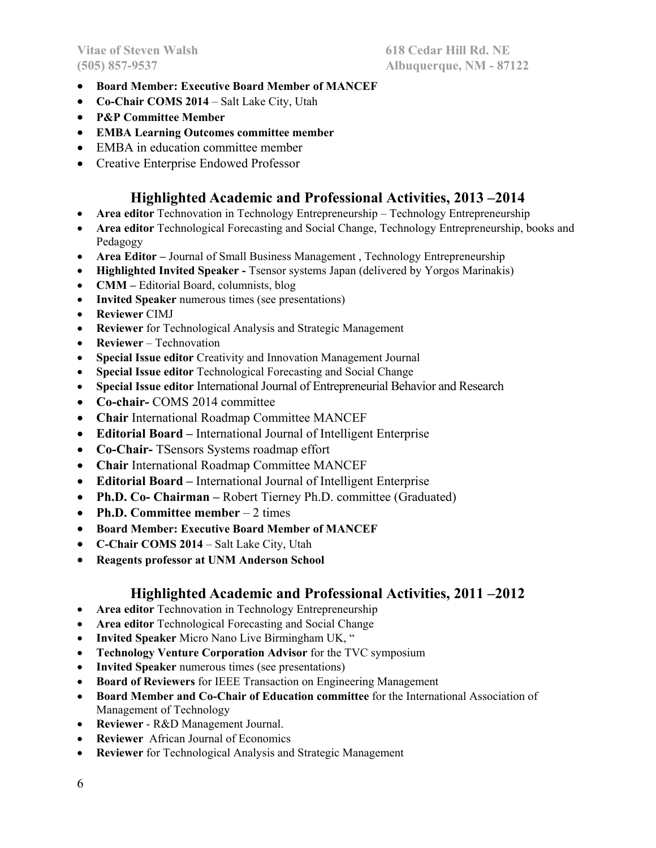- **Board Member: Executive Board Member of MANCEF**
- **Co-Chair COMS 2014**  Salt Lake City, Utah
- **P&P Committee Member**
- **EMBA Learning Outcomes committee member**
- EMBA in education committee member
- Creative Enterprise Endowed Professor

# **Highlighted Academic and Professional Activities, 2013 –2014**

- **Area editor** Technovation in Technology Entrepreneurship Technology Entrepreneurship
- **Area editor** Technological Forecasting and Social Change, Technology Entrepreneurship, books and Pedagogy
- **Area Editor** Journal of Small Business Management , Technology Entrepreneurship
- **Highlighted Invited Speaker** Tsensor systems Japan (delivered by Yorgos Marinakis)
- **CMM** Editorial Board, columnists, blog
- **Invited Speaker** numerous times (see presentations)
- **Reviewer** CIMJ
- **Reviewer** for Technological Analysis and Strategic Management
- **Reviewer** Technovation
- **Special Issue editor** Creativity and Innovation Management Journal
- **Special Issue editor** Technological Forecasting and Social Change
- **Special Issue editor** International Journal of Entrepreneurial Behavior and Research
- **Co-chair-** COMS 2014 committee
- **Chair** International Roadmap Committee MANCEF
- **Editorial Board –** International Journal of Intelligent Enterprise
- **Co-Chair-** TSensors Systems roadmap effort
- **Chair** International Roadmap Committee MANCEF
- **Editorial Board –** International Journal of Intelligent Enterprise
- **Ph.D. Co- Chairman –** Robert Tierney Ph.D. committee (Graduated)
- Ph.D. Committee member 2 times
- **Board Member: Executive Board Member of MANCEF**
- **C-Chair COMS 2014**  Salt Lake City, Utah
- **Reagents professor at UNM Anderson School**

# **Highlighted Academic and Professional Activities, 2011 –2012**

- **Area editor** Technovation in Technology Entrepreneurship
- **Area editor** Technological Forecasting and Social Change
- **Invited Speaker** Micro Nano Live Birmingham UK, "
- **Technology Venture Corporation Advisor** for the TVC symposium
- **Invited Speaker** numerous times (see presentations)
- **Board of Reviewers** for IEEE Transaction on Engineering Management
- **Board Member and Co-Chair of Education committee** for the International Association of Management of Technology
- **Reviewer**  R&D Management Journal.
- **Reviewer** African Journal of Economics
- **Reviewer** for Technological Analysis and Strategic Management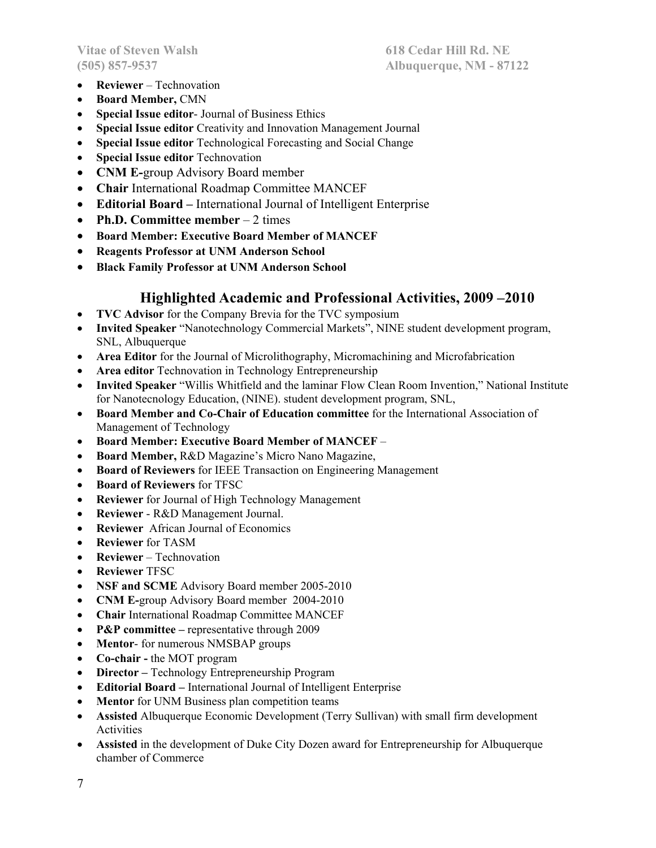- **Reviewer** Technovation
- **Board Member,** CMN
- **Special Issue editor** Journal of Business Ethics
- **Special Issue editor** Creativity and Innovation Management Journal
- **Special Issue editor** Technological Forecasting and Social Change
- **Special Issue editor** Technovation
- **CNM E-**group Advisory Board member
- **Chair** International Roadmap Committee MANCEF
- **Editorial Board –** International Journal of Intelligent Enterprise
- **Ph.D. Committee member** 2 times
- **Board Member: Executive Board Member of MANCEF**
- **Reagents Professor at UNM Anderson School**
- **Black Family Professor at UNM Anderson School**

### **Highlighted Academic and Professional Activities, 2009 –2010**

- **TVC Advisor** for the Company Brevia for the TVC symposium
- **Invited Speaker** "Nanotechnology Commercial Markets", NINE student development program, SNL, Albuquerque
- **Area Editor** for the Journal of Microlithography, Micromachining and Microfabrication
- **Area editor** Technovation in Technology Entrepreneurship
- **Invited Speaker** "Willis Whitfield and the laminar Flow Clean Room Invention," National Institute for Nanotecnology Education, (NINE). student development program, SNL,
- **Board Member and Co-Chair of Education committee** for the International Association of Management of Technology
- **Board Member: Executive Board Member of MANCEF** –
- **Board Member,** R&D Magazine's Micro Nano Magazine,
- **Board of Reviewers** for IEEE Transaction on Engineering Management
- **Board of Reviewers** for TFSC
- **Reviewer** for Journal of High Technology Management
- **Reviewer**  R&D Management Journal.
- **Reviewer** African Journal of Economics
- **Reviewer** for TASM
- **Reviewer** Technovation
- **Reviewer** TFSC
- **NSF and SCME** Advisory Board member 2005-2010
- **CNM E-**group Advisory Board member 2004-2010
- **Chair** International Roadmap Committee MANCEF
- **P&P committee** representative through 2009
- **Mentor** for numerous NMSBAP groups
- **Co-chair** the MOT program
- **Director** Technology Entrepreneurship Program
- **Editorial Board –** International Journal of Intelligent Enterprise
- **Mentor** for UNM Business plan competition teams
- **Assisted** Albuquerque Economic Development (Terry Sullivan) with small firm development Activities
- **Assisted** in the development of Duke City Dozen award for Entrepreneurship for Albuquerque chamber of Commerce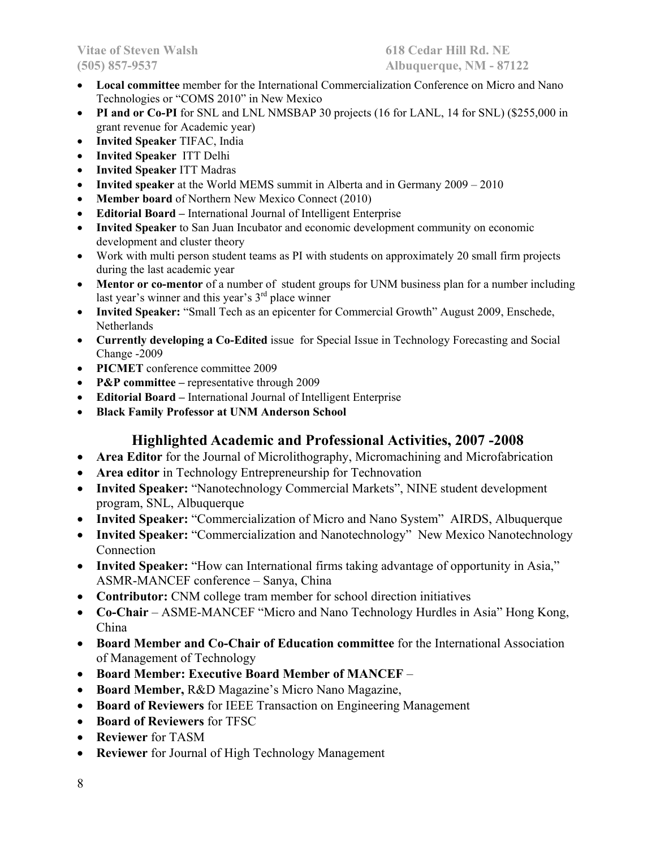- **Local committee** member for the International Commercialization Conference on Micro and Nano Technologies or "COMS 2010" in New Mexico
- **PI and or Co-PI** for SNL and LNL NMSBAP 30 projects (16 for LANL, 14 for SNL) (\$255,000 in grant revenue for Academic year)
- **Invited Speaker** TIFAC, India
- **Invited Speaker** ITT Delhi
- **Invited Speaker** ITT Madras
- **Invited speaker** at the World MEMS summit in Alberta and in Germany 2009 2010
- **Member board** of Northern New Mexico Connect (2010)
- **Editorial Board –** International Journal of Intelligent Enterprise
- **Invited Speaker** to San Juan Incubator and economic development community on economic development and cluster theory
- Work with multi person student teams as PI with students on approximately 20 small firm projects during the last academic year
- **Mentor or co-mentor** of a number of student groups for UNM business plan for a number including last year's winner and this year's 3<sup>rd</sup> place winner
- **Invited Speaker:** "Small Tech as an epicenter for Commercial Growth" August 2009, Enschede, **Netherlands**
- **Currently developing a Co-Edited** issue for Special Issue in Technology Forecasting and Social Change -2009
- **PICMET** conference committee 2009
- **P&P committee** representative through 2009
- **Editorial Board –** International Journal of Intelligent Enterprise
- **Black Family Professor at UNM Anderson School**

# **Highlighted Academic and Professional Activities, 2007 -2008**

- **Area Editor** for the Journal of Microlithography, Micromachining and Microfabrication
- **Area editor** in Technology Entrepreneurship for Technovation
- **Invited Speaker:** "Nanotechnology Commercial Markets", NINE student development program, SNL, Albuquerque
- **Invited Speaker:** "Commercialization of Micro and Nano System" AIRDS, Albuquerque
- **Invited Speaker:** "Commercialization and Nanotechnology" New Mexico Nanotechnology Connection
- **Invited Speaker:** "How can International firms taking advantage of opportunity in Asia," ASMR-MANCEF conference – Sanya, China
- **Contributor:** CNM college tram member for school direction initiatives
- **Co-Chair** ASME-MANCEF "Micro and Nano Technology Hurdles in Asia" Hong Kong, China
- **Board Member and Co-Chair of Education committee** for the International Association of Management of Technology
- **Board Member: Executive Board Member of MANCEF** –
- **Board Member,** R&D Magazine's Micro Nano Magazine,
- **Board of Reviewers** for IEEE Transaction on Engineering Management
- **Board of Reviewers** for TFSC
- **Reviewer** for TASM
- **Reviewer** for Journal of High Technology Management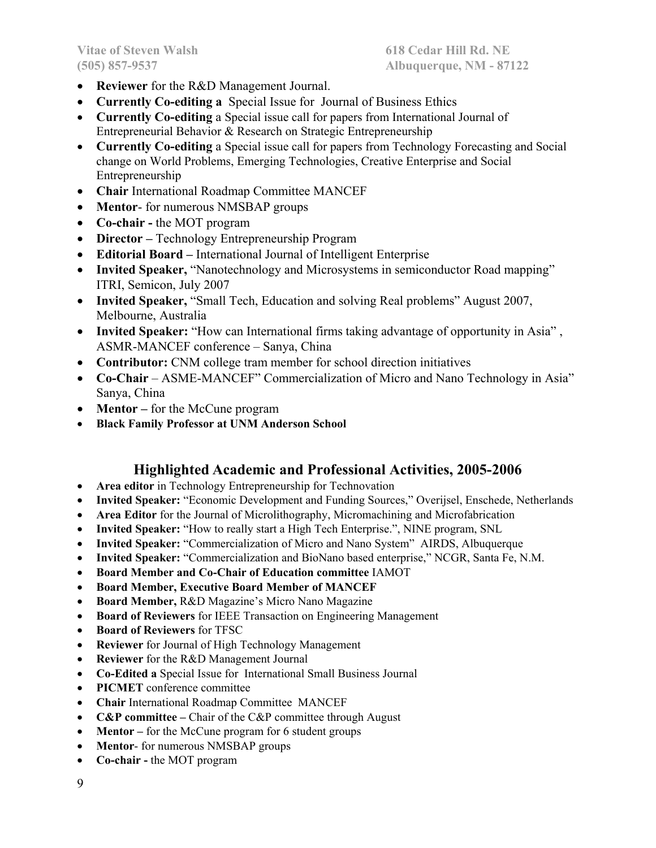- **Reviewer** for the R&D Management Journal.
- **Currently Co-editing a** Special Issue for Journal of Business Ethics
- **Currently Co-editing** a Special issue call for papers from International Journal of Entrepreneurial Behavior & Research on Strategic Entrepreneurship
- **Currently Co-editing** a Special issue call for papers from Technology Forecasting and Social change on World Problems, Emerging Technologies, Creative Enterprise and Social Entrepreneurship
- **Chair** International Roadmap Committee MANCEF
- **Mentor** for numerous NMSBAP groups
- **Co-chair** the MOT program
- **Director** Technology Entrepreneurship Program
- **Editorial Board –** International Journal of Intelligent Enterprise
- Invited Speaker, "Nanotechnology and Microsystems in semiconductor Road mapping" ITRI, Semicon, July 2007
- **Invited Speaker,** "Small Tech, Education and solving Real problems" August 2007, Melbourne, Australia
- **Invited Speaker:** "How can International firms taking advantage of opportunity in Asia" , ASMR-MANCEF conference – Sanya, China
- **Contributor:** CNM college tram member for school direction initiatives
- **Co-Chair** ASME-MANCEF" Commercialization of Micro and Nano Technology in Asia" Sanya, China
- **Mentor** for the McCune program
- **Black Family Professor at UNM Anderson School**

# **Highlighted Academic and Professional Activities, 2005-2006**

- **Area editor** in Technology Entrepreneurship for Technovation
- **Invited Speaker:** "Economic Development and Funding Sources," Overijsel, Enschede, Netherlands
- **Area Editor** for the Journal of Microlithography, Micromachining and Microfabrication
- **Invited Speaker:** "How to really start a High Tech Enterprise.", NINE program, SNL
- **Invited Speaker:** "Commercialization of Micro and Nano System" AIRDS, Albuquerque
- **Invited Speaker:** "Commercialization and BioNano based enterprise," NCGR, Santa Fe, N.M.
- **Board Member and Co-Chair of Education committee** IAMOT
- **Board Member, Executive Board Member of MANCEF**
- **Board Member,** R&D Magazine's Micro Nano Magazine
- **Board of Reviewers** for IEEE Transaction on Engineering Management
- **Board of Reviewers** for TFSC
- **Reviewer** for Journal of High Technology Management
- **Reviewer** for the R&D Management Journal
- **Co-Edited a** Special Issue for International Small Business Journal
- **PICMET** conference committee
- **Chair** International Roadmap Committee MANCEF
- **C&P committee** Chair of the C&P committee through August
- Mentor for the McCune program for 6 student groups
- **Mentor** for numerous NMSBAP groups
- **Co-chair** the MOT program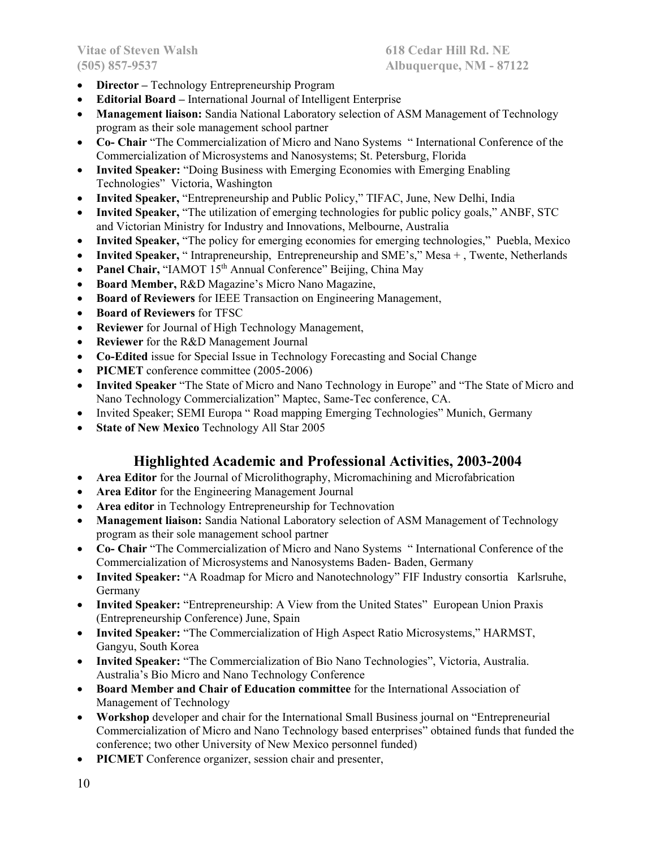- **Director** Technology Entrepreneurship Program
- **Editorial Board –** International Journal of Intelligent Enterprise
- **Management liaison:** Sandia National Laboratory selection of ASM Management of Technology program as their sole management school partner
- **Co- Chair** "The Commercialization of Micro and Nano Systems " International Conference of the Commercialization of Microsystems and Nanosystems; St. Petersburg, Florida
- **Invited Speaker:** "Doing Business with Emerging Economies with Emerging Enabling Technologies" Victoria, Washington
- **Invited Speaker,** "Entrepreneurship and Public Policy," TIFAC, June, New Delhi, India
- **Invited Speaker,** "The utilization of emerging technologies for public policy goals," ANBF, STC and Victorian Ministry for Industry and Innovations, Melbourne, Australia
- **Invited Speaker,** "The policy for emerging economies for emerging technologies," Puebla, Mexico
- **Invited Speaker,** " Intrapreneurship, Entrepreneurship and SME's," Mesa + , Twente, Netherlands
- Panel Chair, "IAMOT 15<sup>th</sup> Annual Conference" Beijing, China May
- **Board Member,** R&D Magazine's Micro Nano Magazine,
- **Board of Reviewers** for IEEE Transaction on Engineering Management,
- **Board of Reviewers** for TFSC
- **Reviewer** for Journal of High Technology Management,
- **Reviewer** for the R&D Management Journal
- **Co-Edited** issue for Special Issue in Technology Forecasting and Social Change
- **PICMET** conference committee (2005-2006)
- **Invited Speaker** "The State of Micro and Nano Technology in Europe" and "The State of Micro and Nano Technology Commercialization" Maptec, Same-Tec conference, CA.
- Invited Speaker; SEMI Europa " Road mapping Emerging Technologies" Munich, Germany
- **State of New Mexico** Technology All Star 2005

# **Highlighted Academic and Professional Activities, 2003-2004**

- **Area Editor** for the Journal of Microlithography, Micromachining and Microfabrication
- **Area Editor** for the Engineering Management Journal
- **Area editor** in Technology Entrepreneurship for Technovation
- **Management liaison:** Sandia National Laboratory selection of ASM Management of Technology program as their sole management school partner
- **Co- Chair** "The Commercialization of Micro and Nano Systems " International Conference of the Commercialization of Microsystems and Nanosystems Baden- Baden, Germany
- **Invited Speaker:** "A Roadmap for Micro and Nanotechnology" FIF Industry consortia Karlsruhe, Germany
- **Invited Speaker:** "Entrepreneurship: A View from the United States" European Union Praxis (Entrepreneurship Conference) June, Spain
- **Invited Speaker:** "The Commercialization of High Aspect Ratio Microsystems," HARMST, Gangyu, South Korea
- **Invited Speaker:** "The Commercialization of Bio Nano Technologies", Victoria, Australia. Australia's Bio Micro and Nano Technology Conference
- **Board Member and Chair of Education committee** for the International Association of Management of Technology
- **Workshop** developer and chair for the International Small Business journal on "Entrepreneurial Commercialization of Micro and Nano Technology based enterprises" obtained funds that funded the conference; two other University of New Mexico personnel funded)
- **PICMET** Conference organizer, session chair and presenter,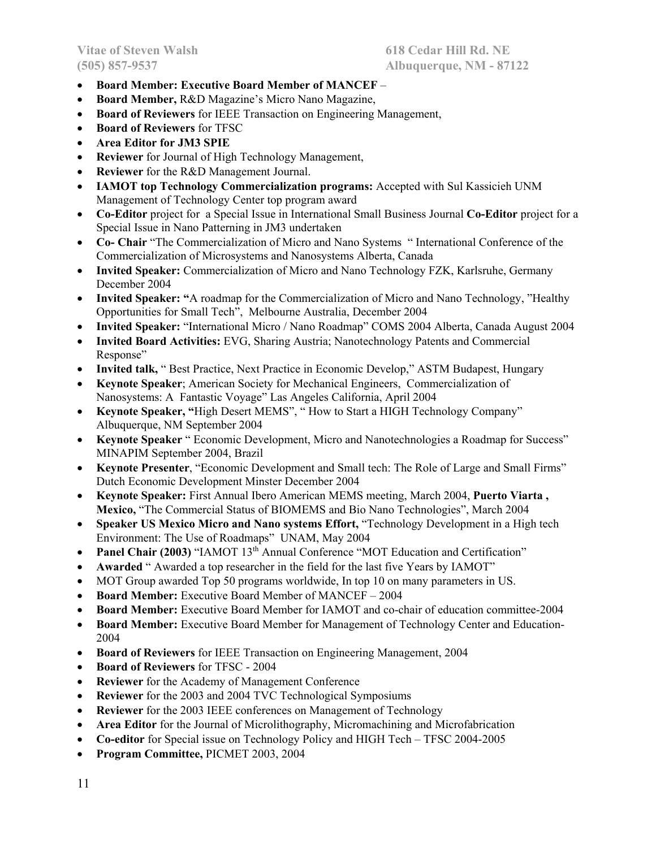- **Board Member: Executive Board Member of MANCEF** –
- **Board Member,** R&D Magazine's Micro Nano Magazine,
- **Board of Reviewers** for IEEE Transaction on Engineering Management,
- **Board of Reviewers** for TFSC
- **Area Editor for JM3 SPIE**
- **Reviewer** for Journal of High Technology Management,
- **Reviewer** for the R&D Management Journal.
- **IAMOT top Technology Commercialization programs:** Accepted with Sul Kassicieh UNM Management of Technology Center top program award
- **Co-Editor** project for a Special Issue in International Small Business Journal **Co-Editor** project for a Special Issue in Nano Patterning in JM3 undertaken
- **Co- Chair** "The Commercialization of Micro and Nano Systems " International Conference of the Commercialization of Microsystems and Nanosystems Alberta, Canada
- **Invited Speaker:** Commercialization of Micro and Nano Technology FZK, Karlsruhe, Germany December 2004
- **Invited Speaker: "**A roadmap for the Commercialization of Micro and Nano Technology, "Healthy Opportunities for Small Tech", Melbourne Australia, December 2004
- **Invited Speaker:** "International Micro / Nano Roadmap" COMS 2004 Alberta, Canada August 2004
- **Invited Board Activities:** EVG, Sharing Austria; Nanotechnology Patents and Commercial Response"
- **Invited talk,** " Best Practice, Next Practice in Economic Develop," ASTM Budapest, Hungary
- **Keynote Speaker**; American Society for Mechanical Engineers, Commercialization of Nanosystems: A Fantastic Voyage" Las Angeles California, April 2004
- **Keynote Speaker, "**High Desert MEMS", " How to Start a HIGH Technology Company" Albuquerque, NM September 2004
- **Keynote Speaker** " Economic Development, Micro and Nanotechnologies a Roadmap for Success" MINAPIM September 2004, Brazil
- **Keynote Presenter**, "Economic Development and Small tech: The Role of Large and Small Firms" Dutch Economic Development Minster December 2004
- **Keynote Speaker:** First Annual Ibero American MEMS meeting, March 2004, **Puerto Viarta , Mexico,** "The Commercial Status of BIOMEMS and Bio Nano Technologies", March 2004
- **Speaker US Mexico Micro and Nano systems Effort,** "Technology Development in a High tech Environment: The Use of Roadmaps" UNAM, May 2004
- Panel Chair (2003) "IAMOT 13<sup>th</sup> Annual Conference "MOT Education and Certification"
- **Awarded** " Awarded a top researcher in the field for the last five Years by IAMOT"
- MOT Group awarded Top 50 programs worldwide, In top 10 on many parameters in US.
- **Board Member:** Executive Board Member of MANCEF 2004
- **Board Member:** Executive Board Member for IAMOT and co-chair of education committee-2004
- **Board Member:** Executive Board Member for Management of Technology Center and Education-2004
- **Board of Reviewers** for IEEE Transaction on Engineering Management, 2004
- **Board of Reviewers** for TFSC 2004
- **Reviewer** for the Academy of Management Conference
- **Reviewer** for the 2003 and 2004 TVC Technological Symposiums
- **Reviewer** for the 2003 IEEE conferences on Management of Technology
- **Area Editor** for the Journal of Microlithography, Micromachining and Microfabrication
- **Co-editor** for Special issue on Technology Policy and HIGH Tech TFSC 2004-2005
- **Program Committee,** PICMET 2003, 2004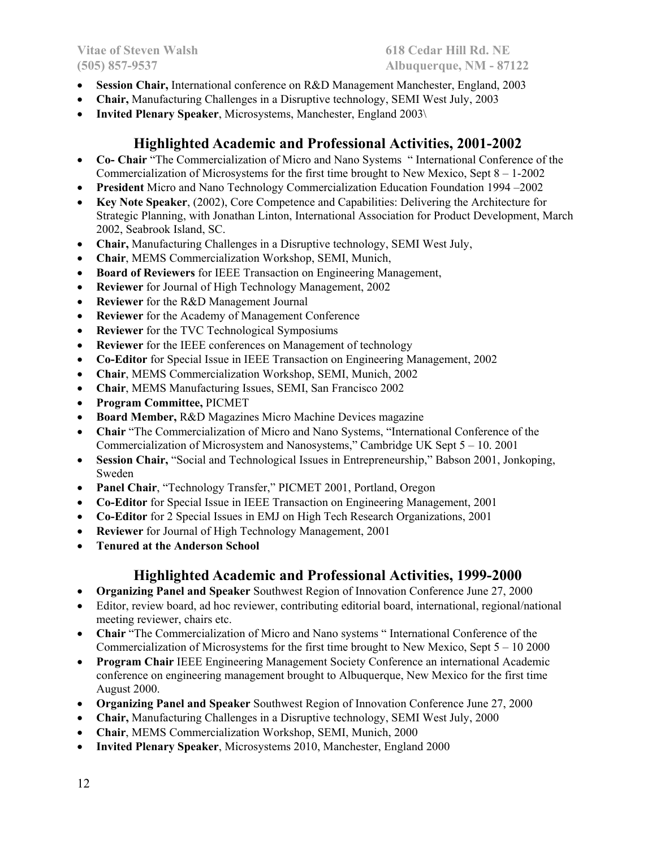- **Session Chair,** International conference on R&D Management Manchester, England, 2003
- **Chair,** Manufacturing Challenges in a Disruptive technology, SEMI West July, 2003
- **Invited Plenary Speaker**, Microsystems, Manchester, England 2003\

# **Highlighted Academic and Professional Activities, 2001-2002**

- **Co- Chair** "The Commercialization of Micro and Nano Systems " International Conference of the Commercialization of Microsystems for the first time brought to New Mexico, Sept  $8 - 1-2002$
- **President** Micro and Nano Technology Commercialization Education Foundation 1994 –2002
- **Key Note Speaker**, (2002), Core Competence and Capabilities: Delivering the Architecture for Strategic Planning, with Jonathan Linton, International Association for Product Development, March 2002, Seabrook Island, SC.
- **Chair,** Manufacturing Challenges in a Disruptive technology, SEMI West July,
- **Chair**, MEMS Commercialization Workshop, SEMI, Munich,
- **Board of Reviewers** for IEEE Transaction on Engineering Management,
- **Reviewer** for Journal of High Technology Management, 2002
- **Reviewer** for the R&D Management Journal
- **Reviewer** for the Academy of Management Conference
- **Reviewer** for the TVC Technological Symposiums
- **Reviewer** for the IEEE conferences on Management of technology
- **Co-Editor** for Special Issue in IEEE Transaction on Engineering Management, 2002
- **Chair**, MEMS Commercialization Workshop, SEMI, Munich, 2002
- **Chair**, MEMS Manufacturing Issues, SEMI, San Francisco 2002
- **Program Committee,** PICMET
- **Board Member,** R&D Magazines Micro Machine Devices magazine
- **Chair** "The Commercialization of Micro and Nano Systems, "International Conference of the Commercialization of Microsystem and Nanosystems," Cambridge UK Sept 5 – 10. 2001
- **Session Chair,** "Social and Technological Issues in Entrepreneurship," Babson 2001, Jonkoping, Sweden
- **Panel Chair**, "Technology Transfer," PICMET 2001, Portland, Oregon
- **Co-Editor** for Special Issue in IEEE Transaction on Engineering Management, 2001
- **Co-Editor** for 2 Special Issues in EMJ on High Tech Research Organizations, 2001
- **Reviewer** for Journal of High Technology Management, 2001
- **Tenured at the Anderson School**

# **Highlighted Academic and Professional Activities, 1999-2000**

- **Organizing Panel and Speaker** Southwest Region of Innovation Conference June 27, 2000
- Editor, review board, ad hoc reviewer, contributing editorial board, international, regional/national meeting reviewer, chairs etc.
- **Chair** "The Commercialization of Micro and Nano systems " International Conference of the Commercialization of Microsystems for the first time brought to New Mexico, Sept 5 – 10 2000
- **Program Chair** IEEE Engineering Management Society Conference an international Academic conference on engineering management brought to Albuquerque, New Mexico for the first time August 2000.
- **Organizing Panel and Speaker** Southwest Region of Innovation Conference June 27, 2000
- **Chair,** Manufacturing Challenges in a Disruptive technology, SEMI West July, 2000
- **Chair**, MEMS Commercialization Workshop, SEMI, Munich, 2000
- **Invited Plenary Speaker**, Microsystems 2010, Manchester, England 2000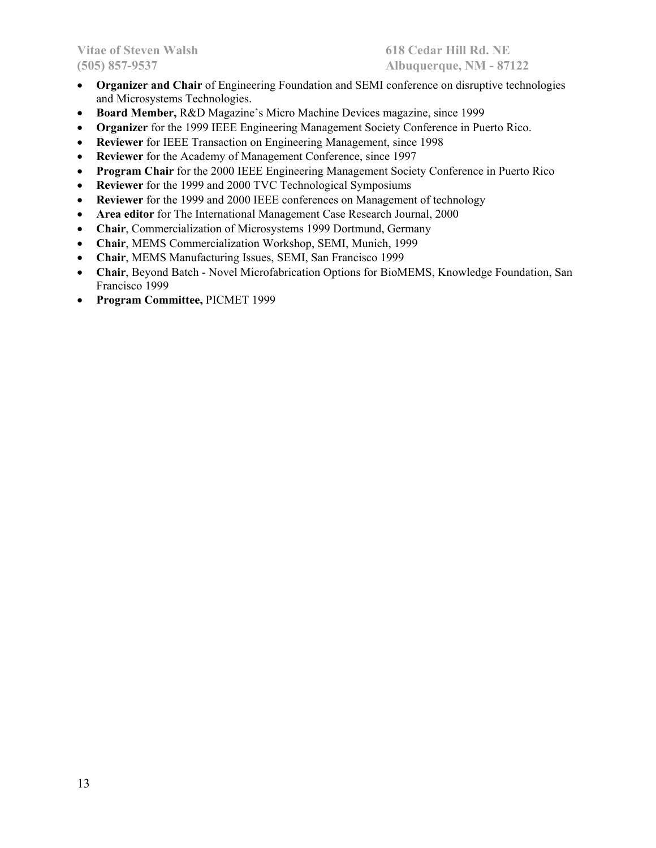- **Organizer and Chair** of Engineering Foundation and SEMI conference on disruptive technologies and Microsystems Technologies.
- **Board Member,** R&D Magazine's Micro Machine Devices magazine, since 1999
- **Organizer** for the 1999 IEEE Engineering Management Society Conference in Puerto Rico.
- **Reviewer** for IEEE Transaction on Engineering Management, since 1998
- **Reviewer** for the Academy of Management Conference, since 1997
- **Program Chair** for the 2000 IEEE Engineering Management Society Conference in Puerto Rico
- **Reviewer** for the 1999 and 2000 TVC Technological Symposiums
- **Reviewer** for the 1999 and 2000 IEEE conferences on Management of technology
- **Area editor** for The International Management Case Research Journal, 2000
- **Chair**, Commercialization of Microsystems 1999 Dortmund, Germany
- **Chair**, MEMS Commercialization Workshop, SEMI, Munich, 1999
- **Chair**, MEMS Manufacturing Issues, SEMI, San Francisco 1999
- **Chair**, Beyond Batch Novel Microfabrication Options for BioMEMS, Knowledge Foundation, San Francisco 1999
- **Program Committee,** PICMET 1999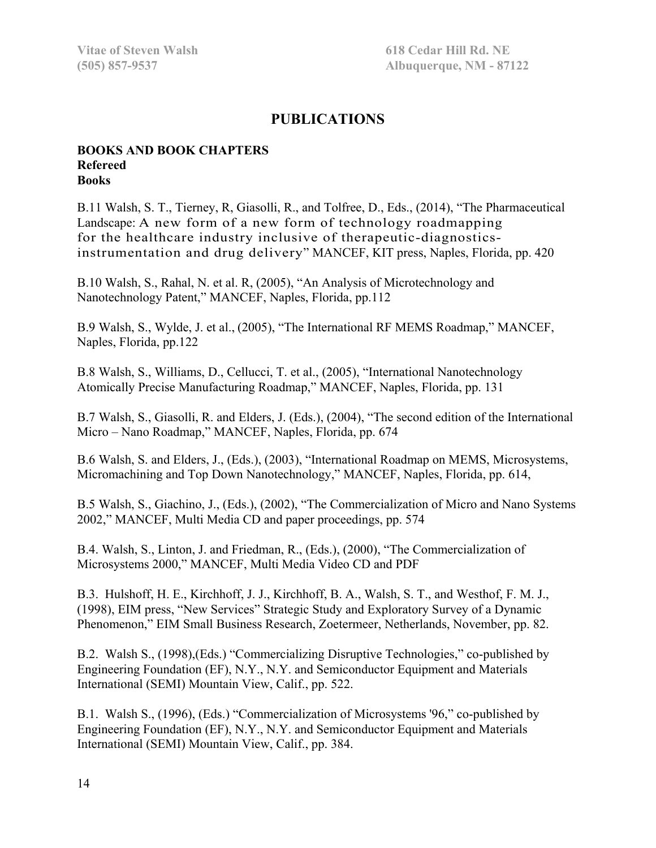# **PUBLICATIONS**

#### **BOOKS AND BOOK CHAPTERS Refereed Books**

B.11 Walsh, S. T., Tierney, R, Giasolli, R., and Tolfree, D., Eds., (2014), "The Pharmaceutical Landscape: A new form of a new form of technology roadmapping for the healthcare industry inclusive of therapeutic-diagnosticsinstrumentation and drug delivery" MANCEF, KIT press, Naples, Florida, pp. 420

B.10 Walsh, S., Rahal, N. et al. R, (2005), "An Analysis of Microtechnology and Nanotechnology Patent," MANCEF, Naples, Florida, pp.112

B.9 Walsh, S., Wylde, J. et al., (2005), "The International RF MEMS Roadmap," MANCEF, Naples, Florida, pp.122

B.8 Walsh, S., Williams, D., Cellucci, T. et al., (2005), "International Nanotechnology Atomically Precise Manufacturing Roadmap," MANCEF, Naples, Florida, pp. 131

B.7 Walsh, S., Giasolli, R. and Elders, J. (Eds.), (2004), "The second edition of the International Micro – Nano Roadmap," MANCEF, Naples, Florida, pp. 674

B.6 Walsh, S. and Elders, J., (Eds.), (2003), "International Roadmap on MEMS, Microsystems, Micromachining and Top Down Nanotechnology," MANCEF, Naples, Florida, pp. 614,

B.5 Walsh, S., Giachino, J., (Eds.), (2002), "The Commercialization of Micro and Nano Systems 2002," MANCEF, Multi Media CD and paper proceedings, pp. 574

B.4. Walsh, S., Linton, J. and Friedman, R., (Eds.), (2000), "The Commercialization of Microsystems 2000," MANCEF, Multi Media Video CD and PDF

B.3. Hulshoff, H. E., Kirchhoff, J. J., Kirchhoff, B. A., Walsh, S. T., and Westhof, F. M. J., (1998), EIM press, "New Services" Strategic Study and Exploratory Survey of a Dynamic Phenomenon," EIM Small Business Research, Zoetermeer, Netherlands, November, pp. 82.

B.2. Walsh S., (1998),(Eds.) "Commercializing Disruptive Technologies," co-published by Engineering Foundation (EF), N.Y., N.Y. and Semiconductor Equipment and Materials International (SEMI) Mountain View, Calif., pp. 522.

B.1. Walsh S., (1996), (Eds.) "Commercialization of Microsystems '96," co-published by Engineering Foundation (EF), N.Y., N.Y. and Semiconductor Equipment and Materials International (SEMI) Mountain View, Calif., pp. 384.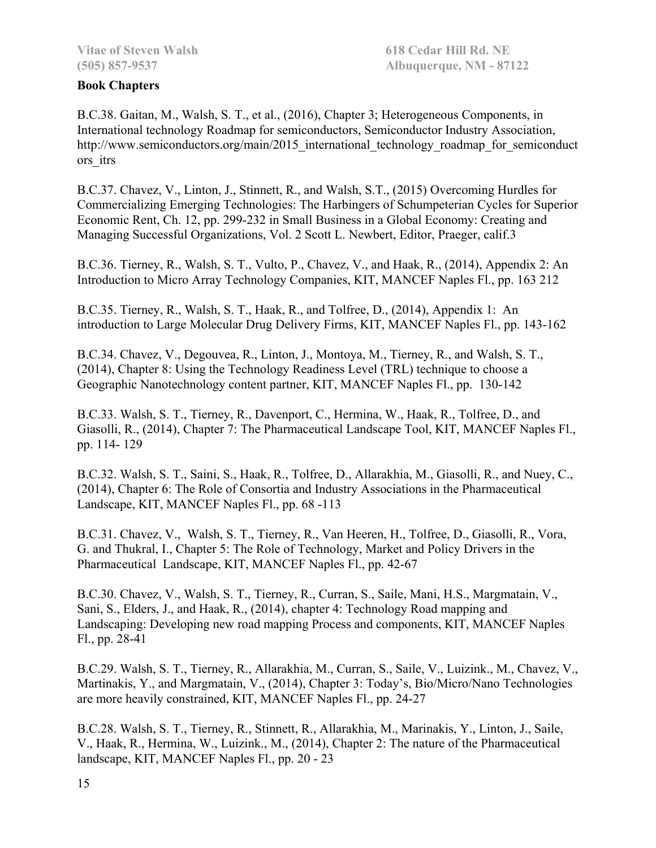#### **Book Chapters**

B.C.38. Gaitan, M., Walsh, S. T., et al., (2016), Chapter 3; Heterogeneous Components, in International technology Roadmap for semiconductors, Semiconductor Industry Association, http://www.semiconductors.org/main/2015 international technology roadmap for semiconduct ors\_itrs

B.C.37. Chavez, V., Linton, J., Stinnett, R., and Walsh, S.T., (2015) Overcoming Hurdles for Commercializing Emerging Technologies: The Harbingers of Schumpeterian Cycles for Superior Economic Rent, Ch. 12, pp. 299-232 in Small Business in a Global Economy: Creating and Managing Successful Organizations, Vol. 2 Scott L. Newbert, Editor, Praeger, calif.3

B.C.36. Tierney, R., Walsh, S. T., Vulto, P., Chavez, V., and Haak, R., (2014), Appendix 2: An Introduction to Micro Array Technology Companies, KIT, MANCEF Naples Fl., pp. 163 212

B.C.35. Tierney, R., Walsh, S. T., Haak, R., and Tolfree, D., (2014), Appendix 1: An introduction to Large Molecular Drug Delivery Firms, KIT, MANCEF Naples Fl., pp. 143-162

B.C.34. Chavez, V., Degouvea, R., Linton, J., Montoya, M., Tierney, R., and Walsh, S. T., (2014), Chapter 8: Using the Technology Readiness Level (TRL) technique to choose a Geographic Nanotechnology content partner, KIT, MANCEF Naples Fl., pp. 130-142

B.C.33. Walsh, S. T., Tierney, R., Davenport, C., Hermina, W., Haak, R., Tolfree, D., and Giasolli, R., (2014), Chapter 7: The Pharmaceutical Landscape Tool, KIT, MANCEF Naples Fl., pp. 114- 129

B.C.32. Walsh, S. T., Saini, S., Haak, R., Tolfree, D., Allarakhia, M., Giasolli, R., and Nuey, C., (2014), Chapter 6: The Role of Consortia and Industry Associations in the Pharmaceutical Landscape, KIT, MANCEF Naples Fl., pp. 68 -113

B.C.31. Chavez, V., Walsh, S. T., Tierney, R., Van Heeren, H., Tolfree, D., Giasolli, R., Vora, G. and Thukral, I., Chapter 5: The Role of Technology, Market and Policy Drivers in the Pharmaceutical Landscape, KIT, MANCEF Naples Fl., pp. 42-67

B.C.30. Chavez, V., Walsh, S. T., Tierney, R., Curran, S., Saile, Mani, H.S., Margmatain, V., Sani, S., Elders, J., and Haak, R., (2014), chapter 4: Technology Road mapping and Landscaping: Developing new road mapping Process and components, KIT, MANCEF Naples Fl., pp. 28-41

B.C.29. Walsh, S. T., Tierney, R., Allarakhia, M., Curran, S., Saile, V., Luizink., M., Chavez, V., Martinakis, Y., and Margmatain, V., (2014), Chapter 3: Today's, Bio/Micro/Nano Technologies are more heavily constrained, KIT, MANCEF Naples Fl., pp. 24-27

B.C.28. Walsh, S. T., Tierney, R., Stinnett, R., Allarakhia, M., Marinakis, Y., Linton, J., Saile, V., Haak, R., Hermina, W., Luizink., M., (2014), Chapter 2: The nature of the Pharmaceutical landscape, KIT, MANCEF Naples Fl., pp. 20 - 23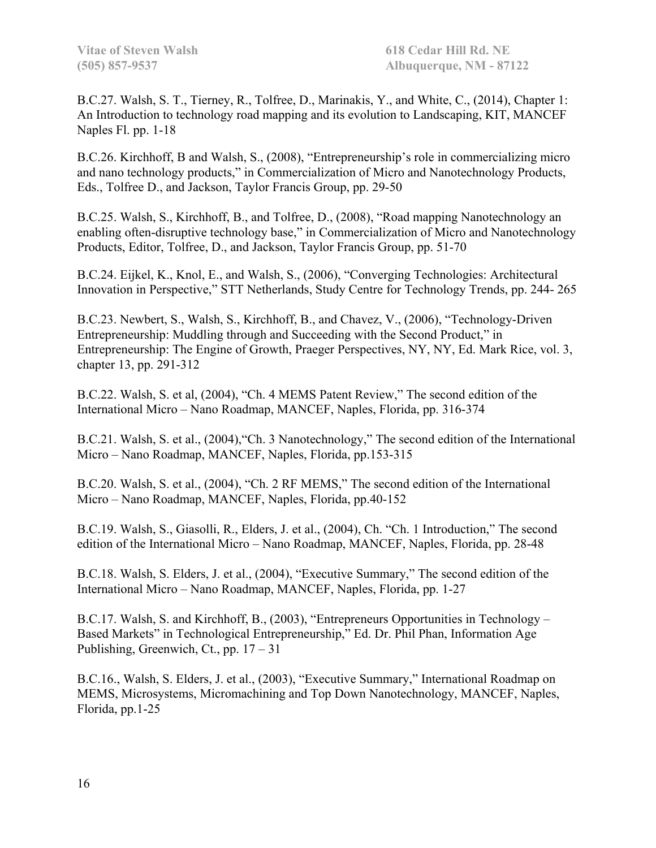B.C.27. Walsh, S. T., Tierney, R., Tolfree, D., Marinakis, Y., and White, C., (2014), Chapter 1: An Introduction to technology road mapping and its evolution to Landscaping, KIT, MANCEF Naples Fl. pp. 1-18

B.C.26. Kirchhoff, B and Walsh, S., (2008), "Entrepreneurship's role in commercializing micro and nano technology products," in Commercialization of Micro and Nanotechnology Products, Eds., Tolfree D., and Jackson, Taylor Francis Group, pp. 29-50

B.C.25. Walsh, S., Kirchhoff, B., and Tolfree, D., (2008), "Road mapping Nanotechnology an enabling often-disruptive technology base," in Commercialization of Micro and Nanotechnology Products, Editor, Tolfree, D., and Jackson, Taylor Francis Group, pp. 51-70

B.C.24. Eijkel, K., Knol, E., and Walsh, S., (2006), "Converging Technologies: Architectural Innovation in Perspective," STT Netherlands, Study Centre for Technology Trends, pp. 244- 265

B.C.23. Newbert, S., Walsh, S., Kirchhoff, B., and Chavez, V., (2006), "Technology-Driven Entrepreneurship: Muddling through and Succeeding with the Second Product," in Entrepreneurship: The Engine of Growth, Praeger Perspectives, NY, NY, Ed. Mark Rice, vol. 3, chapter 13, pp. 291-312

B.C.22. Walsh, S. et al, (2004), "Ch. 4 MEMS Patent Review," The second edition of the International Micro – Nano Roadmap, MANCEF, Naples, Florida, pp. 316-374

B.C.21. Walsh, S. et al., (2004),"Ch. 3 Nanotechnology," The second edition of the International Micro – Nano Roadmap, MANCEF, Naples, Florida, pp.153-315

B.C.20. Walsh, S. et al., (2004), "Ch. 2 RF MEMS," The second edition of the International Micro – Nano Roadmap, MANCEF, Naples, Florida, pp.40-152

B.C.19. Walsh, S., Giasolli, R., Elders, J. et al., (2004), Ch. "Ch. 1 Introduction," The second edition of the International Micro – Nano Roadmap, MANCEF, Naples, Florida, pp. 28-48

B.C.18. Walsh, S. Elders, J. et al., (2004), "Executive Summary," The second edition of the International Micro – Nano Roadmap, MANCEF, Naples, Florida, pp. 1-27

B.C.17. Walsh, S. and Kirchhoff, B., (2003), "Entrepreneurs Opportunities in Technology – Based Markets" in Technological Entrepreneurship," Ed. Dr. Phil Phan, Information Age Publishing, Greenwich, Ct., pp.  $17 - 31$ 

B.C.16., Walsh, S. Elders, J. et al., (2003), "Executive Summary," International Roadmap on MEMS, Microsystems, Micromachining and Top Down Nanotechnology, MANCEF, Naples, Florida, pp.1-25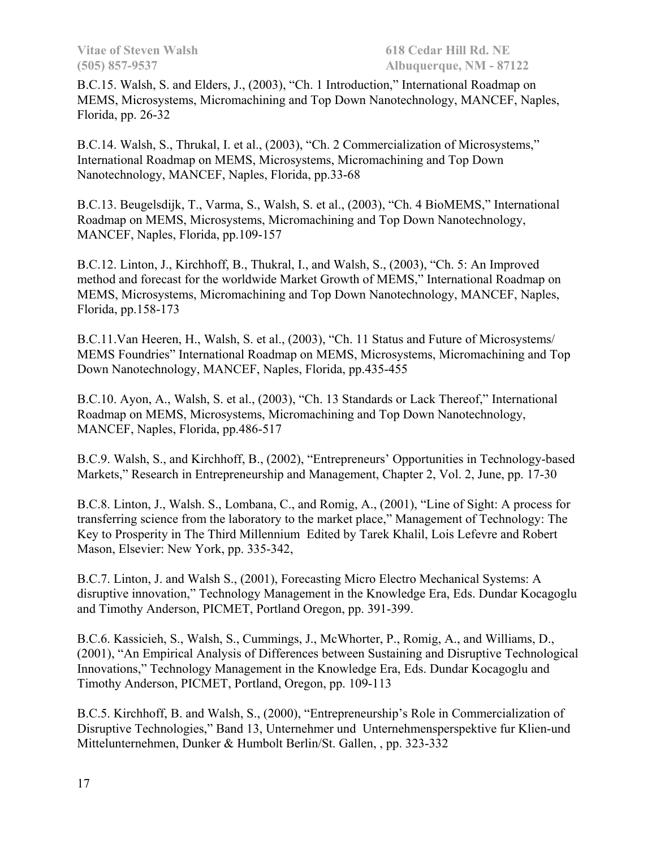B.C.15. Walsh, S. and Elders, J., (2003), "Ch. 1 Introduction," International Roadmap on MEMS, Microsystems, Micromachining and Top Down Nanotechnology, MANCEF, Naples, Florida, pp. 26-32

B.C.14. Walsh, S., Thrukal, I. et al., (2003), "Ch. 2 Commercialization of Microsystems," International Roadmap on MEMS, Microsystems, Micromachining and Top Down Nanotechnology, MANCEF, Naples, Florida, pp.33-68

B.C.13. Beugelsdijk, T., Varma, S., Walsh, S. et al., (2003), "Ch. 4 BioMEMS," International Roadmap on MEMS, Microsystems, Micromachining and Top Down Nanotechnology, MANCEF, Naples, Florida, pp.109-157

B.C.12. Linton, J., Kirchhoff, B., Thukral, I., and Walsh, S., (2003), "Ch. 5: An Improved method and forecast for the worldwide Market Growth of MEMS," International Roadmap on MEMS, Microsystems, Micromachining and Top Down Nanotechnology, MANCEF, Naples, Florida, pp.158-173

B.C.11.Van Heeren, H., Walsh, S. et al., (2003), "Ch. 11 Status and Future of Microsystems/ MEMS Foundries" International Roadmap on MEMS, Microsystems, Micromachining and Top Down Nanotechnology, MANCEF, Naples, Florida, pp.435-455

B.C.10. Ayon, A., Walsh, S. et al., (2003), "Ch. 13 Standards or Lack Thereof," International Roadmap on MEMS, Microsystems, Micromachining and Top Down Nanotechnology, MANCEF, Naples, Florida, pp.486-517

B.C.9. Walsh, S., and Kirchhoff, B., (2002), "Entrepreneurs' Opportunities in Technology-based Markets," Research in Entrepreneurship and Management, Chapter 2, Vol. 2, June, pp. 17-30

B.C.8. Linton, J., Walsh. S., Lombana, C., and Romig, A., (2001), "Line of Sight: A process for transferring science from the laboratory to the market place," Management of Technology: The Key to Prosperity in The Third Millennium Edited by Tarek Khalil, Lois Lefevre and Robert Mason, Elsevier: New York, pp. 335-342,

B.C.7. Linton, J. and Walsh S., (2001), Forecasting Micro Electro Mechanical Systems: A disruptive innovation," Technology Management in the Knowledge Era, Eds. Dundar Kocagoglu and Timothy Anderson, PICMET, Portland Oregon, pp. 391-399.

B.C.6. Kassicieh, S., Walsh, S., Cummings, J., McWhorter, P., Romig, A., and Williams, D., (2001), "An Empirical Analysis of Differences between Sustaining and Disruptive Technological Innovations," Technology Management in the Knowledge Era, Eds. Dundar Kocagoglu and Timothy Anderson, PICMET, Portland, Oregon, pp. 109-113

B.C.5. Kirchhoff, B. and Walsh, S., (2000), "Entrepreneurship's Role in Commercialization of Disruptive Technologies," Band 13, Unternehmer und Unternehmensperspektive fur Klien-und Mittelunternehmen, Dunker & Humbolt Berlin/St. Gallen, , pp. 323-332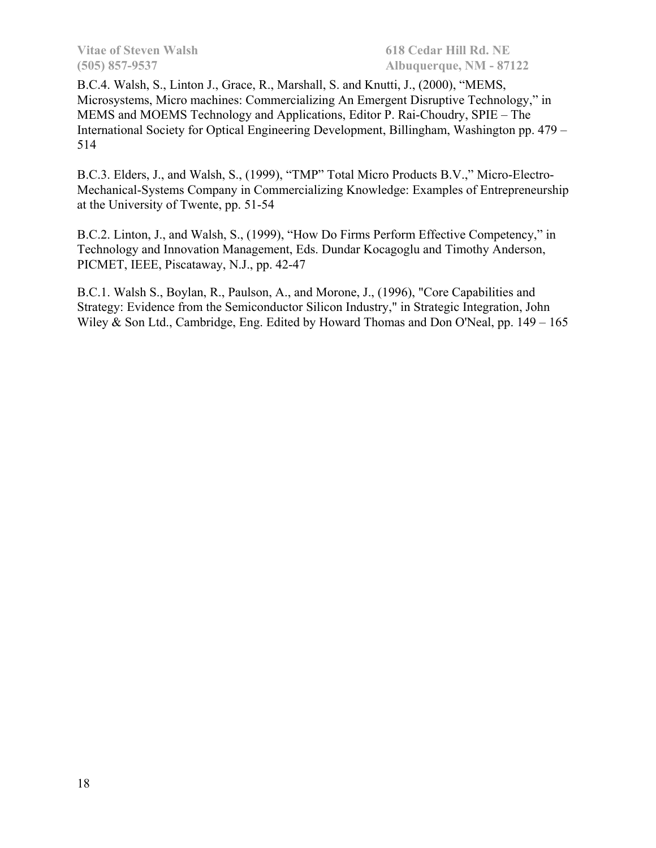B.C.4. Walsh, S., Linton J., Grace, R., Marshall, S. and Knutti, J., (2000), "MEMS, Microsystems, Micro machines: Commercializing An Emergent Disruptive Technology," in MEMS and MOEMS Technology and Applications, Editor P. Rai-Choudry, SPIE – The International Society for Optical Engineering Development, Billingham, Washington pp. 479 – 514

B.C.3. Elders, J., and Walsh, S., (1999), "TMP" Total Micro Products B.V.," Micro-Electro-Mechanical-Systems Company in Commercializing Knowledge: Examples of Entrepreneurship at the University of Twente, pp. 51-54

B.C.2. Linton, J., and Walsh, S., (1999), "How Do Firms Perform Effective Competency," in Technology and Innovation Management, Eds. Dundar Kocagoglu and Timothy Anderson, PICMET, IEEE, Piscataway, N.J., pp. 42-47

B.C.1. Walsh S., Boylan, R., Paulson, A., and Morone, J., (1996), "Core Capabilities and Strategy: Evidence from the Semiconductor Silicon Industry," in Strategic Integration, John Wiley & Son Ltd., Cambridge, Eng. Edited by Howard Thomas and Don O'Neal, pp. 149 – 165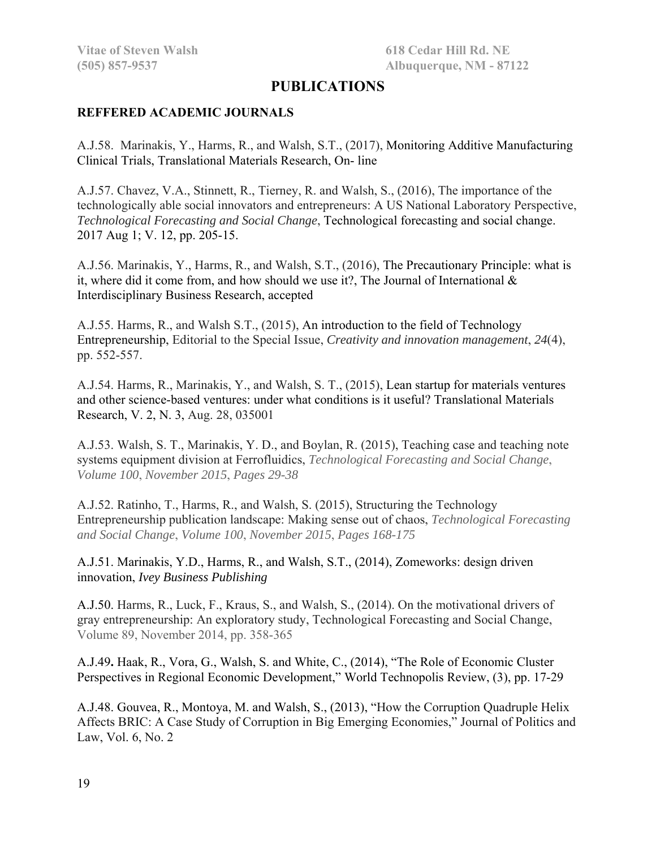# **PUBLICATIONS**

#### **REFFERED ACADEMIC JOURNALS**

A.J.58. Marinakis, Y., Harms, R., and Walsh, S.T., (2017), Monitoring Additive Manufacturing Clinical Trials, Translational Materials Research, On- line

A.J.57. Chavez, V.A., Stinnett, R., Tierney, R. and Walsh, S., (2016), The importance of the technologically able social innovators and entrepreneurs: A US National Laboratory Perspective, *Technological Forecasting and Social Change*, Technological forecasting and social change. 2017 Aug 1; V. 12, pp. 205-15.

A.J.56. Marinakis, Y., Harms, R., and Walsh, S.T., (2016), The Precautionary Principle: what is it, where did it come from, and how should we use it?, The Journal of International & Interdisciplinary Business Research, accepted

A.J.55. Harms, R., and Walsh S.T., (2015), An introduction to the field of Technology Entrepreneurship, Editorial to the Special Issue, *Creativity and innovation management*, *24*(4), pp. 552-557.

A.J.54. Harms, R., Marinakis, Y., and Walsh, S. T., (2015), Lean startup for materials ventures and other science-based ventures: under what conditions is it useful? Translational Materials Research, V. 2, N. 3, Aug. 28, 035001

A.J.53. Walsh, S. T., Marinakis, Y. D., and Boylan, R. (2015), Teaching case and teaching note systems equipment division at Ferrofluidics, *Technological Forecasting and Social Change*, *Volume 100*, *November 2015*, *Pages 29-38* 

A.J.52. Ratinho, T., Harms, R., and Walsh, S. (2015), Structuring the Technology Entrepreneurship publication landscape: Making sense out of chaos, *Technological Forecasting and Social Change*, *Volume 100*, *November 2015*, *Pages 168-175* 

A.J.51. Marinakis, Y.D., Harms, R., and Walsh, S.T., (2014), Zomeworks: design driven innovation, *Ivey Business Publishing*

A.J.50. Harms, R., Luck, F., Kraus, S., and Walsh, S., (2014). On the motivational drivers of gray entrepreneurship: An exploratory study, Technological Forecasting and Social Change, Volume 89, November 2014, pp. 358-365

A.J.49**.** Haak, R., Vora, G., Walsh, S. and White, C., (2014), "The Role of Economic Cluster Perspectives in Regional Economic Development," World Technopolis Review, (3), pp. 17-29

A.J.48. Gouvea, R., Montoya, M. and Walsh, S., (2013), "How the Corruption Quadruple Helix Affects BRIC: A Case Study of Corruption in Big Emerging Economies," Journal of Politics and Law, Vol. 6, No. 2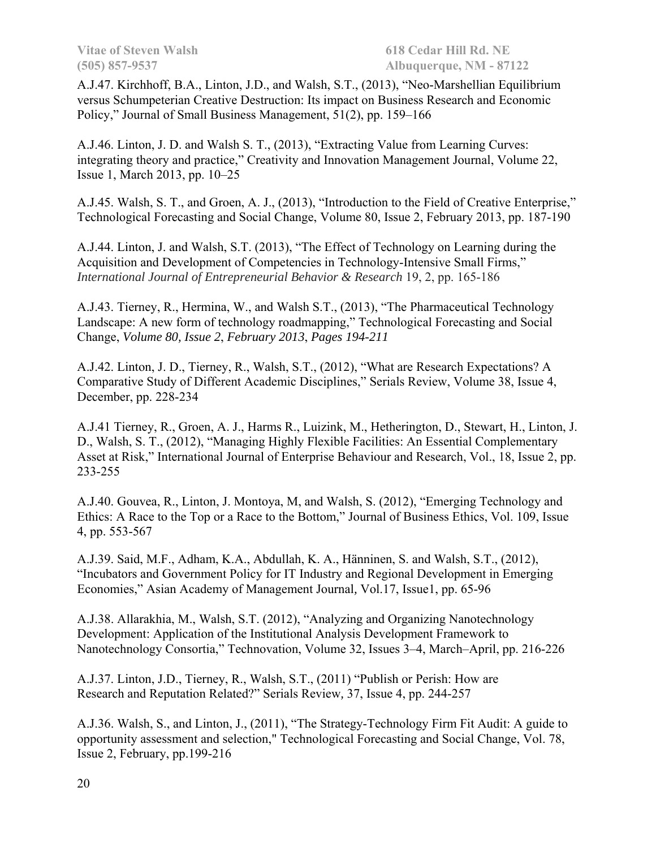A.J.47. Kirchhoff, B.A., Linton, J.D., and Walsh, S.T., (2013), "Neo-Marshellian Equilibrium versus Schumpeterian Creative Destruction: Its impact on Business Research and Economic Policy," Journal of Small Business Management, 51(2), pp. 159–166

A.J.46. Linton, J. D. and Walsh S. T., (2013), "Extracting Value from Learning Curves: integrating theory and practice," Creativity and Innovation Management Journal, Volume 22, Issue 1, March 2013, pp. 10–25

A.J.45. Walsh, S. T., and Groen, A. J., (2013), "Introduction to the Field of Creative Enterprise," Technological Forecasting and Social Change, Volume 80, Issue 2, February 2013, pp. 187-190

A.J.44. Linton, J. and Walsh, S.T. (2013), "The Effect of Technology on Learning during the Acquisition and Development of Competencies in Technology-Intensive Small Firms," *International Journal of Entrepreneurial Behavior & Research* 19, 2, pp. 165-186

A.J.43. Tierney, R., Hermina, W., and Walsh S.T., (2013), "The Pharmaceutical Technology Landscape: A new form of technology roadmapping," Technological Forecasting and Social Change, *Volume 80, Issue 2*, *February 2013*, *Pages 194-211* 

A.J.42. Linton, J. D., Tierney, R., Walsh, S.T., (2012), "What are Research Expectations? A Comparative Study of Different Academic Disciplines," Serials Review, Volume 38, Issue 4, December, pp. 228-234

A.J.41 Tierney, R., Groen, A. J., Harms R., Luizink, M., Hetherington, D., Stewart, H., Linton, J. D., Walsh, S. T., (2012), "Managing Highly Flexible Facilities: An Essential Complementary Asset at Risk," International Journal of Enterprise Behaviour and Research, Vol., 18, Issue 2, pp. 233-255

A.J.40. Gouvea, R., Linton, J. Montoya, M, and Walsh, S. (2012), "Emerging Technology and Ethics: A Race to the Top or a Race to the Bottom," Journal of Business Ethics, Vol. 109, Issue 4, pp. 553-567

A.J.39. Said, M.F., Adham, K.A., Abdullah, K. A., Hänninen, S. and Walsh, S.T., (2012), "Incubators and Government Policy for IT Industry and Regional Development in Emerging Economies," Asian Academy of Management Journal*,* Vol.17, Issue1, pp. 65-96

A.J.38. Allarakhia, M., Walsh, S.T. (2012), "Analyzing and Organizing Nanotechnology Development: Application of the Institutional Analysis Development Framework to Nanotechnology Consortia," Technovation, Volume 32, Issues 3–4, March–April, pp. 216-226

A.J.37. Linton, J.D., Tierney, R., Walsh, S.T., (2011) "Publish or Perish: How are Research and Reputation Related?" Serials Review*,* 37, Issue 4, pp. 244-257

A.J.36. Walsh, S., and Linton, J., (2011), "The Strategy-Technology Firm Fit Audit: A guide to opportunity assessment and selection," Technological Forecasting and Social Change, Vol. 78, Issue 2, February, pp.199-216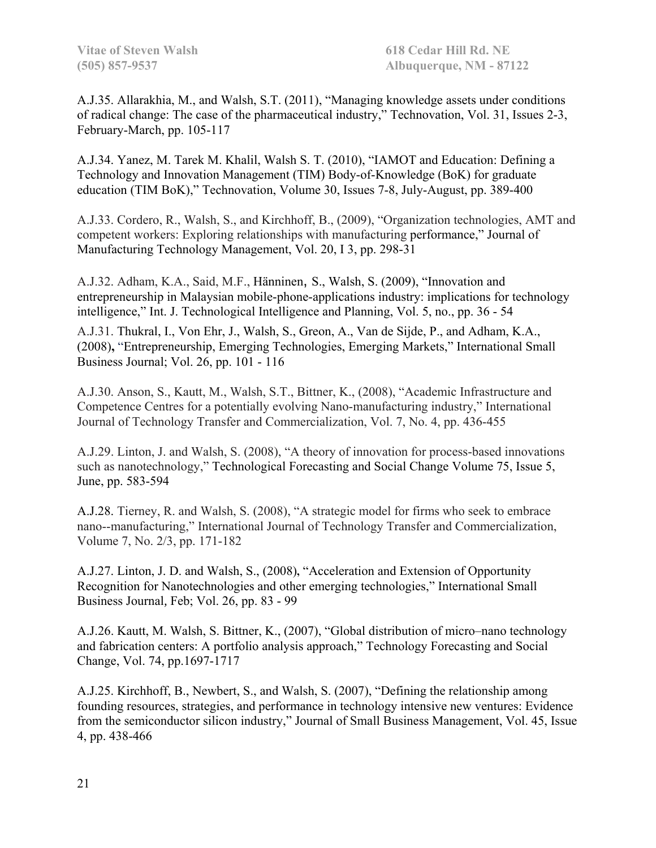A.J.35. Allarakhia, M., and Walsh, S.T. (2011), "Managing knowledge assets under conditions of radical change: The case of the pharmaceutical industry," Technovation, Vol. 31, Issues 2-3, February-March, pp. 105-117

A.J.34. Yanez, M. Tarek M. Khalil, Walsh S. T. (2010), "IAMOT and Education: Defining a Technology and Innovation Management (TIM) Body-of-Knowledge (BoK) for graduate education (TIM BoK)," Technovation, Volume 30, Issues 7-8, July-August, pp. 389-400

A.J.33. Cordero, R., Walsh, S., and Kirchhoff, B., (2009), "Organization technologies, AMT and competent workers: Exploring relationships with manufacturing performance," Journal of Manufacturing Technology Management, Vol. 20, I 3, pp. 298-31

A.J.32. Adham, K.A., Said, M.F., Hänninen, S., Walsh, S. (2009), "Innovation and entrepreneurship in Malaysian mobile-phone-applications industry: implications for technology intelligence," Int. J. Technological Intelligence and Planning, Vol. 5, no., pp. 36 - 54

A.J.31. Thukral, I., Von Ehr, J., Walsh, S., Greon, A., Van de Sijde, P., and Adham, K.A., (2008)**,** "Entrepreneurship, Emerging Technologies, Emerging Markets," International Small Business Journal; Vol. 26, pp. 101 - 116

A.J.30. Anson, S., Kautt, M., Walsh, S.T., Bittner, K., (2008), "Academic Infrastructure and Competence Centres for a potentially evolving Nano-manufacturing industry," International Journal of Technology Transfer and Commercialization, Vol. 7, No. 4, pp. 436-455

A.J.29. Linton, J. and Walsh, S. (2008), "A theory of innovation for process-based innovations such as nanotechnology," Technological Forecasting and Social Change Volume 75, Issue 5, June, pp. 583-594

A.J.28. Tierney, R. and Walsh, S. (2008), "A strategic model for firms who seek to embrace nano--manufacturing," International Journal of Technology Transfer and Commercialization, Volume 7, No. 2/3, pp. 171-182

A.J.27. Linton, J. D. and Walsh, S., (2008)**,** "Acceleration and Extension of Opportunity Recognition for Nanotechnologies and other emerging technologies," International Small Business Journal*,* Feb; Vol. 26, pp. 83 - 99

A.J.26. Kautt, M. Walsh, S. Bittner, K., (2007), "Global distribution of micro–nano technology and fabrication centers: A portfolio analysis approach," Technology Forecasting and Social Change, Vol. 74, pp.1697-1717

A.J.25. Kirchhoff, B., Newbert, S., and Walsh, S. (2007), "Defining the relationship among founding resources, strategies, and performance in technology intensive new ventures: Evidence from the semiconductor silicon industry," Journal of Small Business Management, Vol. 45, Issue 4, pp. 438-466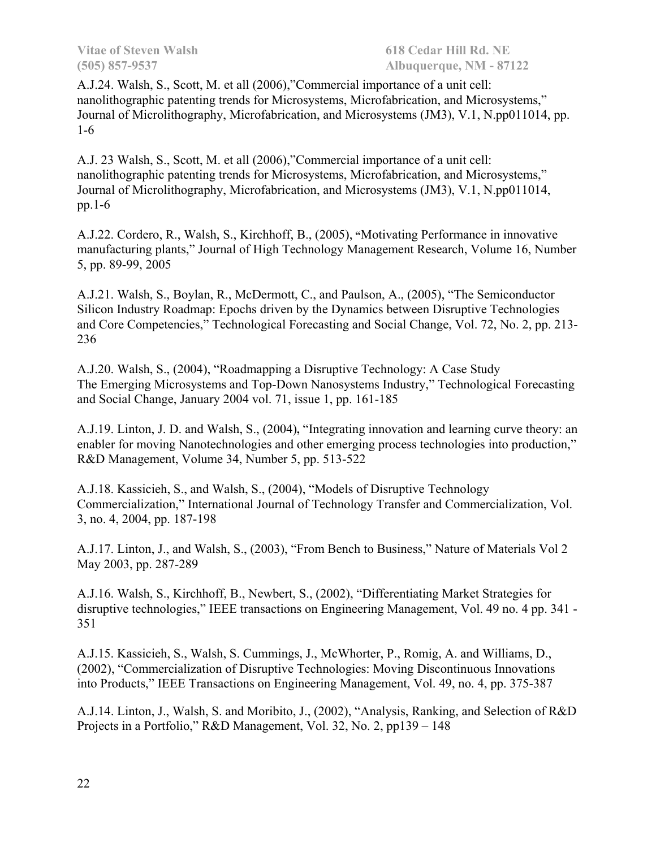A.J.24. Walsh, S., Scott, M. et all (2006),"Commercial importance of a unit cell: nanolithographic patenting trends for Microsystems, Microfabrication, and Microsystems," Journal of Microlithography, Microfabrication, and Microsystems (JM3), V.1, N.pp011014, pp. 1-6

A.J. 23 Walsh, S., Scott, M. et all (2006),"Commercial importance of a unit cell: nanolithographic patenting trends for Microsystems, Microfabrication, and Microsystems," Journal of Microlithography, Microfabrication, and Microsystems (JM3), V.1, N.pp011014, pp.1-6

A.J.22. Cordero, R., Walsh, S., Kirchhoff, B., (2005), **"**Motivating Performance in innovative manufacturing plants," Journal of High Technology Management Research, Volume 16, Number 5, pp. 89-99, 2005

A.J.21. Walsh, S., Boylan, R., McDermott, C., and Paulson, A., (2005), "The Semiconductor Silicon Industry Roadmap: Epochs driven by the Dynamics between Disruptive Technologies and Core Competencies," Technological Forecasting and Social Change, Vol. 72, No. 2, pp. 213- 236

A.J.20. Walsh, S., (2004), "Roadmapping a Disruptive Technology: A Case Study The Emerging Microsystems and Top-Down Nanosystems Industry," Technological Forecasting and Social Change, January 2004 vol. 71, issue 1, pp. 161-185

A.J.19. Linton, J. D. and Walsh, S., (2004)**,** "Integrating innovation and learning curve theory: an enabler for moving Nanotechnologies and other emerging process technologies into production," R&D Management, Volume 34, Number 5, pp. 513-522

A.J.18. Kassicieh, S., and Walsh, S., (2004), "Models of Disruptive Technology Commercialization," International Journal of Technology Transfer and Commercialization, Vol. 3, no. 4, 2004, pp. 187-198

A.J.17. Linton, J., and Walsh, S., (2003), "From Bench to Business," Nature of Materials Vol 2 May 2003, pp. 287-289

A.J.16. Walsh, S., Kirchhoff, B., Newbert, S., (2002), "Differentiating Market Strategies for disruptive technologies," IEEE transactions on Engineering Management, Vol. 49 no. 4 pp. 341 - 351

A.J.15. Kassicieh, S., Walsh, S. Cummings, J., McWhorter, P., Romig, A. and Williams, D., (2002), "Commercialization of Disruptive Technologies: Moving Discontinuous Innovations into Products," IEEE Transactions on Engineering Management, Vol. 49, no. 4, pp. 375-387

A.J.14. Linton, J., Walsh, S. and Moribito, J., (2002), "Analysis, Ranking, and Selection of R&D Projects in a Portfolio," R&D Management, Vol. 32, No. 2, pp139 – 148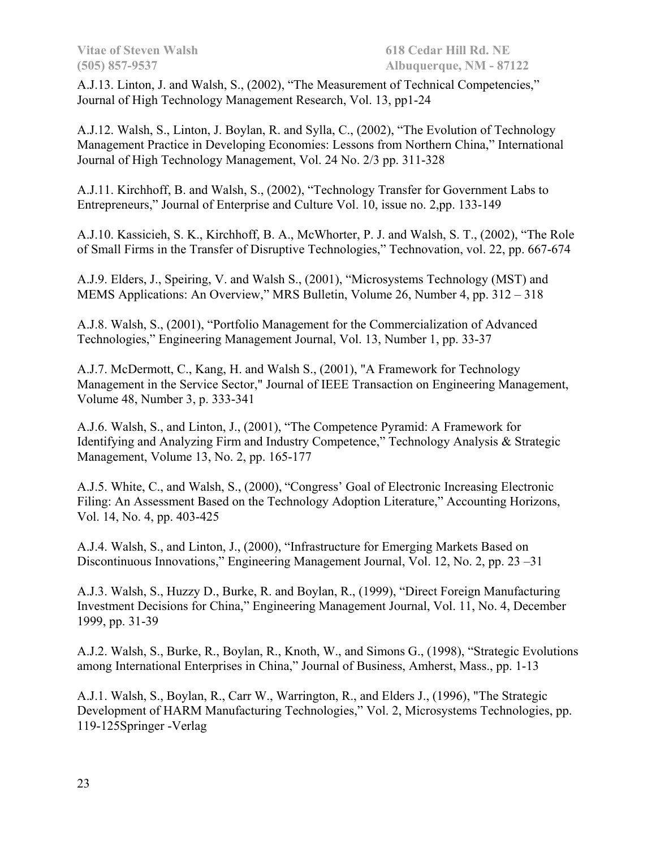A.J.13. Linton, J. and Walsh, S., (2002), "The Measurement of Technical Competencies," Journal of High Technology Management Research, Vol. 13, pp1-24

A.J.12. Walsh, S., Linton, J. Boylan, R. and Sylla, C., (2002), "The Evolution of Technology Management Practice in Developing Economies: Lessons from Northern China," International Journal of High Technology Management, Vol. 24 No. 2/3 pp. 311-328

A.J.11. Kirchhoff, B. and Walsh, S., (2002), "Technology Transfer for Government Labs to Entrepreneurs," Journal of Enterprise and Culture Vol. 10, issue no. 2,pp. 133-149

A.J.10. Kassicieh, S. K., Kirchhoff, B. A., McWhorter, P. J. and Walsh, S. T., (2002), "The Role of Small Firms in the Transfer of Disruptive Technologies," Technovation, vol. 22, pp. 667-674

A.J.9. Elders, J., Speiring, V. and Walsh S., (2001), "Microsystems Technology (MST) and MEMS Applications: An Overview," MRS Bulletin, Volume 26, Number 4, pp. 312 – 318

A.J.8. Walsh, S., (2001), "Portfolio Management for the Commercialization of Advanced Technologies," Engineering Management Journal, Vol. 13, Number 1, pp. 33-37

A.J.7. McDermott, C., Kang, H. and Walsh S., (2001), "A Framework for Technology Management in the Service Sector," Journal of IEEE Transaction on Engineering Management, Volume 48, Number 3, p. 333-341

A.J.6. Walsh, S., and Linton, J., (2001), "The Competence Pyramid: A Framework for Identifying and Analyzing Firm and Industry Competence," Technology Analysis & Strategic Management, Volume 13, No. 2, pp. 165-177

A.J.5. White, C., and Walsh, S., (2000), "Congress' Goal of Electronic Increasing Electronic Filing: An Assessment Based on the Technology Adoption Literature," Accounting Horizons, Vol. 14, No. 4, pp. 403-425

A.J.4. Walsh, S., and Linton, J., (2000), "Infrastructure for Emerging Markets Based on Discontinuous Innovations," Engineering Management Journal, Vol. 12, No. 2, pp. 23 –31

A.J.3. Walsh, S., Huzzy D., Burke, R. and Boylan, R., (1999), "Direct Foreign Manufacturing Investment Decisions for China," Engineering Management Journal, Vol. 11, No. 4, December 1999, pp. 31-39

A.J.2. Walsh, S., Burke, R., Boylan, R., Knoth, W., and Simons G., (1998), "Strategic Evolutions among International Enterprises in China," Journal of Business, Amherst, Mass., pp. 1-13

A.J.1. Walsh, S., Boylan, R., Carr W., Warrington, R., and Elders J., (1996), "The Strategic Development of HARM Manufacturing Technologies," Vol. 2, Microsystems Technologies, pp. 119-125Springer -Verlag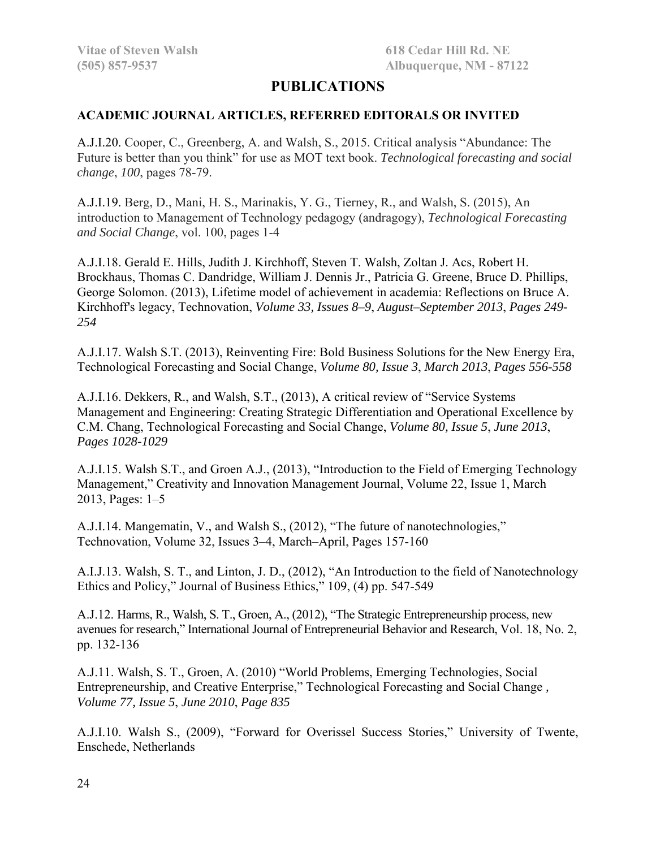# **PUBLICATIONS**

#### **ACADEMIC JOURNAL ARTICLES, REFERRED EDITORALS OR INVITED**

A.J.I.20. Cooper, C., Greenberg, A. and Walsh, S., 2015. Critical analysis "Abundance: The Future is better than you think" for use as MOT text book. *Technological forecasting and social change*, *100*, pages 78-79.

A.J.I.19. Berg, D., Mani, H. S., Marinakis, Y. G., Tierney, R., and Walsh, S. (2015), An introduction to Management of Technology pedagogy (andragogy), *Technological Forecasting and Social Change*, vol. 100, pages 1-4

A.J.I.18. Gerald E. Hills, Judith J. Kirchhoff, Steven T. Walsh, Zoltan J. Acs, Robert H. Brockhaus, Thomas C. Dandridge, William J. Dennis Jr., Patricia G. Greene, Bruce D. Phillips, George Solomon. (2013), Lifetime model of achievement in academia: Reflections on Bruce A. Kirchhoff's legacy, Technovation, *Volume 33, Issues 8–9*, *August–September 2013*, *Pages 249- 254*

A.J.I.17. Walsh S.T. (2013), Reinventing Fire: Bold Business Solutions for the New Energy Era, Technological Forecasting and Social Change, *Volume 80, Issue 3*, *March 2013*, *Pages 556-558*

A.J.I.16. Dekkers, R., and Walsh, S.T., (2013), A critical review of "Service Systems Management and Engineering: Creating Strategic Differentiation and Operational Excellence by C.M. Chang, Technological Forecasting and Social Change, *Volume 80, Issue 5*, *June 2013*, *Pages 1028-1029*

A.J.I.15. Walsh S.T., and Groen A.J., (2013), "Introduction to the Field of Emerging Technology Management," Creativity and Innovation Management Journal, Volume 22, Issue 1, March 2013, Pages: 1–5

A.J.I.14. Mangematin, V., and Walsh S., (2012), "The future of nanotechnologies," Technovation, Volume 32, Issues 3–4, March–April, Pages 157-160

A.I.J.13. Walsh, S. T., and Linton, J. D., (2012), "An Introduction to the field of Nanotechnology Ethics and Policy," Journal of Business Ethics," 109, (4) pp. 547-549

A.J.12. Harms, R., Walsh, S. T., Groen, A., (2012), "The Strategic Entrepreneurship process, new avenues for research," International Journal of Entrepreneurial Behavior and Research, Vol. 18, No. 2, pp. 132-136

A.J.11. Walsh, S. T., Groen, A. (2010) "World Problems, Emerging Technologies, Social Entrepreneurship, and Creative Enterprise," Technological Forecasting and Social Change *, Volume 77, Issue 5*, *June 2010*, *Page 835*

A.J.I.10. Walsh S., (2009), "Forward for Overissel Success Stories," University of Twente, Enschede, Netherlands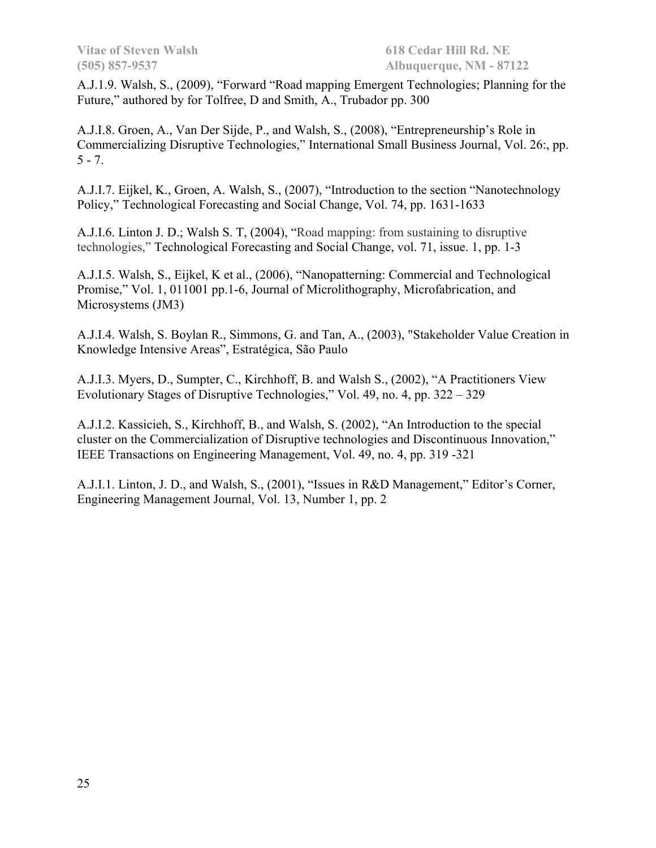A.J.1.9. Walsh, S., (2009), "Forward "Road mapping Emergent Technologies; Planning for the Future," authored by for Tolfree, D and Smith, A., Trubador pp. 300

A.J.I.8. Groen, A., Van Der Sijde, P., and Walsh, S., (2008), "Entrepreneurship's Role in Commercializing Disruptive Technologies," International Small Business Journal, Vol. 26:, pp.  $5 - 7.$ 

A.J.I.7. Eijkel, K., Groen, A. Walsh, S., (2007), "Introduction to the section "Nanotechnology Policy," Technological Forecasting and Social Change, Vol. 74, pp. 1631-1633

A.J.I.6. Linton J. D.; Walsh S. T, (2004), "Road mapping: from sustaining to disruptive technologies," Technological Forecasting and Social Change, vol. 71, issue. 1, pp. 1-3

A.J.I.5. Walsh, S., Eijkel, K et al., (2006), "Nanopatterning: Commercial and Technological Promise," Vol. 1, 011001 pp.1-6, Journal of Microlithography, Microfabrication, and Microsystems (JM3)

A.J.I.4. Walsh, S. Boylan R., Simmons, G. and Tan, A., (2003), "Stakeholder Value Creation in Knowledge Intensive Areas", Estratégica, São Paulo

A.J.I.3. Myers, D., Sumpter, C., Kirchhoff, B. and Walsh S., (2002), "A Practitioners View Evolutionary Stages of Disruptive Technologies," Vol. 49, no. 4, pp. 322 – 329

A.J.I.2. Kassicieh, S., Kirchhoff, B., and Walsh, S. (2002), "An Introduction to the special cluster on the Commercialization of Disruptive technologies and Discontinuous Innovation," IEEE Transactions on Engineering Management, Vol. 49, no. 4, pp. 319 -321

A.J.I.1. Linton, J. D., and Walsh, S., (2001), "Issues in R&D Management," Editor's Corner, Engineering Management Journal, Vol. 13, Number 1, pp. 2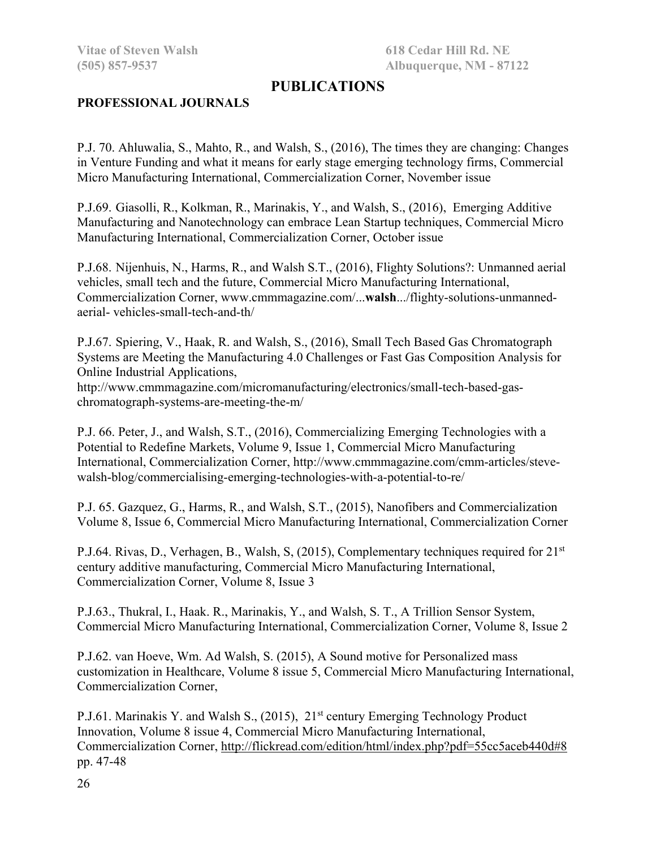# **PUBLICATIONS**

#### **PROFESSIONAL JOURNALS**

P.J. 70. Ahluwalia, S., Mahto, R., and Walsh, S., (2016), The times they are changing: Changes in Venture Funding and what it means for early stage emerging technology firms, Commercial Micro Manufacturing International, Commercialization Corner, November issue

P.J.69. Giasolli, R., Kolkman, R., Marinakis, Y., and Walsh, S., (2016), Emerging Additive Manufacturing and Nanotechnology can embrace Lean Startup techniques, Commercial Micro Manufacturing International, Commercialization Corner, October issue

P.J.68. Nijenhuis, N., Harms, R., and Walsh S.T., (2016), Flighty Solutions?: Unmanned aerial vehicles, small tech and the future, Commercial Micro Manufacturing International, Commercialization Corner, www.cmmmagazine.com/...**walsh**.../flighty-solutions-unmannedaerial- vehicles-small-tech-and-th/

P.J.67. Spiering, V., Haak, R. and Walsh, S., (2016), Small Tech Based Gas Chromatograph Systems are Meeting the Manufacturing 4.0 Challenges or Fast Gas Composition Analysis for Online Industrial Applications,

http://www.cmmmagazine.com/micromanufacturing/electronics/small-tech-based-gaschromatograph-systems-are-meeting-the-m/

P.J. 66. Peter, J., and Walsh, S.T., (2016), Commercializing Emerging Technologies with a Potential to Redefine Markets, Volume 9, Issue 1, Commercial Micro Manufacturing International, Commercialization Corner, http://www.cmmmagazine.com/cmm-articles/stevewalsh-blog/commercialising-emerging-technologies-with-a-potential-to-re/

P.J. 65. Gazquez, G., Harms, R., and Walsh, S.T., (2015), Nanofibers and Commercialization Volume 8, Issue 6, Commercial Micro Manufacturing International, Commercialization Corner

P.J.64. Rivas, D., Verhagen, B., Walsh, S. (2015), Complementary techniques required for 21<sup>st</sup> century additive manufacturing, Commercial Micro Manufacturing International, Commercialization Corner, Volume 8, Issue 3

P.J.63., Thukral, I., Haak. R., Marinakis, Y., and Walsh, S. T., A Trillion Sensor System, Commercial Micro Manufacturing International, Commercialization Corner, Volume 8, Issue 2

P.J.62. van Hoeve, Wm. Ad Walsh, S. (2015), A Sound motive for Personalized mass customization in Healthcare, Volume 8 issue 5, Commercial Micro Manufacturing International, Commercialization Corner,

P.J.61. Marinakis Y. and Walsh S., (2015), 21<sup>st</sup> century Emerging Technology Product Innovation, Volume 8 issue 4, Commercial Micro Manufacturing International, Commercialization Corner, http://flickread.com/edition/html/index.php?pdf=55cc5aceb440d#8 pp. 47-48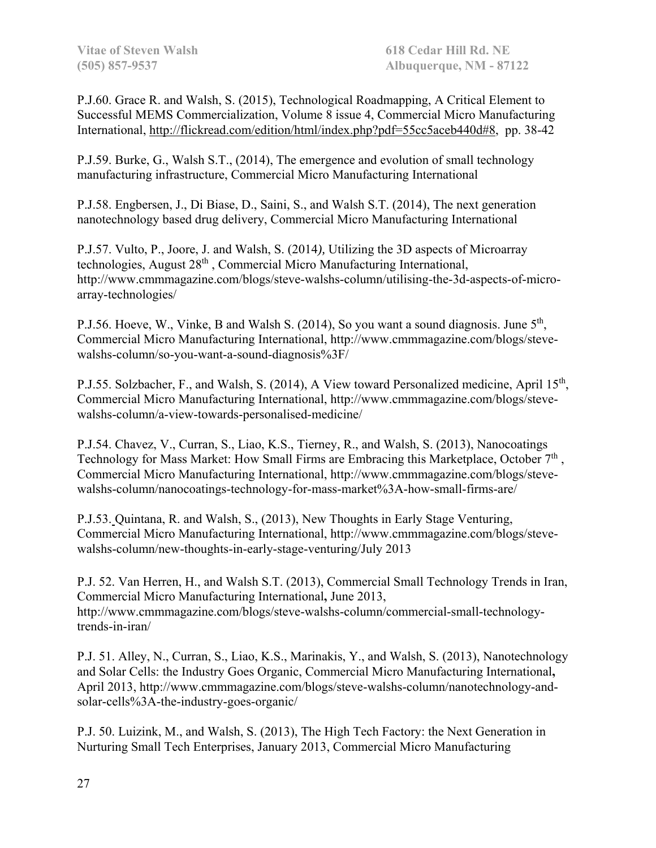P.J.60. Grace R. and Walsh, S. (2015), Technological Roadmapping, A Critical Element to Successful MEMS Commercialization, Volume 8 issue 4, Commercial Micro Manufacturing International, http://flickread.com/edition/html/index.php?pdf=55cc5aceb440d#8, pp. 38-42

P.J.59. Burke, G., Walsh S.T., (2014), The emergence and evolution of small technology manufacturing infrastructure, Commercial Micro Manufacturing International

P.J.58. Engbersen, J., Di Biase, D., Saini, S., and Walsh S.T. (2014), The next generation nanotechnology based drug delivery, Commercial Micro Manufacturing International

P.J.57. Vulto, P., Joore, J. and Walsh, S. (2014*),* Utilizing the 3D aspects of Microarray technologies, August 28<sup>th</sup>, Commercial Micro Manufacturing International, http://www.cmmmagazine.com/blogs/steve-walshs-column/utilising-the-3d-aspects-of-microarray-technologies/

P.J.56. Hoeve, W., Vinke, B and Walsh S. (2014), So you want a sound diagnosis. June 5<sup>th</sup>, Commercial Micro Manufacturing International, http://www.cmmmagazine.com/blogs/stevewalshs-column/so-you-want-a-sound-diagnosis%3F/

P.J.55. Solzbacher, F., and Walsh, S. (2014), A View toward Personalized medicine, April 15<sup>th</sup>, Commercial Micro Manufacturing International, http://www.cmmmagazine.com/blogs/stevewalshs-column/a-view-towards-personalised-medicine/

P.J.54. Chavez, V., Curran, S., Liao, K.S., Tierney, R., and Walsh, S. (2013), Nanocoatings Technology for Mass Market: How Small Firms are Embracing this Marketplace, October 7<sup>th</sup>, Commercial Micro Manufacturing International, http://www.cmmmagazine.com/blogs/stevewalshs-column/nanocoatings-technology-for-mass-market%3A-how-small-firms-are/

P.J.53. Quintana, R. and Walsh, S., (2013), New Thoughts in Early Stage Venturing, Commercial Micro Manufacturing International, http://www.cmmmagazine.com/blogs/stevewalshs-column/new-thoughts-in-early-stage-venturing/July 2013

P.J. 52. Van Herren, H., and Walsh S.T. (2013), Commercial Small Technology Trends in Iran, Commercial Micro Manufacturing International**,** June 2013, http://www.cmmmagazine.com/blogs/steve-walshs-column/commercial-small-technologytrends-in-iran/

P.J. 51. Alley, N., Curran, S., Liao, K.S., Marinakis, Y., and Walsh, S. (2013), Nanotechnology and Solar Cells: the Industry Goes Organic, Commercial Micro Manufacturing International**,**  April 2013, http://www.cmmmagazine.com/blogs/steve-walshs-column/nanotechnology-andsolar-cells%3A-the-industry-goes-organic/

P.J. 50. Luizink, M., and Walsh, S. (2013), The High Tech Factory: the Next Generation in Nurturing Small Tech Enterprises, January 2013, Commercial Micro Manufacturing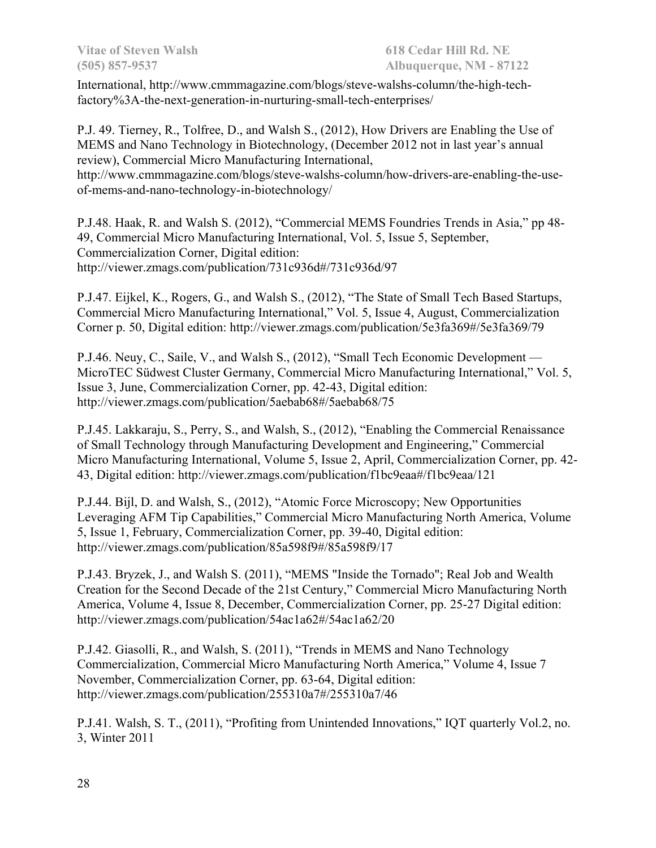International, http://www.cmmmagazine.com/blogs/steve-walshs-column/the-high-techfactory%3A-the-next-generation-in-nurturing-small-tech-enterprises/

P.J. 49. Tierney, R., Tolfree, D., and Walsh S., (2012), How Drivers are Enabling the Use of MEMS and Nano Technology in Biotechnology, (December 2012 not in last year's annual review), Commercial Micro Manufacturing International, http://www.cmmmagazine.com/blogs/steve-walshs-column/how-drivers-are-enabling-the-useof-mems-and-nano-technology-in-biotechnology/

P.J.48. Haak, R. and Walsh S. (2012), "Commercial MEMS Foundries Trends in Asia," pp 48- 49, Commercial Micro Manufacturing International, Vol. 5, Issue 5, September, Commercialization Corner, Digital edition: http://viewer.zmags.com/publication/731c936d#/731c936d/97

P.J.47. Eijkel, K., Rogers, G., and Walsh S., (2012), "The State of Small Tech Based Startups, Commercial Micro Manufacturing International," Vol. 5, Issue 4, August, Commercialization Corner p. 50, Digital edition: http://viewer.zmags.com/publication/5e3fa369#/5e3fa369/79

P.J.46. Neuy, C., Saile, V., and Walsh S., (2012), "Small Tech Economic Development — MicroTEC Südwest Cluster Germany, Commercial Micro Manufacturing International," Vol. 5, Issue 3, June, Commercialization Corner, pp. 42-43, Digital edition: http://viewer.zmags.com/publication/5aebab68#/5aebab68/75

P.J.45. Lakkaraju, S., Perry, S., and Walsh, S., (2012), "Enabling the Commercial Renaissance of Small Technology through Manufacturing Development and Engineering," Commercial Micro Manufacturing International, Volume 5, Issue 2, April, Commercialization Corner, pp. 42- 43, Digital edition: http://viewer.zmags.com/publication/f1bc9eaa#/f1bc9eaa/121

P.J.44. Bijl, D. and Walsh, S., (2012), "Atomic Force Microscopy; New Opportunities Leveraging AFM Tip Capabilities," Commercial Micro Manufacturing North America, Volume 5, Issue 1, February, Commercialization Corner, pp. 39-40, Digital edition: http://viewer.zmags.com/publication/85a598f9#/85a598f9/17

P.J.43. Bryzek, J., and Walsh S. (2011), "MEMS "Inside the Tornado"; Real Job and Wealth Creation for the Second Decade of the 21st Century," Commercial Micro Manufacturing North America, Volume 4, Issue 8, December, Commercialization Corner, pp. 25-27 Digital edition: http://viewer.zmags.com/publication/54ac1a62#/54ac1a62/20

P.J.42. Giasolli, R., and Walsh, S. (2011), "Trends in MEMS and Nano Technology Commercialization, Commercial Micro Manufacturing North America," Volume 4, Issue 7 November, Commercialization Corner, pp. 63-64, Digital edition: http://viewer.zmags.com/publication/255310a7#/255310a7/46

P.J.41. Walsh, S. T., (2011), "Profiting from Unintended Innovations," IQT quarterly Vol.2, no. 3, Winter 2011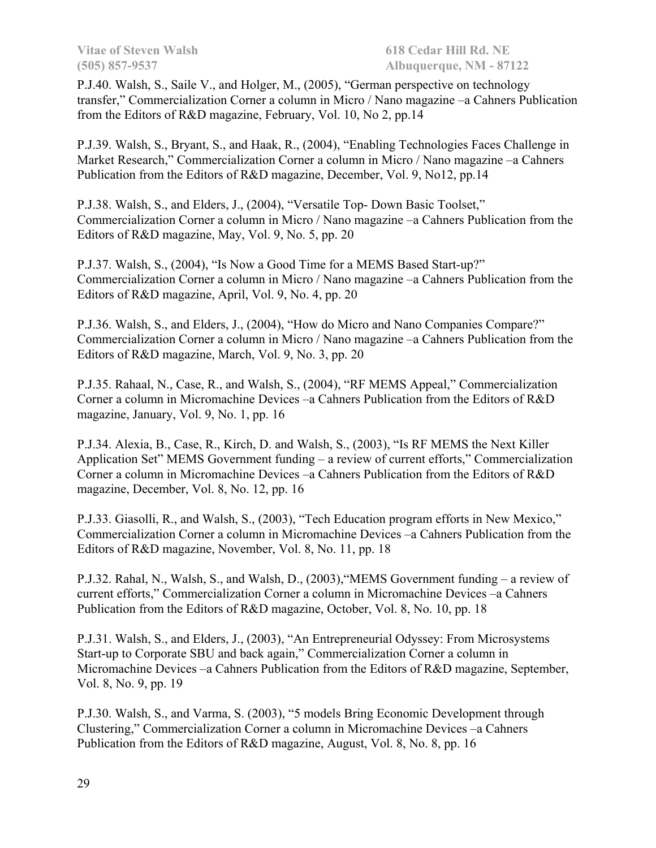P.J.40. Walsh, S., Saile V., and Holger, M., (2005), "German perspective on technology transfer," Commercialization Corner a column in Micro / Nano magazine –a Cahners Publication from the Editors of R&D magazine, February, Vol. 10, No 2, pp.14

P.J.39. Walsh, S., Bryant, S., and Haak, R., (2004), "Enabling Technologies Faces Challenge in Market Research," Commercialization Corner a column in Micro / Nano magazine –a Cahners Publication from the Editors of R&D magazine, December, Vol. 9, No12, pp.14

P.J.38. Walsh, S., and Elders, J., (2004), "Versatile Top- Down Basic Toolset," Commercialization Corner a column in Micro / Nano magazine –a Cahners Publication from the Editors of R&D magazine, May, Vol. 9, No. 5, pp. 20

P.J.37. Walsh, S., (2004), "Is Now a Good Time for a MEMS Based Start-up?" Commercialization Corner a column in Micro / Nano magazine –a Cahners Publication from the Editors of R&D magazine, April, Vol. 9, No. 4, pp. 20

P.J.36. Walsh, S., and Elders, J., (2004), "How do Micro and Nano Companies Compare?" Commercialization Corner a column in Micro / Nano magazine –a Cahners Publication from the Editors of R&D magazine, March, Vol. 9, No. 3, pp. 20

P.J.35. Rahaal, N., Case, R., and Walsh, S., (2004), "RF MEMS Appeal," Commercialization Corner a column in Micromachine Devices –a Cahners Publication from the Editors of R&D magazine, January, Vol. 9, No. 1, pp. 16

P.J.34. Alexia, B., Case, R., Kirch, D. and Walsh, S., (2003), "Is RF MEMS the Next Killer Application Set" MEMS Government funding – a review of current efforts," Commercialization Corner a column in Micromachine Devices –a Cahners Publication from the Editors of R&D magazine, December, Vol. 8, No. 12, pp. 16

P.J.33. Giasolli, R., and Walsh, S., (2003), "Tech Education program efforts in New Mexico," Commercialization Corner a column in Micromachine Devices –a Cahners Publication from the Editors of R&D magazine, November, Vol. 8, No. 11, pp. 18

P.J.32. Rahal, N., Walsh, S., and Walsh, D., (2003),"MEMS Government funding – a review of current efforts," Commercialization Corner a column in Micromachine Devices –a Cahners Publication from the Editors of R&D magazine, October, Vol. 8, No. 10, pp. 18

P.J.31. Walsh, S., and Elders, J., (2003), "An Entrepreneurial Odyssey: From Microsystems Start-up to Corporate SBU and back again," Commercialization Corner a column in Micromachine Devices –a Cahners Publication from the Editors of R&D magazine, September, Vol. 8, No. 9, pp. 19

P.J.30. Walsh, S., and Varma, S. (2003), "5 models Bring Economic Development through Clustering," Commercialization Corner a column in Micromachine Devices –a Cahners Publication from the Editors of R&D magazine, August, Vol. 8, No. 8, pp. 16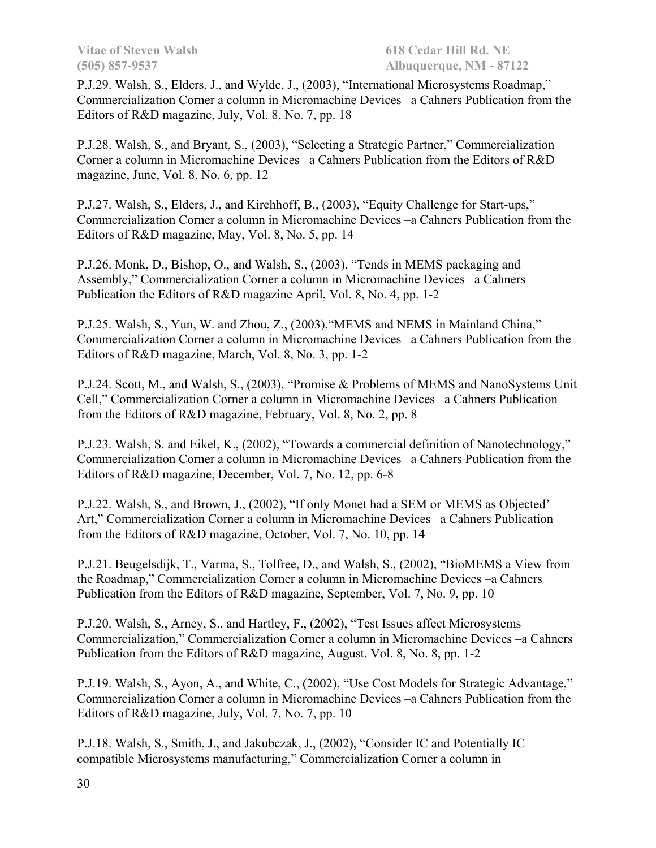P.J.29. Walsh, S., Elders, J., and Wylde, J., (2003), "International Microsystems Roadmap," Commercialization Corner a column in Micromachine Devices –a Cahners Publication from the Editors of R&D magazine, July, Vol. 8, No. 7, pp. 18

P.J.28. Walsh, S., and Bryant, S., (2003), "Selecting a Strategic Partner," Commercialization Corner a column in Micromachine Devices –a Cahners Publication from the Editors of R&D magazine, June, Vol. 8, No. 6, pp. 12

P.J.27. Walsh, S., Elders, J., and Kirchhoff, B., (2003), "Equity Challenge for Start-ups," Commercialization Corner a column in Micromachine Devices –a Cahners Publication from the Editors of R&D magazine, May, Vol. 8, No. 5, pp. 14

P.J.26. Monk, D., Bishop, O., and Walsh, S., (2003), "Tends in MEMS packaging and Assembly," Commercialization Corner a column in Micromachine Devices –a Cahners Publication the Editors of R&D magazine April, Vol. 8, No. 4, pp. 1-2

P.J.25. Walsh, S., Yun, W. and Zhou, Z., (2003),"MEMS and NEMS in Mainland China," Commercialization Corner a column in Micromachine Devices –a Cahners Publication from the Editors of R&D magazine, March, Vol. 8, No. 3, pp. 1-2

P.J.24. Scott, M., and Walsh, S., (2003), "Promise & Problems of MEMS and NanoSystems Unit Cell," Commercialization Corner a column in Micromachine Devices –a Cahners Publication from the Editors of R&D magazine, February, Vol. 8, No. 2, pp. 8

P.J.23. Walsh, S. and Eikel, K., (2002), "Towards a commercial definition of Nanotechnology," Commercialization Corner a column in Micromachine Devices –a Cahners Publication from the Editors of R&D magazine, December, Vol. 7, No. 12, pp. 6-8

P.J.22. Walsh, S., and Brown, J., (2002), "If only Monet had a SEM or MEMS as Objected' Art," Commercialization Corner a column in Micromachine Devices –a Cahners Publication from the Editors of R&D magazine, October, Vol. 7, No. 10, pp. 14

P.J.21. Beugelsdijk, T., Varma, S., Tolfree, D., and Walsh, S., (2002), "BioMEMS a View from the Roadmap," Commercialization Corner a column in Micromachine Devices –a Cahners Publication from the Editors of R&D magazine, September, Vol. 7, No. 9, pp. 10

P.J.20. Walsh, S., Arney, S., and Hartley, F., (2002), "Test Issues affect Microsystems Commercialization," Commercialization Corner a column in Micromachine Devices –a Cahners Publication from the Editors of R&D magazine, August, Vol. 8, No. 8, pp. 1-2

P.J.19. Walsh, S., Ayon, A., and White, C., (2002), "Use Cost Models for Strategic Advantage," Commercialization Corner a column in Micromachine Devices –a Cahners Publication from the Editors of R&D magazine, July, Vol. 7, No. 7, pp. 10

P.J.18. Walsh, S., Smith, J., and Jakubczak, J., (2002), "Consider IC and Potentially IC compatible Microsystems manufacturing," Commercialization Corner a column in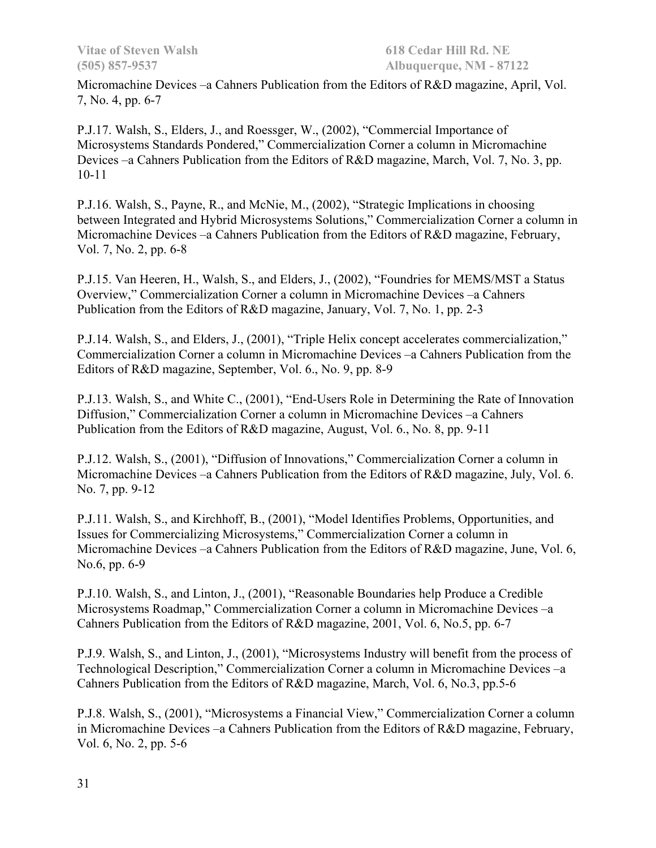Micromachine Devices –a Cahners Publication from the Editors of R&D magazine, April, Vol. 7, No. 4, pp. 6-7

P.J.17. Walsh, S., Elders, J., and Roessger, W., (2002), "Commercial Importance of Microsystems Standards Pondered," Commercialization Corner a column in Micromachine Devices –a Cahners Publication from the Editors of R&D magazine, March, Vol. 7, No. 3, pp. 10-11

P.J.16. Walsh, S., Payne, R., and McNie, M., (2002), "Strategic Implications in choosing between Integrated and Hybrid Microsystems Solutions," Commercialization Corner a column in Micromachine Devices –a Cahners Publication from the Editors of R&D magazine, February, Vol. 7, No. 2, pp. 6-8

P.J.15. Van Heeren, H., Walsh, S., and Elders, J., (2002), "Foundries for MEMS/MST a Status Overview," Commercialization Corner a column in Micromachine Devices –a Cahners Publication from the Editors of R&D magazine, January, Vol. 7, No. 1, pp. 2-3

P.J.14. Walsh, S., and Elders, J., (2001), "Triple Helix concept accelerates commercialization," Commercialization Corner a column in Micromachine Devices –a Cahners Publication from the Editors of R&D magazine, September, Vol. 6., No. 9, pp. 8-9

P.J.13. Walsh, S., and White C., (2001), "End-Users Role in Determining the Rate of Innovation Diffusion," Commercialization Corner a column in Micromachine Devices –a Cahners Publication from the Editors of R&D magazine, August, Vol. 6., No. 8, pp. 9-11

P.J.12. Walsh, S., (2001), "Diffusion of Innovations," Commercialization Corner a column in Micromachine Devices –a Cahners Publication from the Editors of R&D magazine, July, Vol. 6. No. 7, pp. 9-12

P.J.11. Walsh, S., and Kirchhoff, B., (2001), "Model Identifies Problems, Opportunities, and Issues for Commercializing Microsystems," Commercialization Corner a column in Micromachine Devices –a Cahners Publication from the Editors of R&D magazine, June, Vol. 6, No.6, pp. 6-9

P.J.10. Walsh, S., and Linton, J., (2001), "Reasonable Boundaries help Produce a Credible Microsystems Roadmap," Commercialization Corner a column in Micromachine Devices –a Cahners Publication from the Editors of R&D magazine, 2001, Vol. 6, No.5, pp. 6-7

P.J.9. Walsh, S., and Linton, J., (2001), "Microsystems Industry will benefit from the process of Technological Description," Commercialization Corner a column in Micromachine Devices –a Cahners Publication from the Editors of R&D magazine, March, Vol. 6, No.3, pp.5-6

P.J.8. Walsh, S., (2001), "Microsystems a Financial View," Commercialization Corner a column in Micromachine Devices –a Cahners Publication from the Editors of R&D magazine, February, Vol. 6, No. 2, pp. 5-6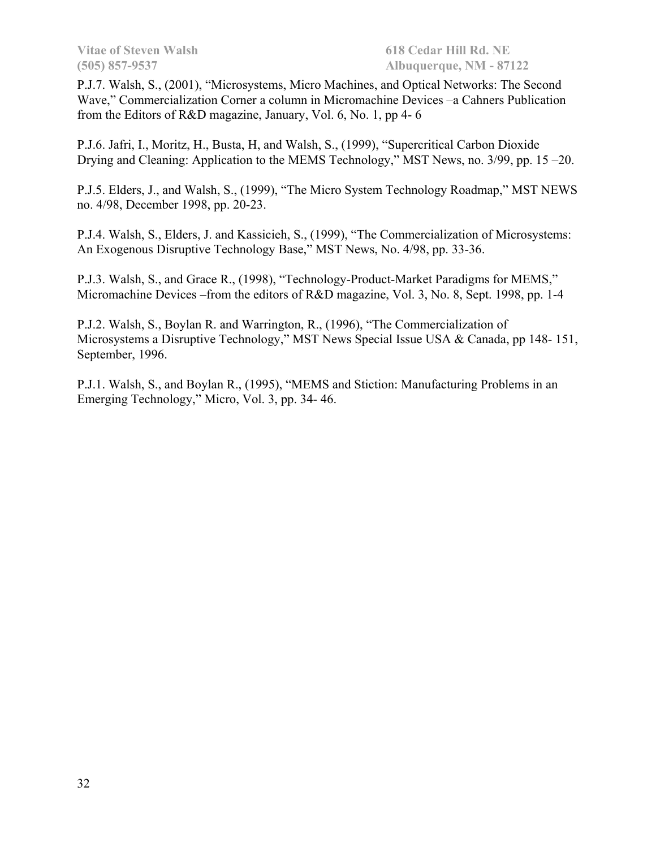P.J.7. Walsh, S., (2001), "Microsystems, Micro Machines, and Optical Networks: The Second Wave," Commercialization Corner a column in Micromachine Devices –a Cahners Publication from the Editors of R&D magazine, January, Vol. 6, No. 1, pp 4- 6

P.J.6. Jafri, I., Moritz, H., Busta, H, and Walsh, S., (1999), "Supercritical Carbon Dioxide Drying and Cleaning: Application to the MEMS Technology," MST News, no. 3/99, pp. 15 –20.

P.J.5. Elders, J., and Walsh, S., (1999), "The Micro System Technology Roadmap," MST NEWS no. 4/98, December 1998, pp. 20-23.

P.J.4. Walsh, S., Elders, J. and Kassicieh, S., (1999), "The Commercialization of Microsystems: An Exogenous Disruptive Technology Base," MST News, No. 4/98, pp. 33-36.

P.J.3. Walsh, S., and Grace R., (1998), "Technology-Product-Market Paradigms for MEMS," Micromachine Devices –from the editors of R&D magazine, Vol. 3, No. 8, Sept. 1998, pp. 1-4

P.J.2. Walsh, S., Boylan R. and Warrington, R., (1996), "The Commercialization of Microsystems a Disruptive Technology," MST News Special Issue USA & Canada, pp 148- 151, September, 1996.

P.J.1. Walsh, S., and Boylan R., (1995), "MEMS and Stiction: Manufacturing Problems in an Emerging Technology," Micro, Vol. 3, pp. 34- 46.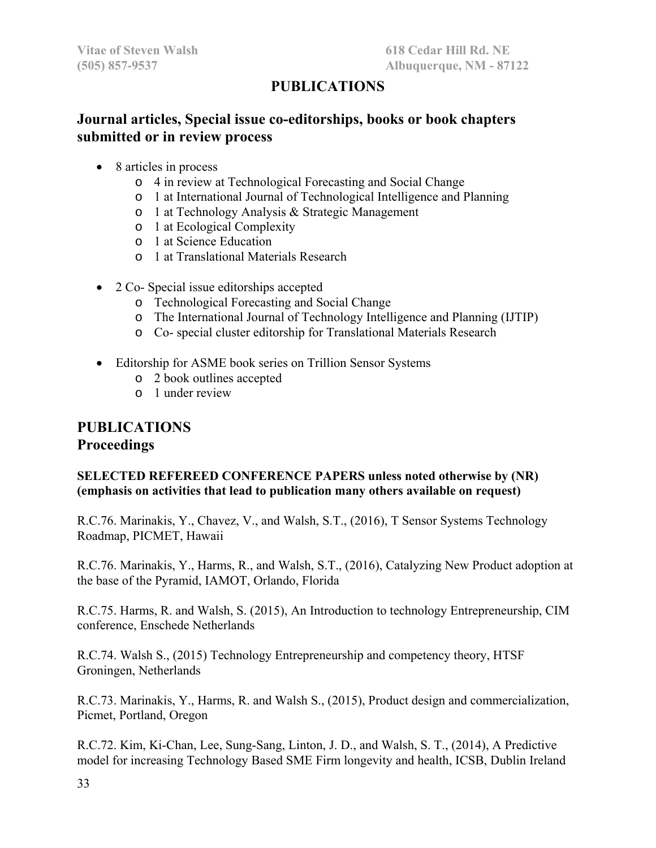# **PUBLICATIONS**

# **Journal articles, Special issue co-editorships, books or book chapters submitted or in review process**

- 8 articles in process
	- o 4 in review at Technological Forecasting and Social Change
	- o 1 at International Journal of Technological Intelligence and Planning
	- o 1 at Technology Analysis & Strategic Management
	- o 1 at Ecological Complexity
	- o 1 at Science Education
	- o 1 at Translational Materials Research
- 2 Co- Special issue editorships accepted
	- o Technological Forecasting and Social Change
	- o The International Journal of Technology Intelligence and Planning (IJTIP)
	- o Co- special cluster editorship for Translational Materials Research
- Editorship for ASME book series on Trillion Sensor Systems
	- o 2 book outlines accepted
	- o 1 under review

# **PUBLICATIONS Proceedings**

### **SELECTED REFEREED CONFERENCE PAPERS unless noted otherwise by (NR) (emphasis on activities that lead to publication many others available on request)**

R.C.76. Marinakis, Y., Chavez, V., and Walsh, S.T., (2016), T Sensor Systems Technology Roadmap, PICMET, Hawaii

R.C.76. Marinakis, Y., Harms, R., and Walsh, S.T., (2016), Catalyzing New Product adoption at the base of the Pyramid, IAMOT, Orlando, Florida

R.C.75. Harms, R. and Walsh, S. (2015), An Introduction to technology Entrepreneurship, CIM conference, Enschede Netherlands

R.C.74. Walsh S., (2015) Technology Entrepreneurship and competency theory, HTSF Groningen, Netherlands

R.C.73. Marinakis, Y., Harms, R. and Walsh S., (2015), Product design and commercialization, Picmet, Portland, Oregon

R.C.72. Kim, Ki-Chan, Lee, Sung-Sang, Linton, J. D., and Walsh, S. T., (2014), A Predictive model for increasing Technology Based SME Firm longevity and health, ICSB, Dublin Ireland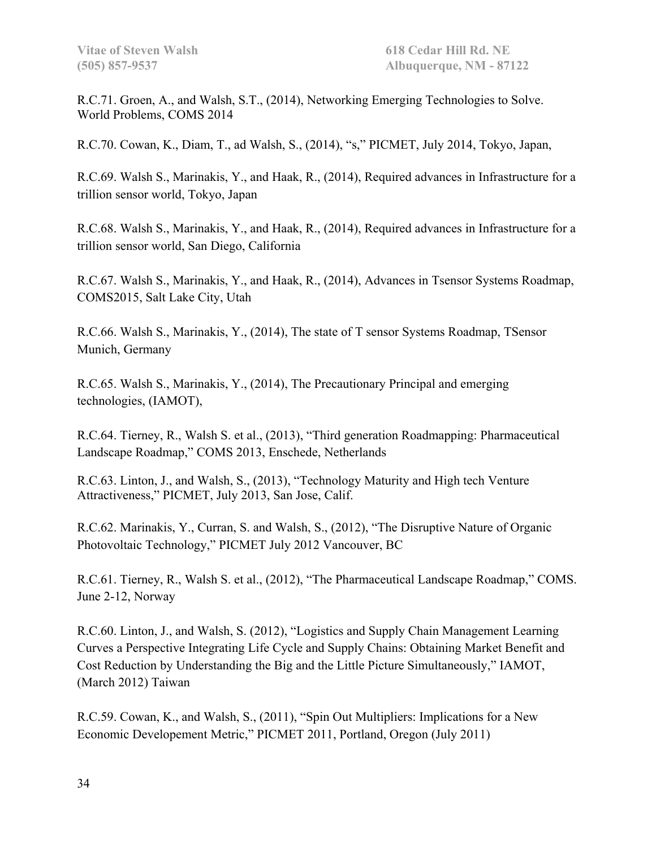R.C.71. Groen, A., and Walsh, S.T., (2014), Networking Emerging Technologies to Solve. World Problems, COMS 2014

R.C.70. Cowan, K., Diam, T., ad Walsh, S., (2014), "s," PICMET, July 2014, Tokyo, Japan,

R.C.69. Walsh S., Marinakis, Y., and Haak, R., (2014), Required advances in Infrastructure for a trillion sensor world, Tokyo, Japan

R.C.68. Walsh S., Marinakis, Y., and Haak, R., (2014), Required advances in Infrastructure for a trillion sensor world, San Diego, California

R.C.67. Walsh S., Marinakis, Y., and Haak, R., (2014), Advances in Tsensor Systems Roadmap, COMS2015, Salt Lake City, Utah

R.C.66. Walsh S., Marinakis, Y., (2014), The state of T sensor Systems Roadmap, TSensor Munich, Germany

R.C.65. Walsh S., Marinakis, Y., (2014), The Precautionary Principal and emerging technologies, (IAMOT),

R.C.64. Tierney, R., Walsh S. et al., (2013), "Third generation Roadmapping: Pharmaceutical Landscape Roadmap," COMS 2013, Enschede, Netherlands

R.C.63. Linton, J., and Walsh, S., (2013), "Technology Maturity and High tech Venture Attractiveness," PICMET, July 2013, San Jose, Calif.

R.C.62. Marinakis, Y., Curran, S. and Walsh, S., (2012), "The Disruptive Nature of Organic Photovoltaic Technology," PICMET July 2012 Vancouver, BC

R.C.61. Tierney, R., Walsh S. et al., (2012), "The Pharmaceutical Landscape Roadmap," COMS. June 2-12, Norway

R.C.60. Linton, J., and Walsh, S. (2012), "Logistics and Supply Chain Management Learning Curves a Perspective Integrating Life Cycle and Supply Chains: Obtaining Market Benefit and Cost Reduction by Understanding the Big and the Little Picture Simultaneously," IAMOT, (March 2012) Taiwan

R.C.59. Cowan, K., and Walsh, S., (2011), "Spin Out Multipliers: Implications for a New Economic Developement Metric," PICMET 2011, Portland, Oregon (July 2011)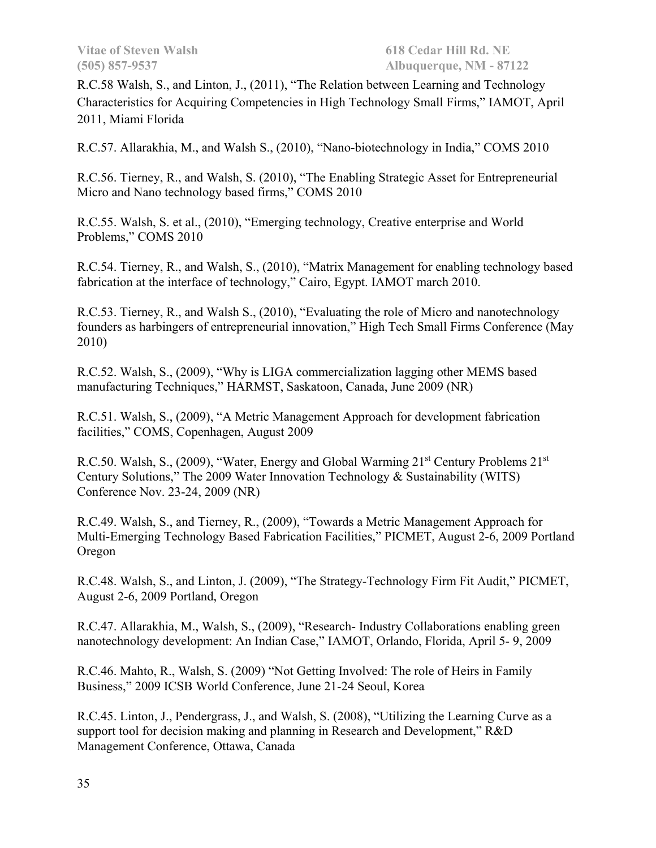R.C.58 Walsh, S., and Linton, J., (2011), "The Relation between Learning and Technology Characteristics for Acquiring Competencies in High Technology Small Firms," IAMOT, April 2011, Miami Florida

R.C.57. Allarakhia, M., and Walsh S., (2010), "Nano-biotechnology in India," COMS 2010

R.C.56. Tierney, R., and Walsh, S. (2010), "The Enabling Strategic Asset for Entrepreneurial Micro and Nano technology based firms," COMS 2010

R.C.55. Walsh, S. et al., (2010), "Emerging technology, Creative enterprise and World Problems," COMS 2010

R.C.54. Tierney, R., and Walsh, S., (2010), "Matrix Management for enabling technology based fabrication at the interface of technology," Cairo, Egypt. IAMOT march 2010.

R.C.53. Tierney, R., and Walsh S., (2010), "Evaluating the role of Micro and nanotechnology founders as harbingers of entrepreneurial innovation," High Tech Small Firms Conference (May 2010)

R.C.52. Walsh, S., (2009), "Why is LIGA commercialization lagging other MEMS based manufacturing Techniques," HARMST, Saskatoon, Canada, June 2009 (NR)

R.C.51. Walsh, S., (2009), "A Metric Management Approach for development fabrication facilities," COMS, Copenhagen, August 2009

R.C.50. Walsh, S., (2009), "Water, Energy and Global Warming  $21<sup>st</sup>$  Century Problems  $21<sup>st</sup>$ Century Solutions," The 2009 Water Innovation Technology & Sustainability (WITS) Conference Nov. 23-24, 2009 (NR)

R.C.49. Walsh, S., and Tierney, R., (2009), "Towards a Metric Management Approach for Multi-Emerging Technology Based Fabrication Facilities," PICMET, August 2-6, 2009 Portland Oregon

R.C.48. Walsh, S., and Linton, J. (2009), "The Strategy-Technology Firm Fit Audit," PICMET, August 2-6, 2009 Portland, Oregon

R.C.47. Allarakhia, M., Walsh, S., (2009), "Research- Industry Collaborations enabling green nanotechnology development: An Indian Case," IAMOT, Orlando, Florida, April 5- 9, 2009

R.C.46. Mahto, R., Walsh, S. (2009) "Not Getting Involved: The role of Heirs in Family Business," 2009 ICSB World Conference, June 21-24 Seoul, Korea

R.C.45. Linton, J., Pendergrass, J., and Walsh, S. (2008), "Utilizing the Learning Curve as a support tool for decision making and planning in Research and Development," R&D Management Conference, Ottawa, Canada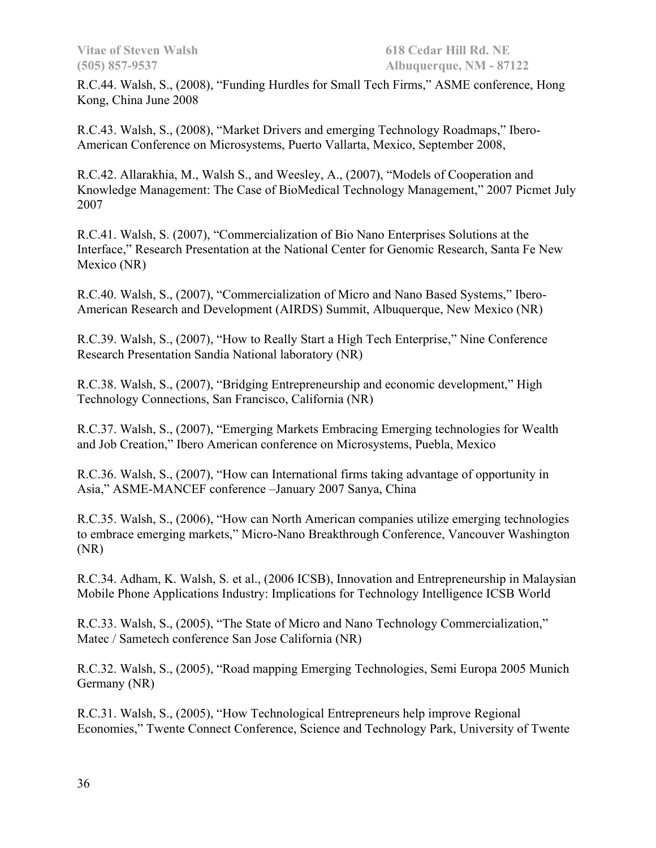R.C.44. Walsh, S., (2008), "Funding Hurdles for Small Tech Firms," ASME conference, Hong Kong, China June 2008

R.C.43. Walsh, S., (2008), "Market Drivers and emerging Technology Roadmaps," Ibero-American Conference on Microsystems, Puerto Vallarta, Mexico, September 2008,

R.C.42. Allarakhia, M., Walsh S., and Weesley, A., (2007), "Models of Cooperation and Knowledge Management: The Case of BioMedical Technology Management," 2007 Picmet July 2007

R.C.41. Walsh, S. (2007), "Commercialization of Bio Nano Enterprises Solutions at the Interface," Research Presentation at the National Center for Genomic Research, Santa Fe New Mexico (NR)

R.C.40. Walsh, S., (2007), "Commercialization of Micro and Nano Based Systems," Ibero-American Research and Development (AIRDS) Summit, Albuquerque, New Mexico (NR)

R.C.39. Walsh, S., (2007), "How to Really Start a High Tech Enterprise," Nine Conference Research Presentation Sandia National laboratory (NR)

R.C.38. Walsh, S., (2007), "Bridging Entrepreneurship and economic development," High Technology Connections, San Francisco, California (NR)

R.C.37. Walsh, S., (2007), "Emerging Markets Embracing Emerging technologies for Wealth and Job Creation," Ibero American conference on Microsystems, Puebla, Mexico

R.C.36. Walsh, S., (2007), "How can International firms taking advantage of opportunity in Asia," ASME-MANCEF conference –January 2007 Sanya, China

R.C.35. Walsh, S., (2006), "How can North American companies utilize emerging technologies to embrace emerging markets," Micro-Nano Breakthrough Conference, Vancouver Washington (NR)

R.C.34. Adham, K. Walsh, S. et al., (2006 ICSB), Innovation and Entrepreneurship in Malaysian Mobile Phone Applications Industry: Implications for Technology Intelligence ICSB World

R.C.33. Walsh, S., (2005), "The State of Micro and Nano Technology Commercialization," Matec / Sametech conference San Jose California (NR)

R.C.32. Walsh, S., (2005), "Road mapping Emerging Technologies, Semi Europa 2005 Munich Germany (NR)

R.C.31. Walsh, S., (2005), "How Technological Entrepreneurs help improve Regional Economies," Twente Connect Conference, Science and Technology Park, University of Twente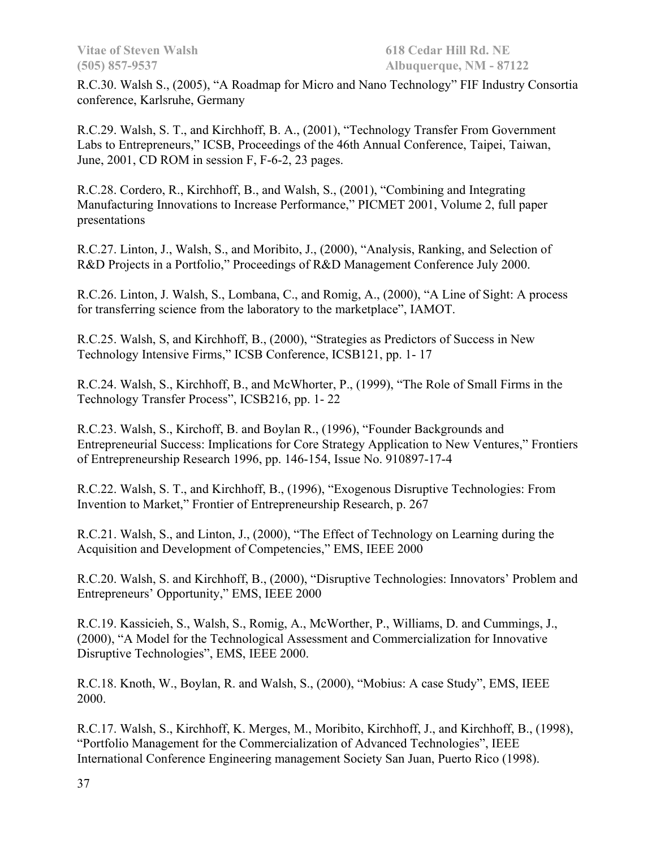R.C.30. Walsh S., (2005), "A Roadmap for Micro and Nano Technology" FIF Industry Consortia conference, Karlsruhe, Germany

R.C.29. Walsh, S. T., and Kirchhoff, B. A., (2001), "Technology Transfer From Government Labs to Entrepreneurs," ICSB, Proceedings of the 46th Annual Conference, Taipei, Taiwan, June, 2001, CD ROM in session F, F-6-2, 23 pages.

R.C.28. Cordero, R., Kirchhoff, B., and Walsh, S., (2001), "Combining and Integrating Manufacturing Innovations to Increase Performance," PICMET 2001, Volume 2, full paper presentations

R.C.27. Linton, J., Walsh, S., and Moribito, J., (2000), "Analysis, Ranking, and Selection of R&D Projects in a Portfolio," Proceedings of R&D Management Conference July 2000.

R.C.26. Linton, J. Walsh, S., Lombana, C., and Romig, A., (2000), "A Line of Sight: A process for transferring science from the laboratory to the marketplace", IAMOT.

R.C.25. Walsh, S, and Kirchhoff, B., (2000), "Strategies as Predictors of Success in New Technology Intensive Firms," ICSB Conference, ICSB121, pp. 1- 17

R.C.24. Walsh, S., Kirchhoff, B., and McWhorter, P., (1999), "The Role of Small Firms in the Technology Transfer Process", ICSB216, pp. 1- 22

R.C.23. Walsh, S., Kirchoff, B. and Boylan R., (1996), "Founder Backgrounds and Entrepreneurial Success: Implications for Core Strategy Application to New Ventures," Frontiers of Entrepreneurship Research 1996, pp. 146-154, Issue No. 910897-17-4

R.C.22. Walsh, S. T., and Kirchhoff, B., (1996), "Exogenous Disruptive Technologies: From Invention to Market," Frontier of Entrepreneurship Research, p. 267

R.C.21. Walsh, S., and Linton, J., (2000), "The Effect of Technology on Learning during the Acquisition and Development of Competencies," EMS, IEEE 2000

R.C.20. Walsh, S. and Kirchhoff, B., (2000), "Disruptive Technologies: Innovators' Problem and Entrepreneurs' Opportunity," EMS, IEEE 2000

R.C.19. Kassicieh, S., Walsh, S., Romig, A., McWorther, P., Williams, D. and Cummings, J., (2000), "A Model for the Technological Assessment and Commercialization for Innovative Disruptive Technologies", EMS, IEEE 2000.

R.C.18. Knoth, W., Boylan, R. and Walsh, S., (2000), "Mobius: A case Study", EMS, IEEE 2000.

R.C.17. Walsh, S., Kirchhoff, K. Merges, M., Moribito, Kirchhoff, J., and Kirchhoff, B., (1998), "Portfolio Management for the Commercialization of Advanced Technologies", IEEE International Conference Engineering management Society San Juan, Puerto Rico (1998).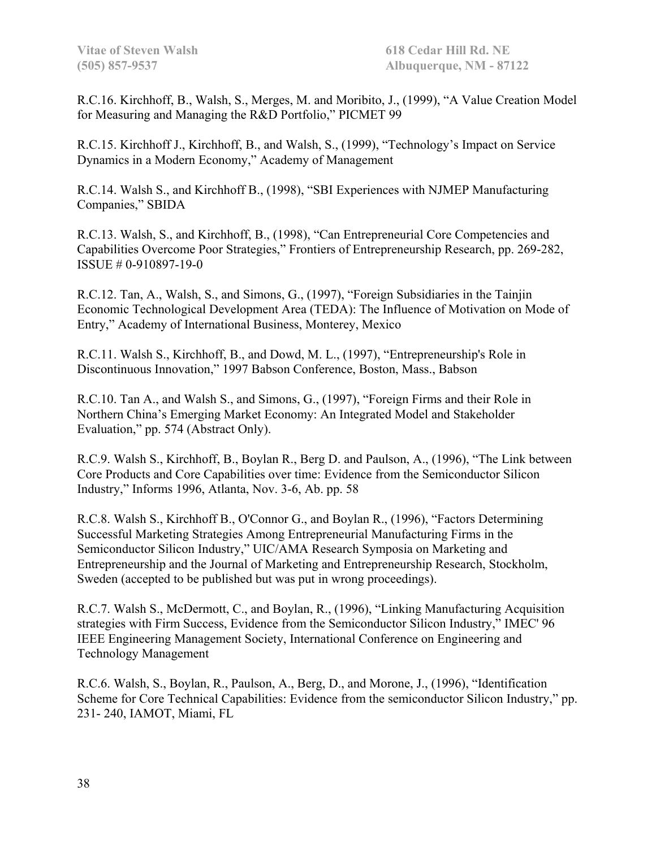R.C.16. Kirchhoff, B., Walsh, S., Merges, M. and Moribito, J., (1999), "A Value Creation Model for Measuring and Managing the R&D Portfolio," PICMET 99

R.C.15. Kirchhoff J., Kirchhoff, B., and Walsh, S., (1999), "Technology's Impact on Service Dynamics in a Modern Economy," Academy of Management

R.C.14. Walsh S., and Kirchhoff B., (1998), "SBI Experiences with NJMEP Manufacturing Companies," SBIDA

R.C.13. Walsh, S., and Kirchhoff, B., (1998), "Can Entrepreneurial Core Competencies and Capabilities Overcome Poor Strategies," Frontiers of Entrepreneurship Research, pp. 269-282, ISSUE # 0-910897-19-0

R.C.12. Tan, A., Walsh, S., and Simons, G., (1997), "Foreign Subsidiaries in the Tainjin Economic Technological Development Area (TEDA): The Influence of Motivation on Mode of Entry," Academy of International Business, Monterey, Mexico

R.C.11. Walsh S., Kirchhoff, B., and Dowd, M. L., (1997), "Entrepreneurship's Role in Discontinuous Innovation," 1997 Babson Conference, Boston, Mass., Babson

R.C.10. Tan A., and Walsh S., and Simons, G., (1997), "Foreign Firms and their Role in Northern China's Emerging Market Economy: An Integrated Model and Stakeholder Evaluation," pp. 574 (Abstract Only).

R.C.9. Walsh S., Kirchhoff, B., Boylan R., Berg D. and Paulson, A., (1996), "The Link between Core Products and Core Capabilities over time: Evidence from the Semiconductor Silicon Industry," Informs 1996, Atlanta, Nov. 3-6, Ab. pp. 58

R.C.8. Walsh S., Kirchhoff B., O'Connor G., and Boylan R., (1996), "Factors Determining Successful Marketing Strategies Among Entrepreneurial Manufacturing Firms in the Semiconductor Silicon Industry," UIC/AMA Research Symposia on Marketing and Entrepreneurship and the Journal of Marketing and Entrepreneurship Research, Stockholm, Sweden (accepted to be published but was put in wrong proceedings).

R.C.7. Walsh S., McDermott, C., and Boylan, R., (1996), "Linking Manufacturing Acquisition strategies with Firm Success, Evidence from the Semiconductor Silicon Industry," IMEC' 96 IEEE Engineering Management Society, International Conference on Engineering and Technology Management

R.C.6. Walsh, S., Boylan, R., Paulson, A., Berg, D., and Morone, J., (1996), "Identification Scheme for Core Technical Capabilities: Evidence from the semiconductor Silicon Industry," pp. 231- 240, IAMOT, Miami, FL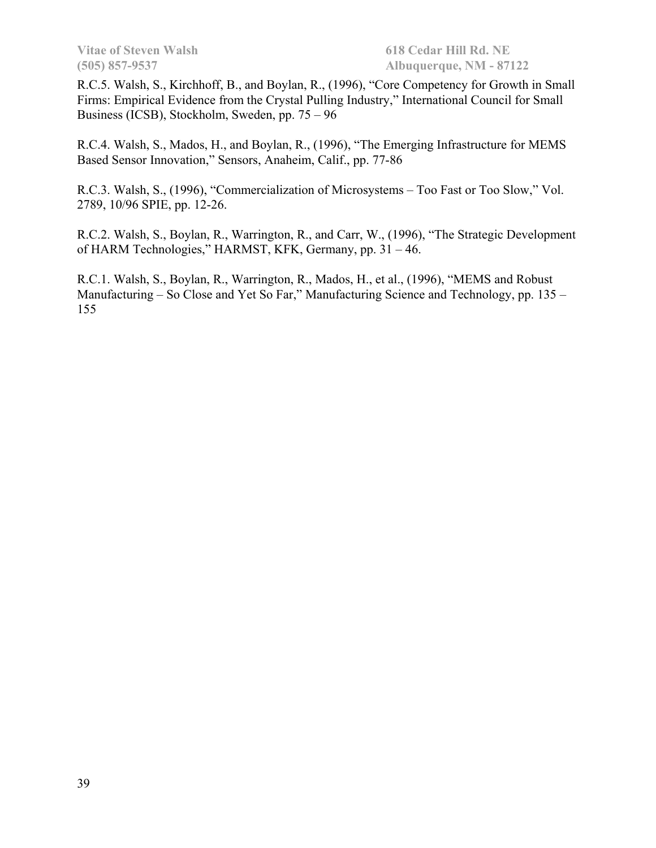R.C.5. Walsh, S., Kirchhoff, B., and Boylan, R., (1996), "Core Competency for Growth in Small Firms: Empirical Evidence from the Crystal Pulling Industry," International Council for Small Business (ICSB), Stockholm, Sweden, pp. 75 – 96

R.C.4. Walsh, S., Mados, H., and Boylan, R., (1996), "The Emerging Infrastructure for MEMS Based Sensor Innovation," Sensors, Anaheim, Calif., pp. 77-86

R.C.3. Walsh, S., (1996), "Commercialization of Microsystems – Too Fast or Too Slow," Vol. 2789, 10/96 SPIE, pp. 12-26.

R.C.2. Walsh, S., Boylan, R., Warrington, R., and Carr, W., (1996), "The Strategic Development of HARM Technologies," HARMST, KFK, Germany, pp. 31 – 46.

R.C.1. Walsh, S., Boylan, R., Warrington, R., Mados, H., et al., (1996), "MEMS and Robust Manufacturing – So Close and Yet So Far," Manufacturing Science and Technology, pp. 135 – 155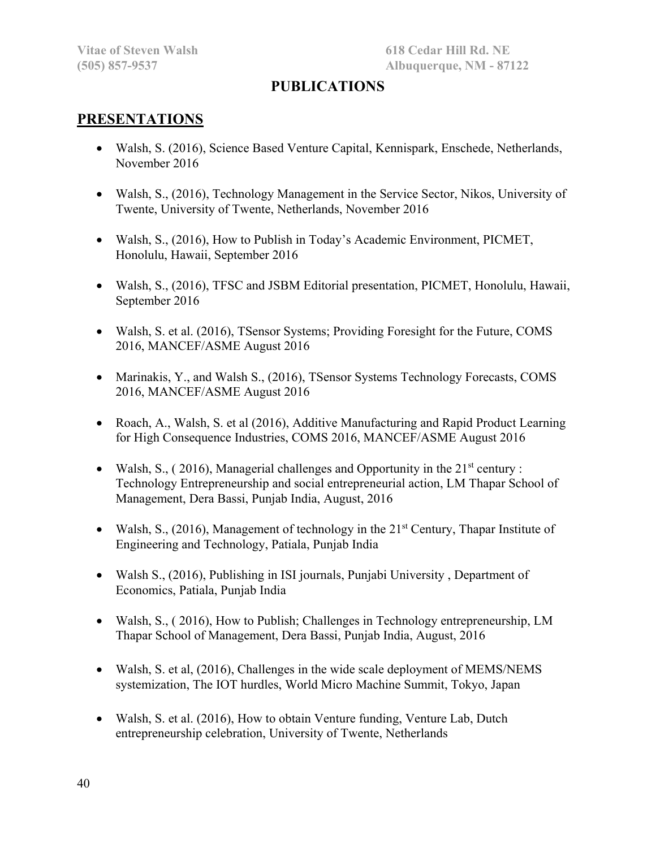# **PUBLICATIONS**

# **PRESENTATIONS**

- Walsh, S. (2016), Science Based Venture Capital, Kennispark, Enschede, Netherlands, November 2016
- Walsh, S., (2016), Technology Management in the Service Sector, Nikos, University of Twente, University of Twente, Netherlands, November 2016
- Walsh, S., (2016), How to Publish in Today's Academic Environment, PICMET, Honolulu, Hawaii, September 2016
- Walsh, S., (2016), TFSC and JSBM Editorial presentation, PICMET, Honolulu, Hawaii, September 2016
- Walsh, S. et al. (2016), TSensor Systems; Providing Foresight for the Future, COMS 2016, MANCEF/ASME August 2016
- Marinakis, Y., and Walsh S., (2016), TSensor Systems Technology Forecasts, COMS 2016, MANCEF/ASME August 2016
- Roach, A., Walsh, S. et al (2016), Additive Manufacturing and Rapid Product Learning for High Consequence Industries, COMS 2016, MANCEF/ASME August 2016
- Walsh, S., (2016), Managerial challenges and Opportunity in the  $21<sup>st</sup>$  century : Technology Entrepreneurship and social entrepreneurial action, LM Thapar School of Management, Dera Bassi, Punjab India, August, 2016
- Walsh, S., (2016), Management of technology in the  $21<sup>st</sup>$  Century, Thapar Institute of Engineering and Technology, Patiala, Punjab India
- Walsh S., (2016), Publishing in ISI journals, Punjabi University, Department of Economics, Patiala, Punjab India
- Walsh, S., ( 2016), How to Publish; Challenges in Technology entrepreneurship, LM Thapar School of Management, Dera Bassi, Punjab India, August, 2016
- Walsh, S. et al, (2016), Challenges in the wide scale deployment of MEMS/NEMS systemization, The IOT hurdles, World Micro Machine Summit, Tokyo, Japan
- Walsh, S. et al. (2016), How to obtain Venture funding, Venture Lab, Dutch entrepreneurship celebration, University of Twente, Netherlands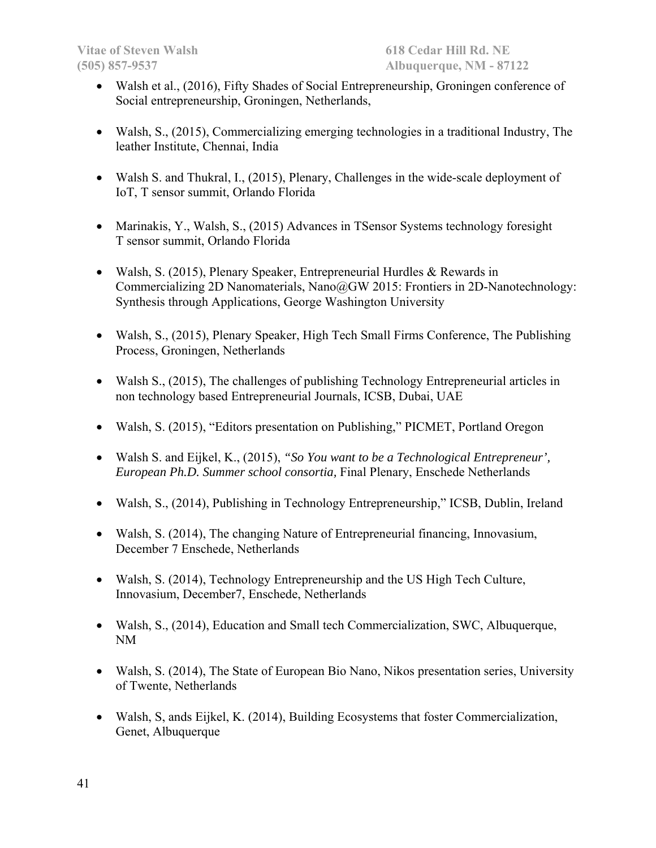- Walsh et al., (2016), Fifty Shades of Social Entrepreneurship, Groningen conference of Social entrepreneurship, Groningen, Netherlands,
- Walsh, S., (2015), Commercializing emerging technologies in a traditional Industry, The leather Institute, Chennai, India
- Walsh S. and Thukral, I., (2015), Plenary, Challenges in the wide-scale deployment of IoT, T sensor summit, Orlando Florida
- Marinakis, Y., Walsh, S., (2015) Advances in TSensor Systems technology foresight T sensor summit, Orlando Florida
- Walsh, S. (2015), Plenary Speaker, Entrepreneurial Hurdles & Rewards in Commercializing 2D Nanomaterials, Nano@GW 2015: Frontiers in 2D-Nanotechnology: Synthesis through Applications, George Washington University
- Walsh, S., (2015), Plenary Speaker, High Tech Small Firms Conference, The Publishing Process, Groningen, Netherlands
- Walsh S., (2015), The challenges of publishing Technology Entrepreneurial articles in non technology based Entrepreneurial Journals, ICSB, Dubai, UAE
- Walsh, S. (2015), "Editors presentation on Publishing," PICMET, Portland Oregon
- Walsh S. and Eijkel, K., (2015), *"So You want to be a Technological Entrepreneur', European Ph.D. Summer school consortia,* Final Plenary, Enschede Netherlands
- Walsh, S., (2014), Publishing in Technology Entrepreneurship," ICSB, Dublin, Ireland
- Walsh, S. (2014), The changing Nature of Entrepreneurial financing, Innovasium, December 7 Enschede, Netherlands
- Walsh, S. (2014), Technology Entrepreneurship and the US High Tech Culture, Innovasium, December7, Enschede, Netherlands
- Walsh, S., (2014), Education and Small tech Commercialization, SWC, Albuquerque, NM
- Walsh, S. (2014), The State of European Bio Nano, Nikos presentation series, University of Twente, Netherlands
- Walsh, S, ands Eijkel, K. (2014), Building Ecosystems that foster Commercialization, Genet, Albuquerque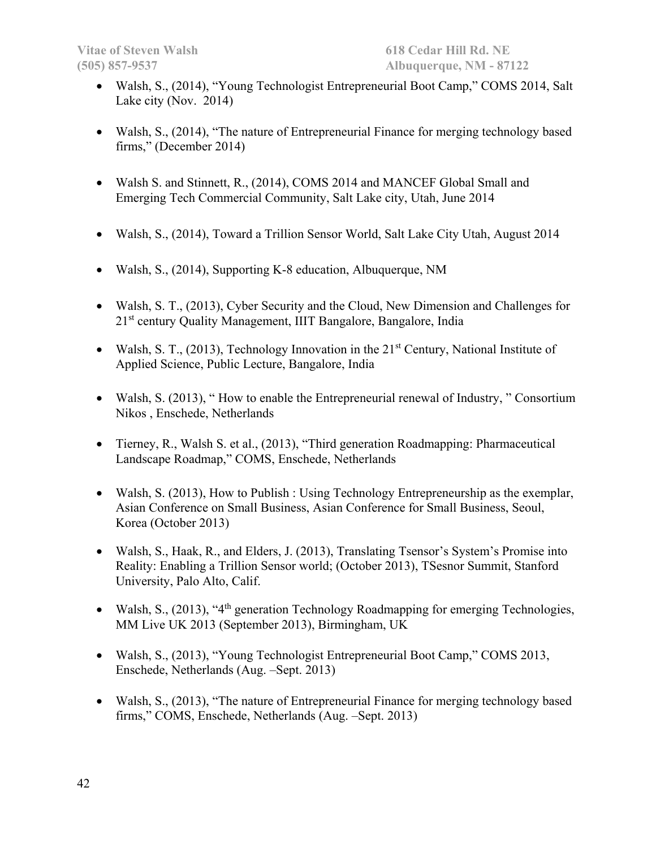- Walsh, S., (2014), "Young Technologist Entrepreneurial Boot Camp," COMS 2014, Salt Lake city (Nov. 2014)
- Walsh, S., (2014), "The nature of Entrepreneurial Finance for merging technology based firms," (December 2014)
- Walsh S. and Stinnett, R., (2014), COMS 2014 and MANCEF Global Small and Emerging Tech Commercial Community, Salt Lake city, Utah, June 2014
- Walsh, S., (2014), Toward a Trillion Sensor World, Salt Lake City Utah, August 2014
- Walsh, S., (2014), Supporting K-8 education, Albuquerque, NM
- Walsh, S. T., (2013), Cyber Security and the Cloud, New Dimension and Challenges for 21<sup>st</sup> century Quality Management, IIIT Bangalore, Bangalore, India
- Walsh, S. T., (2013), Technology Innovation in the  $21<sup>st</sup>$  Century, National Institute of Applied Science, Public Lecture, Bangalore, India
- Walsh, S. (2013), "How to enable the Entrepreneurial renewal of Industry, "Consortium Nikos , Enschede, Netherlands
- Tierney, R., Walsh S. et al., (2013), "Third generation Roadmapping: Pharmaceutical Landscape Roadmap," COMS, Enschede, Netherlands
- Walsh, S. (2013), How to Publish : Using Technology Entrepreneurship as the exemplar, Asian Conference on Small Business, Asian Conference for Small Business, Seoul, Korea (October 2013)
- Walsh, S., Haak, R., and Elders, J. (2013), Translating Tsensor's System's Promise into Reality: Enabling a Trillion Sensor world; (October 2013), TSesnor Summit, Stanford University, Palo Alto, Calif.
- Walsh, S.,  $(2013)$ , "4<sup>th</sup> generation Technology Roadmapping for emerging Technologies, MM Live UK 2013 (September 2013), Birmingham, UK
- Walsh, S., (2013), "Young Technologist Entrepreneurial Boot Camp," COMS 2013, Enschede, Netherlands (Aug. –Sept. 2013)
- Walsh, S., (2013), "The nature of Entrepreneurial Finance for merging technology based firms," COMS, Enschede, Netherlands (Aug. –Sept. 2013)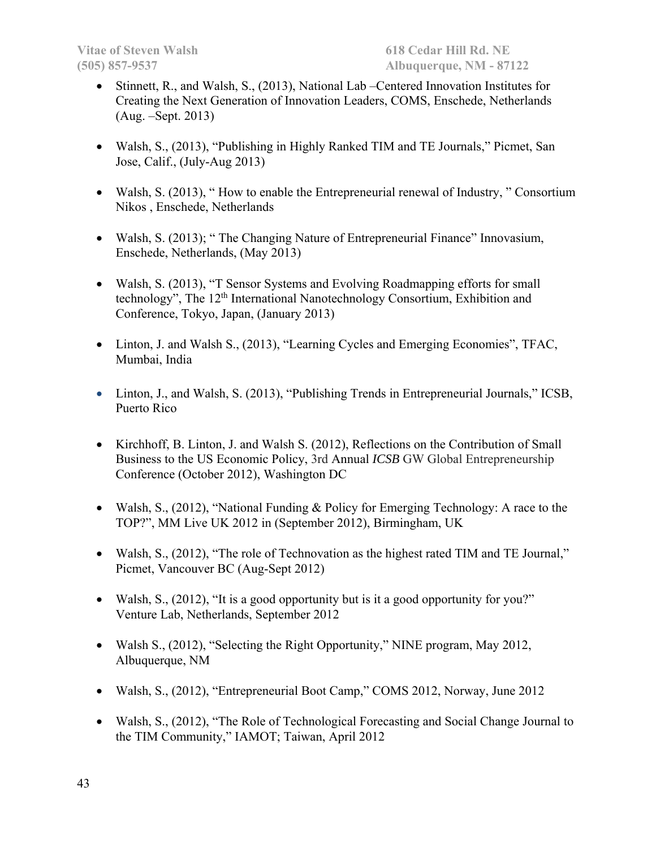- Stinnett, R., and Walsh, S., (2013), National Lab –Centered Innovation Institutes for Creating the Next Generation of Innovation Leaders, COMS, Enschede, Netherlands (Aug. –Sept. 2013)
- Walsh, S., (2013), "Publishing in Highly Ranked TIM and TE Journals," Picmet, San Jose, Calif., (July-Aug 2013)
- Walsh, S. (2013), " How to enable the Entrepreneurial renewal of Industry, " Consortium Nikos , Enschede, Netherlands
- Walsh, S. (2013); " The Changing Nature of Entrepreneurial Finance" Innovasium, Enschede, Netherlands, (May 2013)
- Walsh, S. (2013), "T Sensor Systems and Evolving Roadmapping efforts for small technology", The 12<sup>th</sup> International Nanotechnology Consortium, Exhibition and Conference, Tokyo, Japan, (January 2013)
- Linton, J. and Walsh S., (2013), "Learning Cycles and Emerging Economies", TFAC, Mumbai, India
- Linton, J., and Walsh, S. (2013), "Publishing Trends in Entrepreneurial Journals," ICSB, Puerto Rico
- Kirchhoff, B. Linton, J. and Walsh S. (2012), Reflections on the Contribution of Small Business to the US Economic Policy, 3rd Annual *ICSB* GW Global Entrepreneurship Conference (October 2012), Washington DC
- Walsh, S., (2012), "National Funding & Policy for Emerging Technology: A race to the TOP?", MM Live UK 2012 in (September 2012), Birmingham, UK
- Walsh, S., (2012), "The role of Technovation as the highest rated TIM and TE Journal," Picmet, Vancouver BC (Aug-Sept 2012)
- Walsh, S., (2012), "It is a good opportunity but is it a good opportunity for you?" Venture Lab, Netherlands, September 2012
- Walsh S., (2012), "Selecting the Right Opportunity," NINE program, May 2012, Albuquerque, NM
- Walsh, S., (2012), "Entrepreneurial Boot Camp," COMS 2012, Norway, June 2012
- Walsh, S., (2012), "The Role of Technological Forecasting and Social Change Journal to the TIM Community," IAMOT; Taiwan, April 2012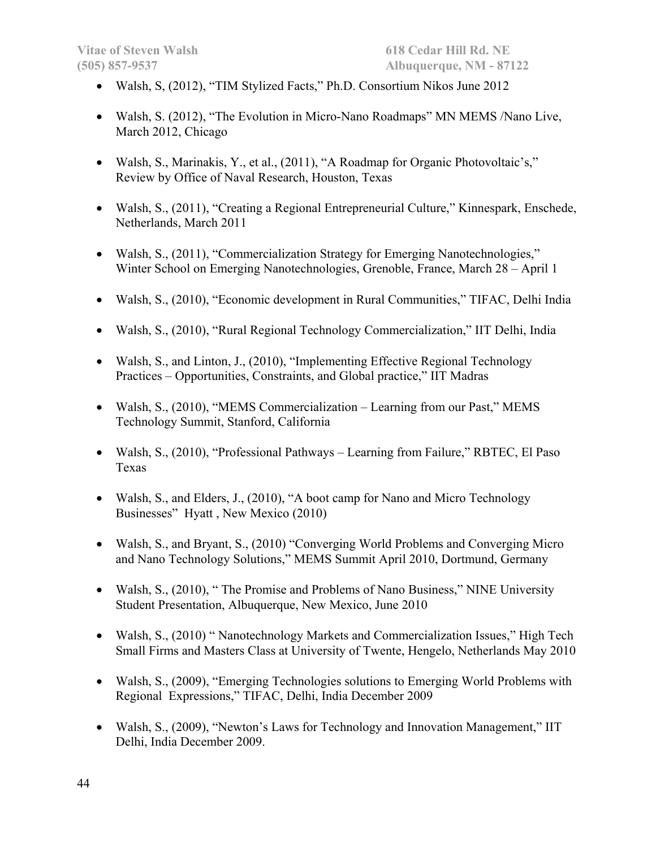- Walsh, S, (2012), "TIM Stylized Facts," Ph.D. Consortium Nikos June 2012
- Walsh, S. (2012), "The Evolution in Micro-Nano Roadmaps" MN MEMS /Nano Live, March 2012, Chicago
- Walsh, S., Marinakis, Y., et al., (2011), "A Roadmap for Organic Photovoltaic's," Review by Office of Naval Research, Houston, Texas
- Walsh, S., (2011), "Creating a Regional Entrepreneurial Culture," Kinnespark, Enschede, Netherlands, March 2011
- Walsh, S., (2011), "Commercialization Strategy for Emerging Nanotechnologies," Winter School on Emerging Nanotechnologies, Grenoble, France, March 28 – April 1
- Walsh, S., (2010), "Economic development in Rural Communities," TIFAC, Delhi India
- Walsh, S., (2010), "Rural Regional Technology Commercialization," IIT Delhi, India
- Walsh, S., and Linton, J., (2010), "Implementing Effective Regional Technology Practices – Opportunities, Constraints, and Global practice," IIT Madras
- Walsh, S., (2010), "MEMS Commercialization Learning from our Past," MEMS Technology Summit, Stanford, California
- Walsh, S., (2010), "Professional Pathways Learning from Failure," RBTEC, El Paso Texas
- Walsh, S., and Elders, J., (2010), "A boot camp for Nano and Micro Technology Businesses" Hyatt , New Mexico (2010)
- Walsh, S., and Bryant, S., (2010) "Converging World Problems and Converging Micro and Nano Technology Solutions," MEMS Summit April 2010, Dortmund, Germany
- Walsh, S., (2010), " The Promise and Problems of Nano Business," NINE University Student Presentation, Albuquerque, New Mexico, June 2010
- Walsh, S., (2010) " Nanotechnology Markets and Commercialization Issues," High Tech Small Firms and Masters Class at University of Twente, Hengelo, Netherlands May 2010
- Walsh, S., (2009), "Emerging Technologies solutions to Emerging World Problems with Regional Expressions," TIFAC, Delhi, India December 2009
- Walsh, S., (2009), "Newton's Laws for Technology and Innovation Management," IIT Delhi, India December 2009.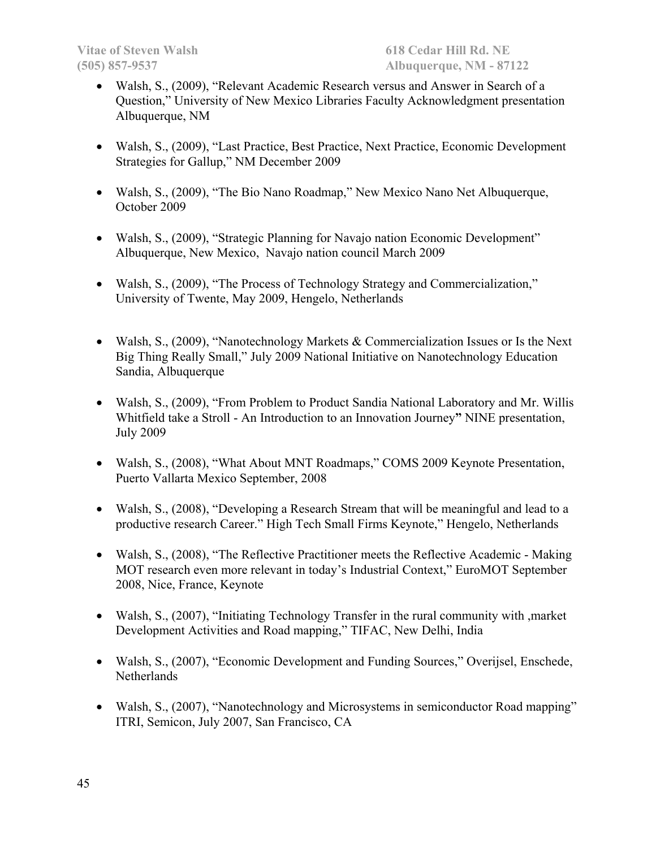- Walsh, S., (2009), "Relevant Academic Research versus and Answer in Search of a Question," University of New Mexico Libraries Faculty Acknowledgment presentation Albuquerque, NM
- Walsh, S., (2009), "Last Practice, Best Practice, Next Practice, Economic Development Strategies for Gallup," NM December 2009
- Walsh, S., (2009), "The Bio Nano Roadmap," New Mexico Nano Net Albuquerque, October 2009
- Walsh, S., (2009), "Strategic Planning for Navajo nation Economic Development" Albuquerque, New Mexico, Navajo nation council March 2009
- Walsh, S., (2009), "The Process of Technology Strategy and Commercialization," University of Twente, May 2009, Hengelo, Netherlands
- Walsh, S., (2009), "Nanotechnology Markets & Commercialization Issues or Is the Next Big Thing Really Small," July 2009 National Initiative on Nanotechnology Education Sandia, Albuquerque
- Walsh, S., (2009), "From Problem to Product Sandia National Laboratory and Mr. Willis Whitfield take a Stroll - An Introduction to an Innovation Journey**"** NINE presentation, July 2009
- Walsh, S., (2008), "What About MNT Roadmaps," COMS 2009 Keynote Presentation, Puerto Vallarta Mexico September, 2008
- Walsh, S., (2008), "Developing a Research Stream that will be meaningful and lead to a productive research Career." High Tech Small Firms Keynote," Hengelo, Netherlands
- Walsh, S., (2008), "The Reflective Practitioner meets the Reflective Academic Making MOT research even more relevant in today's Industrial Context," EuroMOT September 2008, Nice, France, Keynote
- Walsh, S., (2007), "Initiating Technology Transfer in the rural community with ,market Development Activities and Road mapping," TIFAC, New Delhi, India
- Walsh, S., (2007), "Economic Development and Funding Sources," Overijsel, Enschede, Netherlands
- Walsh, S., (2007), "Nanotechnology and Microsystems in semiconductor Road mapping" ITRI, Semicon, July 2007, San Francisco, CA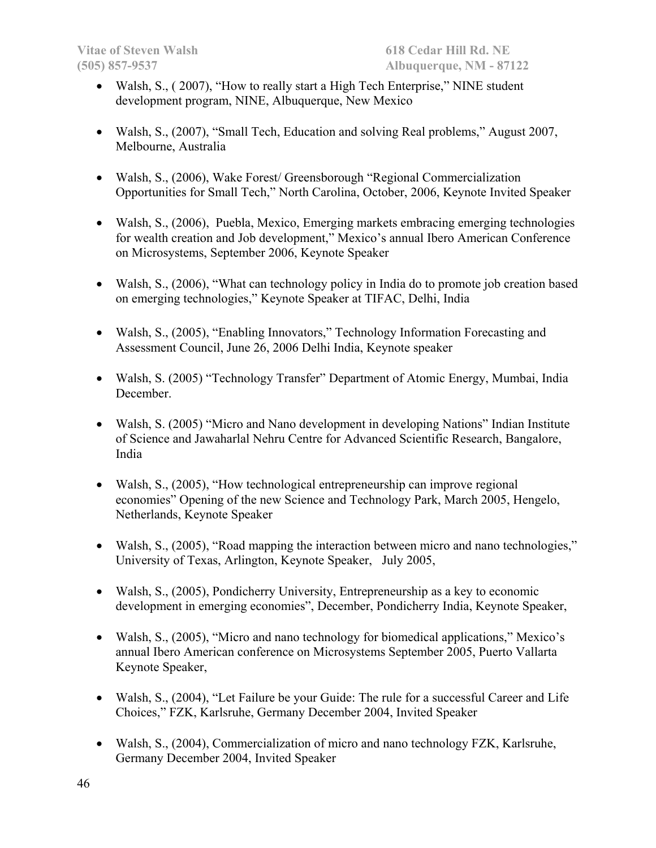- Walsh, S., (2007), "How to really start a High Tech Enterprise," NINE student development program, NINE, Albuquerque, New Mexico
- Walsh, S., (2007), "Small Tech, Education and solving Real problems," August 2007, Melbourne, Australia
- Walsh, S., (2006), Wake Forest/ Greensborough "Regional Commercialization Opportunities for Small Tech," North Carolina, October, 2006, Keynote Invited Speaker
- Walsh, S., (2006), Puebla, Mexico, Emerging markets embracing emerging technologies for wealth creation and Job development," Mexico's annual Ibero American Conference on Microsystems, September 2006, Keynote Speaker
- Walsh, S., (2006), "What can technology policy in India do to promote job creation based on emerging technologies," Keynote Speaker at TIFAC, Delhi, India
- Walsh, S., (2005), "Enabling Innovators," Technology Information Forecasting and Assessment Council, June 26, 2006 Delhi India, Keynote speaker
- Walsh, S. (2005) "Technology Transfer" Department of Atomic Energy, Mumbai, India December.
- Walsh, S. (2005) "Micro and Nano development in developing Nations" Indian Institute of Science and Jawaharlal Nehru Centre for Advanced Scientific Research, Bangalore, India
- Walsh, S., (2005), "How technological entrepreneurship can improve regional economies" Opening of the new Science and Technology Park, March 2005, Hengelo, Netherlands, Keynote Speaker
- Walsh, S., (2005), "Road mapping the interaction between micro and nano technologies," University of Texas, Arlington, Keynote Speaker, July 2005,
- Walsh, S., (2005), Pondicherry University, Entrepreneurship as a key to economic development in emerging economies", December, Pondicherry India, Keynote Speaker,
- Walsh, S., (2005), "Micro and nano technology for biomedical applications," Mexico's annual Ibero American conference on Microsystems September 2005, Puerto Vallarta Keynote Speaker,
- Walsh, S., (2004), "Let Failure be your Guide: The rule for a successful Career and Life Choices," FZK, Karlsruhe, Germany December 2004, Invited Speaker
- Walsh, S., (2004), Commercialization of micro and nano technology FZK, Karlsruhe, Germany December 2004, Invited Speaker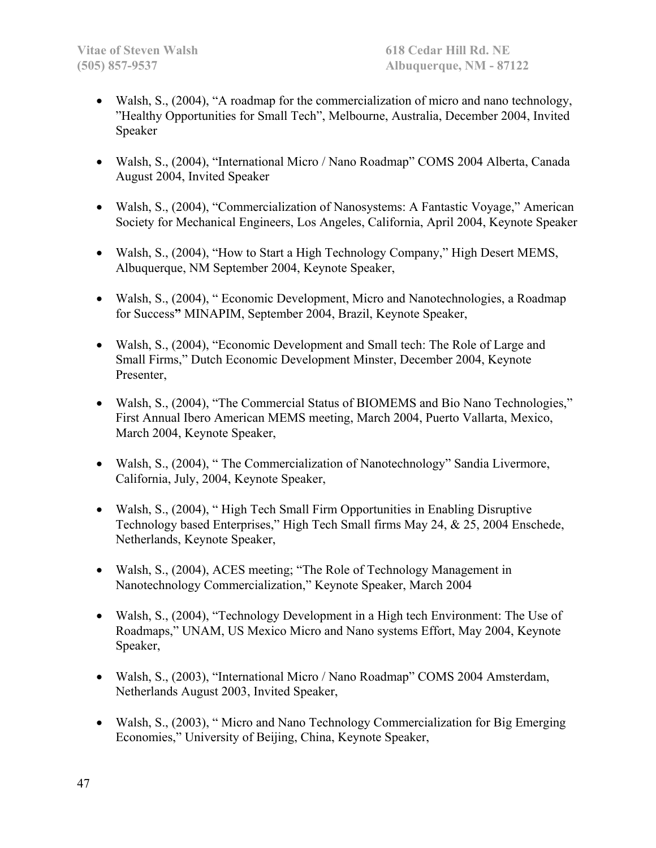- Walsh, S., (2004), "A roadmap for the commercialization of micro and nano technology, "Healthy Opportunities for Small Tech", Melbourne, Australia, December 2004, Invited Speaker
- Walsh, S., (2004), "International Micro / Nano Roadmap" COMS 2004 Alberta, Canada August 2004, Invited Speaker
- Walsh, S., (2004), "Commercialization of Nanosystems: A Fantastic Voyage," American Society for Mechanical Engineers, Los Angeles, California, April 2004, Keynote Speaker
- Walsh, S., (2004), "How to Start a High Technology Company," High Desert MEMS, Albuquerque, NM September 2004, Keynote Speaker,
- Walsh, S., (2004), " Economic Development, Micro and Nanotechnologies, a Roadmap for Success**"** MINAPIM, September 2004, Brazil, Keynote Speaker,
- Walsh, S., (2004), "Economic Development and Small tech: The Role of Large and Small Firms," Dutch Economic Development Minster, December 2004, Keynote Presenter,
- Walsh, S., (2004), "The Commercial Status of BIOMEMS and Bio Nano Technologies," First Annual Ibero American MEMS meeting, March 2004, Puerto Vallarta, Mexico, March 2004, Keynote Speaker,
- Walsh, S., (2004), "The Commercialization of Nanotechnology" Sandia Livermore, California, July, 2004, Keynote Speaker,
- Walsh, S., (2004), "High Tech Small Firm Opportunities in Enabling Disruptive Technology based Enterprises," High Tech Small firms May 24, & 25, 2004 Enschede, Netherlands, Keynote Speaker,
- Walsh, S., (2004), ACES meeting; "The Role of Technology Management in Nanotechnology Commercialization," Keynote Speaker, March 2004
- Walsh, S., (2004), "Technology Development in a High tech Environment: The Use of Roadmaps," UNAM, US Mexico Micro and Nano systems Effort, May 2004, Keynote Speaker,
- Walsh, S., (2003), "International Micro / Nano Roadmap" COMS 2004 Amsterdam, Netherlands August 2003, Invited Speaker,
- Walsh, S., (2003), "Micro and Nano Technology Commercialization for Big Emerging Economies," University of Beijing, China, Keynote Speaker,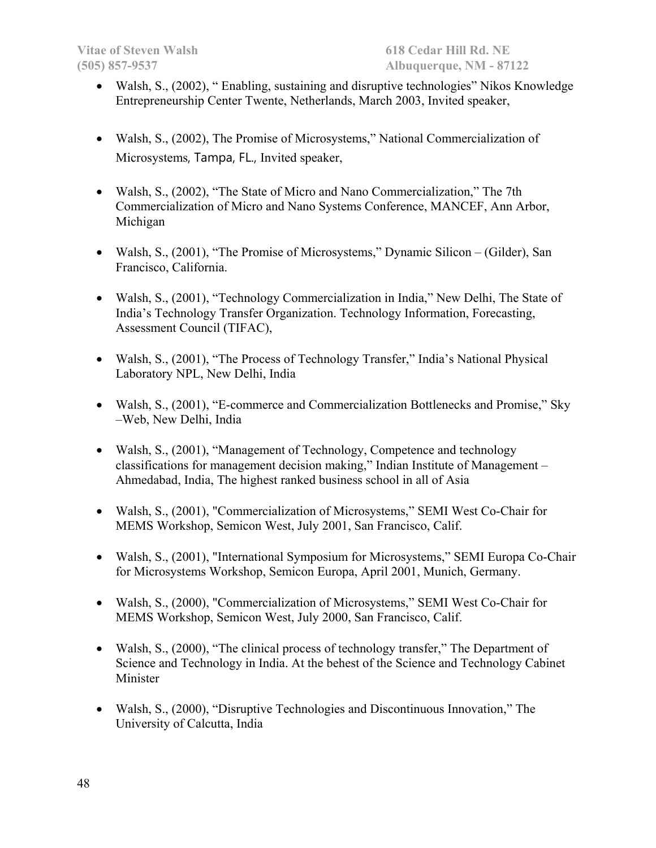- Walsh, S., (2002), " Enabling, sustaining and disruptive technologies" Nikos Knowledge Entrepreneurship Center Twente, Netherlands, March 2003, Invited speaker,
- Walsh, S., (2002), The Promise of Microsystems," National Commercialization of Microsystems, Tampa, FL., Invited speaker,
- Walsh, S., (2002), "The State of Micro and Nano Commercialization," The 7th Commercialization of Micro and Nano Systems Conference, MANCEF, Ann Arbor, Michigan
- Walsh, S., (2001), "The Promise of Microsystems," Dynamic Silicon (Gilder), San Francisco, California.
- Walsh, S., (2001), "Technology Commercialization in India," New Delhi, The State of India's Technology Transfer Organization. Technology Information, Forecasting, Assessment Council (TIFAC),
- Walsh, S., (2001), "The Process of Technology Transfer," India's National Physical Laboratory NPL, New Delhi, India
- Walsh, S., (2001), "E-commerce and Commercialization Bottlenecks and Promise," Sky –Web, New Delhi, India
- Walsh, S., (2001), "Management of Technology, Competence and technology classifications for management decision making," Indian Institute of Management – Ahmedabad, India, The highest ranked business school in all of Asia
- Walsh, S., (2001), "Commercialization of Microsystems," SEMI West Co-Chair for MEMS Workshop, Semicon West, July 2001, San Francisco, Calif.
- Walsh, S., (2001), "International Symposium for Microsystems," SEMI Europa Co-Chair for Microsystems Workshop, Semicon Europa, April 2001, Munich, Germany.
- Walsh, S., (2000), "Commercialization of Microsystems," SEMI West Co-Chair for MEMS Workshop, Semicon West, July 2000, San Francisco, Calif.
- Walsh, S., (2000), "The clinical process of technology transfer," The Department of Science and Technology in India. At the behest of the Science and Technology Cabinet Minister
- Walsh, S., (2000), "Disruptive Technologies and Discontinuous Innovation," The University of Calcutta, India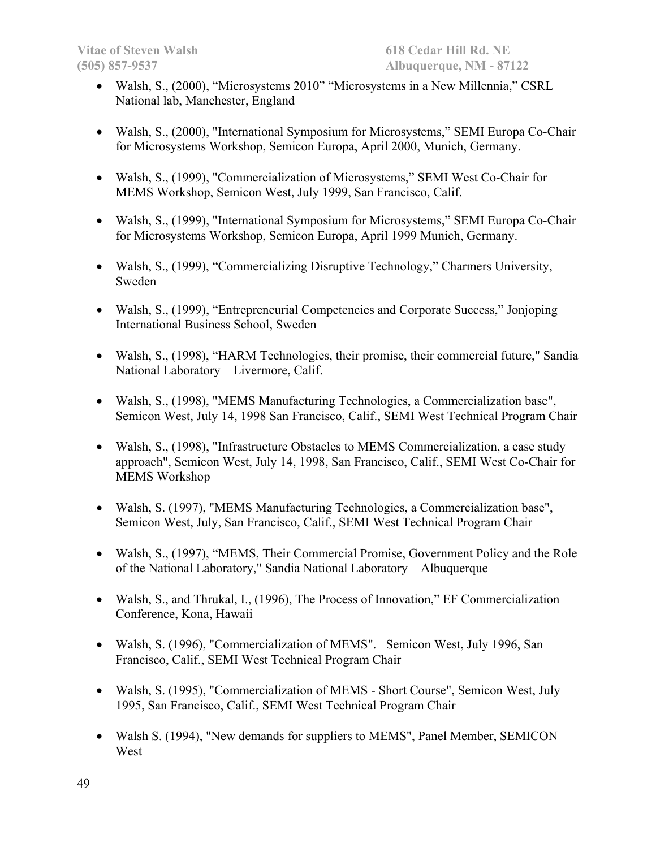- Walsh, S., (2000), "Microsystems 2010" "Microsystems in a New Millennia," CSRL National lab, Manchester, England
- Walsh, S., (2000), "International Symposium for Microsystems," SEMI Europa Co-Chair for Microsystems Workshop, Semicon Europa, April 2000, Munich, Germany.
- Walsh, S., (1999), "Commercialization of Microsystems," SEMI West Co-Chair for MEMS Workshop, Semicon West, July 1999, San Francisco, Calif.
- Walsh, S., (1999), "International Symposium for Microsystems," SEMI Europa Co-Chair for Microsystems Workshop, Semicon Europa, April 1999 Munich, Germany.
- Walsh, S., (1999), "Commercializing Disruptive Technology," Charmers University, Sweden
- Walsh, S., (1999), "Entrepreneurial Competencies and Corporate Success," Jonjoping International Business School, Sweden
- Walsh, S., (1998), "HARM Technologies, their promise, their commercial future," Sandia National Laboratory – Livermore, Calif.
- Walsh, S., (1998), "MEMS Manufacturing Technologies, a Commercialization base", Semicon West, July 14, 1998 San Francisco, Calif., SEMI West Technical Program Chair
- Walsh, S., (1998), "Infrastructure Obstacles to MEMS Commercialization, a case study approach", Semicon West, July 14, 1998, San Francisco, Calif., SEMI West Co-Chair for MEMS Workshop
- Walsh, S. (1997), "MEMS Manufacturing Technologies, a Commercialization base", Semicon West, July, San Francisco, Calif., SEMI West Technical Program Chair
- Walsh, S., (1997), "MEMS, Their Commercial Promise, Government Policy and the Role of the National Laboratory," Sandia National Laboratory – Albuquerque
- Walsh, S., and Thrukal, I., (1996), The Process of Innovation," EF Commercialization Conference, Kona, Hawaii
- Walsh, S. (1996), "Commercialization of MEMS". Semicon West, July 1996, San Francisco, Calif., SEMI West Technical Program Chair
- Walsh, S. (1995), "Commercialization of MEMS Short Course", Semicon West, July 1995, San Francisco, Calif., SEMI West Technical Program Chair
- Walsh S. (1994), "New demands for suppliers to MEMS", Panel Member, SEMICON West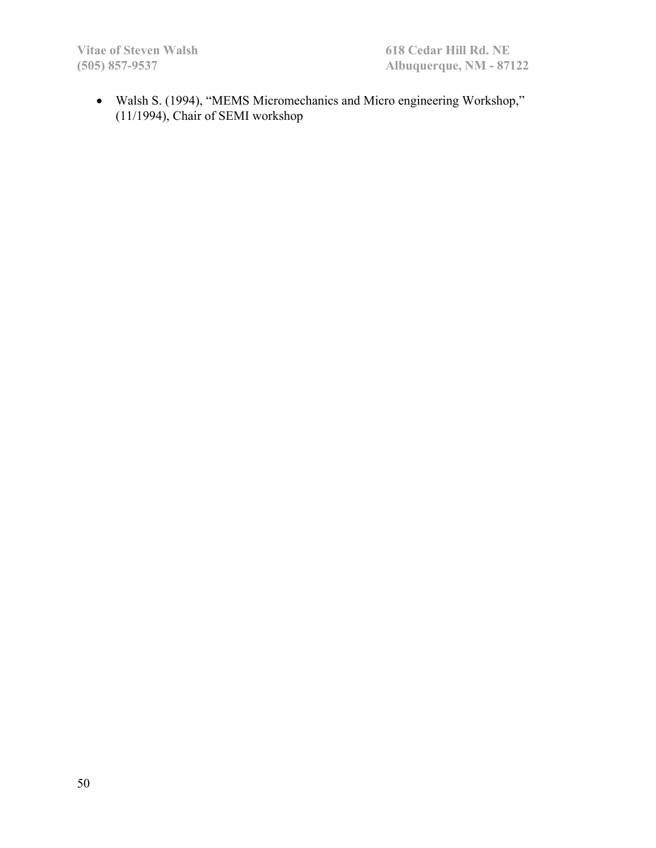Walsh S. (1994), "MEMS Micromechanics and Micro engineering Workshop," (11/1994), Chair of SEMI workshop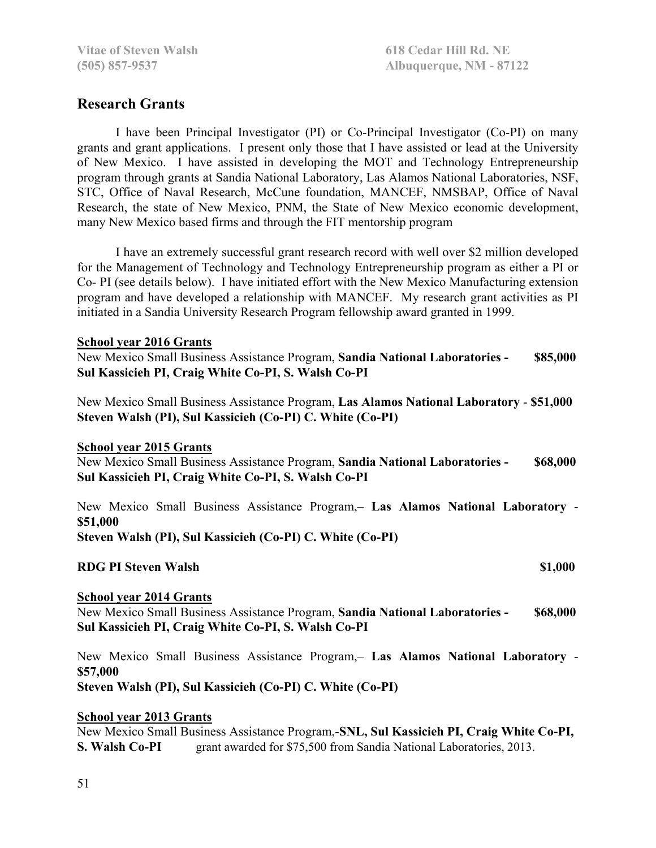# **Research Grants**

I have been Principal Investigator (PI) or Co-Principal Investigator (Co-PI) on many grants and grant applications. I present only those that I have assisted or lead at the University of New Mexico. I have assisted in developing the MOT and Technology Entrepreneurship program through grants at Sandia National Laboratory, Las Alamos National Laboratories, NSF, STC, Office of Naval Research, McCune foundation, MANCEF, NMSBAP, Office of Naval Research, the state of New Mexico, PNM, the State of New Mexico economic development, many New Mexico based firms and through the FIT mentorship program

 I have an extremely successful grant research record with well over \$2 million developed for the Management of Technology and Technology Entrepreneurship program as either a PI or Co- PI (see details below). I have initiated effort with the New Mexico Manufacturing extension program and have developed a relationship with MANCEF. My research grant activities as PI initiated in a Sandia University Research Program fellowship award granted in 1999.

#### **School year 2016 Grants**

New Mexico Small Business Assistance Program, **Sandia National Laboratories - \$85,000 Sul Kassicieh PI, Craig White Co-PI, S. Walsh Co-PI**

New Mexico Small Business Assistance Program, **Las Alamos National Laboratory** - **\$51,000 Steven Walsh (PI), Sul Kassicieh (Co-PI) C. White (Co-PI)** 

#### **School year 2015 Grants**

New Mexico Small Business Assistance Program, **Sandia National Laboratories - \$68,000 Sul Kassicieh PI, Craig White Co-PI, S. Walsh Co-PI**

New Mexico Small Business Assistance Program,– **Las Alamos National Laboratory** - **\$51,000 Steven Walsh (PI), Sul Kassicieh (Co-PI) C. White (Co-PI)** 

**RDG PI Steven Walsh \$1,000 \$1,000** 

#### **School year 2014 Grants**

New Mexico Small Business Assistance Program, **Sandia National Laboratories - \$68,000 Sul Kassicieh PI, Craig White Co-PI, S. Walsh Co-PI**

New Mexico Small Business Assistance Program,– **Las Alamos National Laboratory** - **\$57,000 Steven Walsh (PI), Sul Kassicieh (Co-PI) C. White (Co-PI)** 

#### **School year 2013 Grants**

New Mexico Small Business Assistance Program,-**SNL, Sul Kassicieh PI, Craig White Co-PI, S. Walsh Co-PI** grant awarded for \$75,500 from Sandia National Laboratories, 2013.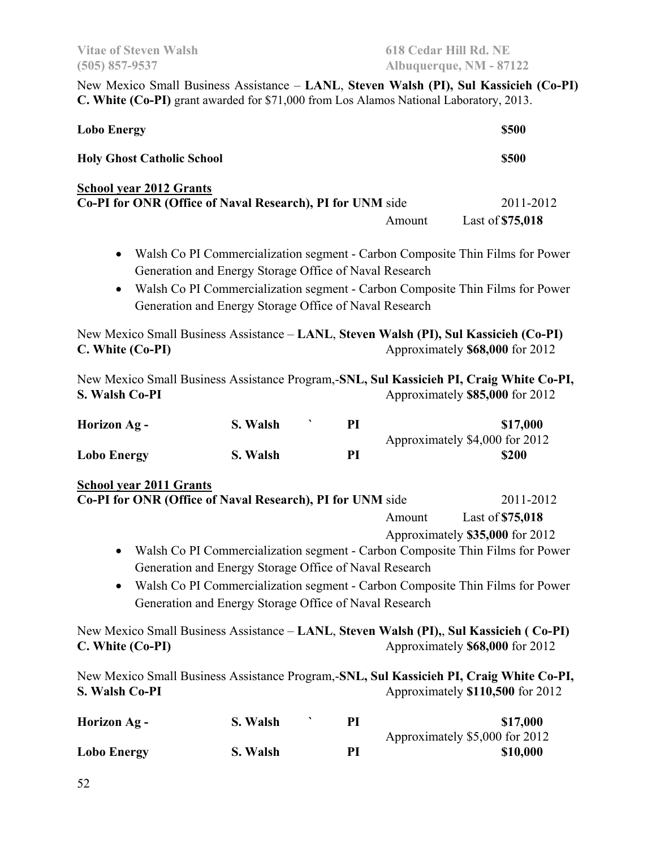New Mexico Small Business Assistance – **LANL**, **Steven Walsh (PI), Sul Kassicieh (Co-PI) C. White (Co-PI)** grant awarded for \$71,000 from Los Alamos National Laboratory, 2013. **Lobo Energy** \$500

**Holy Ghost Catholic School \$500**

### **School year 2012 Grants**

| Co-PI for ONR (Office of Naval Research), PI for UNM side | 2011-2012        |
|-----------------------------------------------------------|------------------|
| Amount                                                    | Last of \$75,018 |

- Walsh Co PI Commercialization segment Carbon Composite Thin Films for Power Generation and Energy Storage Office of Naval Research
- Walsh Co PI Commercialization segment Carbon Composite Thin Films for Power Generation and Energy Storage Office of Naval Research

New Mexico Small Business Assistance – **LANL**, **Steven Walsh (PI), Sul Kassicieh (Co-PI) C. White (Co-PI)** Approximately **\$68,000** for 2012

New Mexico Small Business Assistance Program,-**SNL, Sul Kassicieh PI, Craig White Co-PI, S. Walsh Co-PI** Approximately **\$85,000** for 2012

| Horizon Ag -       | S. Walsh | РI | \$17,000                       |
|--------------------|----------|----|--------------------------------|
|                    |          |    | Approximately \$4,000 for 2012 |
| <b>Lobo Energy</b> | S. Walsh | PI | \$200                          |

#### **School year 2011 Grants**

| Co-PI for ONR (Office of Naval Research), PI for UNM side |                                                        |    |        | 2011-2012                                                                                                                 |
|-----------------------------------------------------------|--------------------------------------------------------|----|--------|---------------------------------------------------------------------------------------------------------------------------|
|                                                           |                                                        |    | Amount | Last of \$75,018                                                                                                          |
|                                                           |                                                        |    |        | Approximately \$35,000 for 2012                                                                                           |
| $\bullet$                                                 |                                                        |    |        | Walsh Co PI Commercialization segment - Carbon Composite Thin Films for Power                                             |
|                                                           | Generation and Energy Storage Office of Naval Research |    |        |                                                                                                                           |
| $\bullet$                                                 |                                                        |    |        | Walsh Co PI Commercialization segment - Carbon Composite Thin Films for Power                                             |
|                                                           | Generation and Energy Storage Office of Naval Research |    |        |                                                                                                                           |
| C. White (Co-PI)                                          |                                                        |    |        | New Mexico Small Business Assistance – LANL, Steven Walsh (PI),, Sul Kassicieh (Co-PI)<br>Approximately \$68,000 for 2012 |
|                                                           |                                                        |    |        | New Mexico Small Business Assistance Program,-SNL, Sul Kassicieh PI, Craig White Co-PI,                                   |
| S. Walsh Co-PI                                            |                                                        |    |        | Approximately \$110,500 for 2012                                                                                          |
| <b>Horizon Ag -</b>                                       | S. Walsh                                               | PI |        | \$17,000                                                                                                                  |
|                                                           |                                                        |    |        | Approximately \$5,000 for 2012                                                                                            |

Lobo Energy S. Walsh PI \$10,000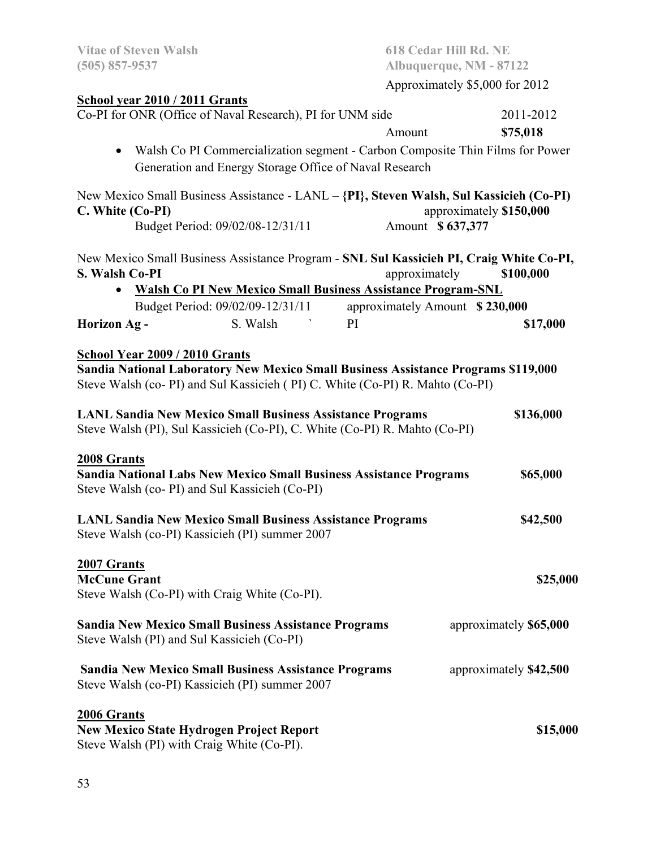| <b>Vitae of Steven Walsh</b><br>$(505)$ 857-9537 |                                                                                                                                                                    |                                | 618 Cedar Hill Rd. NE<br>Albuquerque, NM - 87122 |
|--------------------------------------------------|--------------------------------------------------------------------------------------------------------------------------------------------------------------------|--------------------------------|--------------------------------------------------|
|                                                  |                                                                                                                                                                    |                                | Approximately \$5,000 for 2012                   |
| School year 2010 / 2011 Grants                   |                                                                                                                                                                    |                                |                                                  |
|                                                  | Co-PI for ONR (Office of Naval Research), PI for UNM side                                                                                                          |                                | 2011-2012                                        |
|                                                  |                                                                                                                                                                    | Amount                         | \$75,018                                         |
| $\bullet$                                        | Walsh Co PI Commercialization segment - Carbon Composite Thin Films for Power                                                                                      |                                |                                                  |
|                                                  | Generation and Energy Storage Office of Naval Research                                                                                                             |                                |                                                  |
|                                                  | New Mexico Small Business Assistance - LANL - {PI}, Steven Walsh, Sul Kassicieh (Co-PI)                                                                            |                                |                                                  |
| C. White (Co-PI)                                 |                                                                                                                                                                    |                                | approximately \$150,000                          |
|                                                  | Budget Period: 09/02/08-12/31/11                                                                                                                                   | Amount \$637,377               |                                                  |
|                                                  | New Mexico Small Business Assistance Program - SNL Sul Kassicieh PI, Craig White Co-PI,                                                                            |                                |                                                  |
| <b>S. Walsh Co-PI</b>                            |                                                                                                                                                                    | approximately                  | \$100,000                                        |
|                                                  | <b>Walsh Co PI New Mexico Small Business Assistance Program-SNL</b>                                                                                                |                                |                                                  |
|                                                  | Budget Period: 09/02/09-12/31/11                                                                                                                                   | approximately Amount \$230,000 |                                                  |
| <b>Horizon Ag -</b>                              | S. Walsh                                                                                                                                                           | PI                             | \$17,000                                         |
|                                                  |                                                                                                                                                                    |                                |                                                  |
| <b>School Year 2009 / 2010 Grants</b>            |                                                                                                                                                                    |                                |                                                  |
|                                                  | Sandia National Laboratory New Mexico Small Business Assistance Programs \$119,000<br>Steve Walsh (co-PI) and Sul Kassicieh (PI) C. White (Co-PI) R. Mahto (Co-PI) |                                |                                                  |
|                                                  |                                                                                                                                                                    |                                |                                                  |
|                                                  | <b>LANL Sandia New Mexico Small Business Assistance Programs</b>                                                                                                   |                                | \$136,000                                        |
|                                                  | Steve Walsh (PI), Sul Kassicieh (Co-PI), C. White (Co-PI) R. Mahto (Co-PI)                                                                                         |                                |                                                  |
|                                                  |                                                                                                                                                                    |                                |                                                  |
| 2008 Grants                                      | Sandia National Labs New Mexico Small Business Assistance Programs                                                                                                 |                                | \$65,000                                         |
|                                                  | Steve Walsh (co- PI) and Sul Kassicieh (Co-PI)                                                                                                                     |                                |                                                  |
|                                                  |                                                                                                                                                                    |                                |                                                  |
|                                                  | <b>LANL Sandia New Mexico Small Business Assistance Programs</b>                                                                                                   |                                | \$42,500                                         |
|                                                  | Steve Walsh (co-PI) Kassicieh (PI) summer 2007                                                                                                                     |                                |                                                  |
| 2007 Grants                                      |                                                                                                                                                                    |                                |                                                  |
| <b>McCune Grant</b>                              |                                                                                                                                                                    |                                | \$25,000                                         |
|                                                  | Steve Walsh (Co-PI) with Craig White (Co-PI).                                                                                                                      |                                |                                                  |
|                                                  | <b>Sandia New Mexico Small Business Assistance Programs</b>                                                                                                        |                                | approximately \$65,000                           |
| Steve Walsh (PI) and Sul Kassicieh (Co-PI)       |                                                                                                                                                                    |                                |                                                  |
|                                                  |                                                                                                                                                                    |                                |                                                  |
|                                                  | <b>Sandia New Mexico Small Business Assistance Programs</b><br>Steve Walsh (co-PI) Kassicieh (PI) summer 2007                                                      |                                | approximately \$42,500                           |
|                                                  |                                                                                                                                                                    |                                |                                                  |
| 2006 Grants                                      |                                                                                                                                                                    |                                |                                                  |
|                                                  | <b>New Mexico State Hydrogen Project Report</b>                                                                                                                    |                                | \$15,000                                         |
| Steve Walsh (PI) with Craig White (Co-PI).       |                                                                                                                                                                    |                                |                                                  |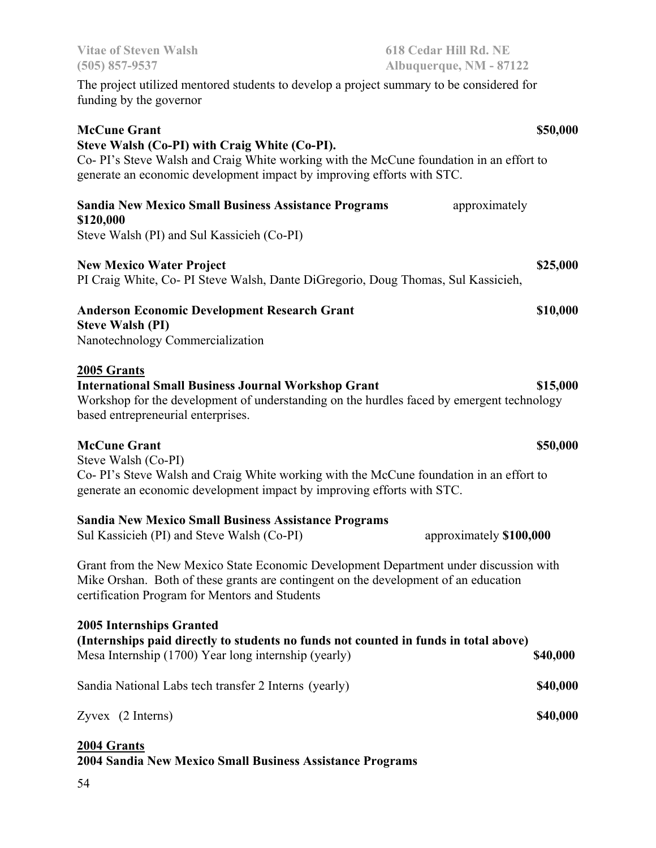| $(505)$ 857-9537                                                                                                                                                                                                                          | Albuquerque, NM - 87122 |
|-------------------------------------------------------------------------------------------------------------------------------------------------------------------------------------------------------------------------------------------|-------------------------|
| The project utilized mentored students to develop a project summary to be considered for<br>funding by the governor                                                                                                                       |                         |
| <b>McCune Grant</b><br>Steve Walsh (Co-PI) with Craig White (Co-PI).<br>Co- PI's Steve Walsh and Craig White working with the McCune foundation in an effort to<br>generate an economic development impact by improving efforts with STC. | \$50,000                |
| <b>Sandia New Mexico Small Business Assistance Programs</b><br>\$120,000<br>Steve Walsh (PI) and Sul Kassicieh (Co-PI)                                                                                                                    | approximately           |
| <b>New Mexico Water Project</b><br>PI Craig White, Co- PI Steve Walsh, Dante DiGregorio, Doug Thomas, Sul Kassicieh,                                                                                                                      | \$25,000                |
| <b>Anderson Economic Development Research Grant</b><br><b>Steve Walsh (PI)</b><br>Nanotechnology Commercialization                                                                                                                        | \$10,000                |
| 2005 Grants<br><b>International Small Business Journal Workshop Grant</b><br>Workshop for the development of understanding on the hurdles faced by emergent technology<br>based entrepreneurial enterprises.                              | \$15,000                |
| <b>McCune Grant</b><br>Steve Walsh (Co-PI)<br>Co-PI's Steve Walsh and Craig White working with the McCune foundation in an effort to                                                                                                      | \$50,000                |
| generate an economic development impact by improving efforts with STC.                                                                                                                                                                    |                         |
| <b>Sandia New Mexico Small Business Assistance Programs</b><br>Sul Kassicieh (PI) and Steve Walsh (Co-PI)                                                                                                                                 | approximately \$100,000 |
| Grant from the New Mexico State Economic Development Department under discussion with<br>Mike Orshan. Both of these grants are contingent on the development of an education<br>certification Program for Mentors and Students            |                         |
| <b>2005 Internships Granted</b><br>(Internships paid directly to students no funds not counted in funds in total above)<br>Mesa Internship (1700) Year long internship (yearly)                                                           | \$40,000                |
| Sandia National Labs tech transfer 2 Interns (yearly)                                                                                                                                                                                     | \$40,000                |
| Zyvex (2 Interns)                                                                                                                                                                                                                         | \$40,000                |
| 2004 Grants<br>2004 Sandia New Mexico Small Business Assistance Programs                                                                                                                                                                  |                         |

**Vitae of Steven Walsh 618 Cedar Hill Rd. NE**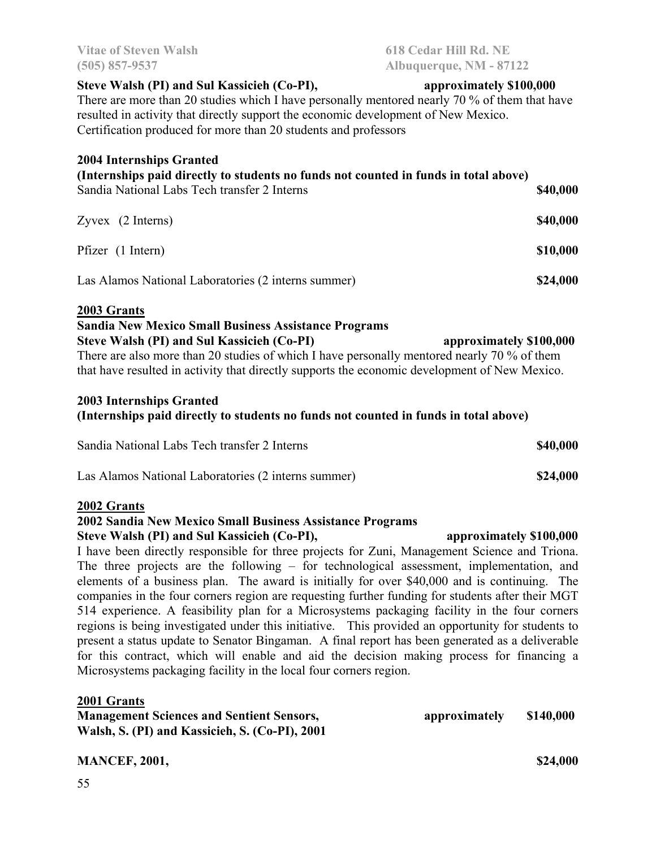### **Steve Walsh (PI) and Sul Kassicieh (Co-PI), approximately \$100,000**

There are more than 20 studies which I have personally mentored nearly 70 % of them that have resulted in activity that directly support the economic development of New Mexico. Certification produced for more than 20 students and professors

#### **2004 Internships Granted**

| (Internships paid directly to students no funds not counted in funds in total above) |          |
|--------------------------------------------------------------------------------------|----------|
| Sandia National Labs Tech transfer 2 Interns                                         | \$40,000 |
| $Zyvex$ (2 Interns)                                                                  | \$40,000 |
| Pfizer (1 Intern)                                                                    | \$10,000 |

Las Alamos National Laboratories (2 interns summer) **\$24,000**

#### **2003 Grants**

#### **Sandia New Mexico Small Business Assistance Programs**

#### **Steve Walsh (PI) and Sul Kassicieh (Co-PI)** approximately \$100,000

There are also more than 20 studies of which I have personally mentored nearly 70 % of them that have resulted in activity that directly supports the economic development of New Mexico.

#### **2003 Internships Granted**

### **(Internships paid directly to students no funds not counted in funds in total above)**

| Sandia National Labs Tech transfer 2 Interns        | \$40,000 |
|-----------------------------------------------------|----------|
| Las Alamos National Laboratories (2 interns summer) | \$24,000 |

#### **2002 Grants**

#### **2002 Sandia New Mexico Small Business Assistance Programs**

#### **Steve Walsh (PI) and Sul Kassicieh (Co-PI), approximately \$100,000**

I have been directly responsible for three projects for Zuni, Management Science and Triona. The three projects are the following – for technological assessment, implementation, and elements of a business plan. The award is initially for over \$40,000 and is continuing. The companies in the four corners region are requesting further funding for students after their MGT 514 experience. A feasibility plan for a Microsystems packaging facility in the four corners regions is being investigated under this initiative. This provided an opportunity for students to present a status update to Senator Bingaman. A final report has been generated as a deliverable for this contract, which will enable and aid the decision making process for financing a Microsystems packaging facility in the local four corners region.

#### **2001 Grants**

| <b>Management Sciences and Sentient Sensors,</b> | approximately | \$140,000 |
|--------------------------------------------------|---------------|-----------|
| Walsh, S. (PI) and Kassicieh, S. (Co-PI), 2001   |               |           |

#### **MANCEF, 2001,** \$24,000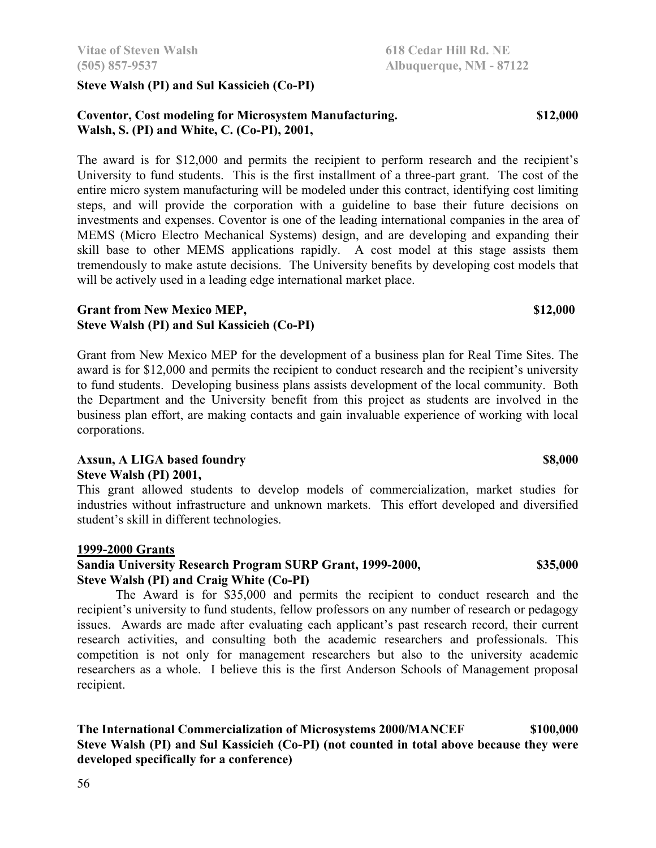**Steve Walsh (PI) 2001,** 

student's skill in different technologies.

 The Award is for \$35,000 and permits the recipient to conduct research and the recipient's university to fund students, fellow professors on any number of research or pedagogy issues. Awards are made after evaluating each applicant's past research record, their current research activities, and consulting both the academic researchers and professionals. This competition is not only for management researchers but also to the university academic researchers as a whole. I believe this is the first Anderson Schools of Management proposal recipient.

# **Grant from New Mexico MEP,** \$12,000

Grant from New Mexico MEP for the development of a business plan for Real Time Sites. The award is for \$12,000 and permits the recipient to conduct research and the recipient's university to fund students. Developing business plans assists development of the local community. Both the Department and the University benefit from this project as students are involved in the business plan effort, are making contacts and gain invaluable experience of working with local corporations.

# **Steve Walsh (PI) and Sul Kassicieh (Co-PI)**

**1999-2000 Grants Sandia University Research Program SURP Grant, 1999-2000, \$35,000 Steve Walsh (PI) and Craig White (Co-PI)** 

**The International Commercialization of Microsystems 2000/MANCEF \$100,000 Steve Walsh (PI) and Sul Kassicieh (Co-PI) (not counted in total above because they were developed specifically for a conference)** 

### **Steve Walsh (PI) and Sul Kassicieh (Co-PI)**

#### **Coventor, Cost modeling for Microsystem Manufacturing. \$12,000 Walsh, S. (PI) and White, C. (Co-PI), 2001,**

The award is for \$12,000 and permits the recipient to perform research and the recipient's University to fund students. This is the first installment of a three-part grant. The cost of the entire micro system manufacturing will be modeled under this contract, identifying cost limiting steps, and will provide the corporation with a guideline to base their future decisions on investments and expenses. Coventor is one of the leading international companies in the area of MEMS (Micro Electro Mechanical Systems) design, and are developing and expanding their skill base to other MEMS applications rapidly. A cost model at this stage assists them tremendously to make astute decisions. The University benefits by developing cost models that will be actively used in a leading edge international market place.

**Vitae of Steven Walsh 618 Cedar Hill Rd. NE** 

**(505) 857-9537 Albuquerque, NM - 87122** 

**Axsun, A LIGA based foundry \$8,000 \$8,000**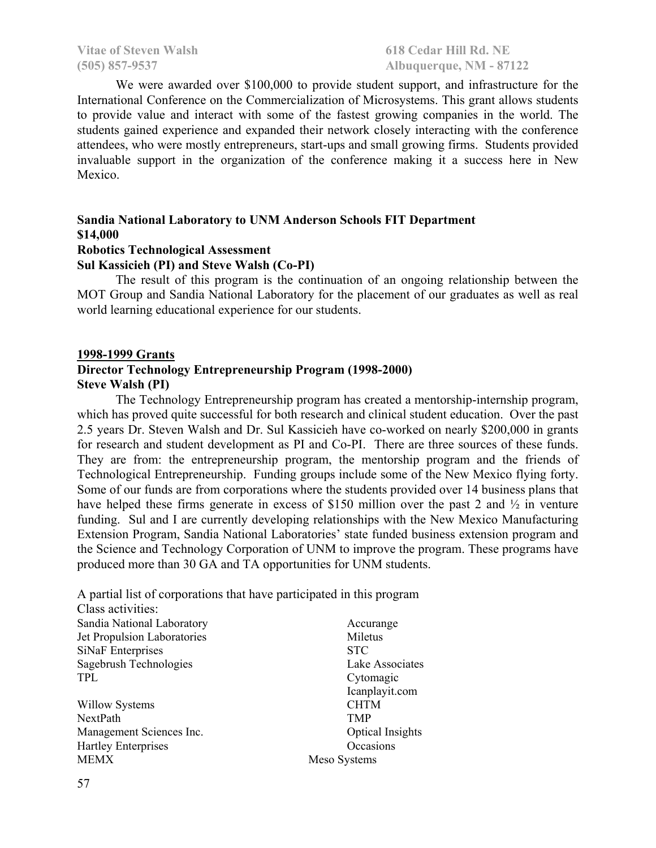We were awarded over \$100,000 to provide student support, and infrastructure for the International Conference on the Commercialization of Microsystems. This grant allows students to provide value and interact with some of the fastest growing companies in the world. The students gained experience and expanded their network closely interacting with the conference attendees, who were mostly entrepreneurs, start-ups and small growing firms. Students provided invaluable support in the organization of the conference making it a success here in New Mexico.

# **Sandia National Laboratory to UNM Anderson Schools FIT Department \$14,000**

### **Robotics Technological Assessment**

#### **Sul Kassicieh (PI) and Steve Walsh (Co-PI)**

The result of this program is the continuation of an ongoing relationship between the MOT Group and Sandia National Laboratory for the placement of our graduates as well as real world learning educational experience for our students.

#### **1998-1999 Grants**

#### **Director Technology Entrepreneurship Program (1998-2000) Steve Walsh (PI)**

The Technology Entrepreneurship program has created a mentorship-internship program, which has proved quite successful for both research and clinical student education. Over the past 2.5 years Dr. Steven Walsh and Dr. Sul Kassicieh have co-worked on nearly \$200,000 in grants for research and student development as PI and Co-PI. There are three sources of these funds. They are from: the entrepreneurship program, the mentorship program and the friends of Technological Entrepreneurship. Funding groups include some of the New Mexico flying forty. Some of our funds are from corporations where the students provided over 14 business plans that have helped these firms generate in excess of \$150 million over the past 2 and  $\frac{1}{2}$  in venture funding. Sul and I are currently developing relationships with the New Mexico Manufacturing Extension Program, Sandia National Laboratories' state funded business extension program and the Science and Technology Corporation of UNM to improve the program. These programs have produced more than 30 GA and TA opportunities for UNM students.

A partial list of corporations that have participated in this program

Class activities: Sandia National Laboratory **Accurange** Accurange Jet Propulsion Laboratories Miletus SiNaF Enterprises STC Sagebrush Technologies Lake Associates TPL Cytomagic

Willow Systems CHTM NextPath TMP Management Sciences Inc. 6. Optical Insights Hartley Enterprises Occasions MEMX Meso Systems

Icanplayit.com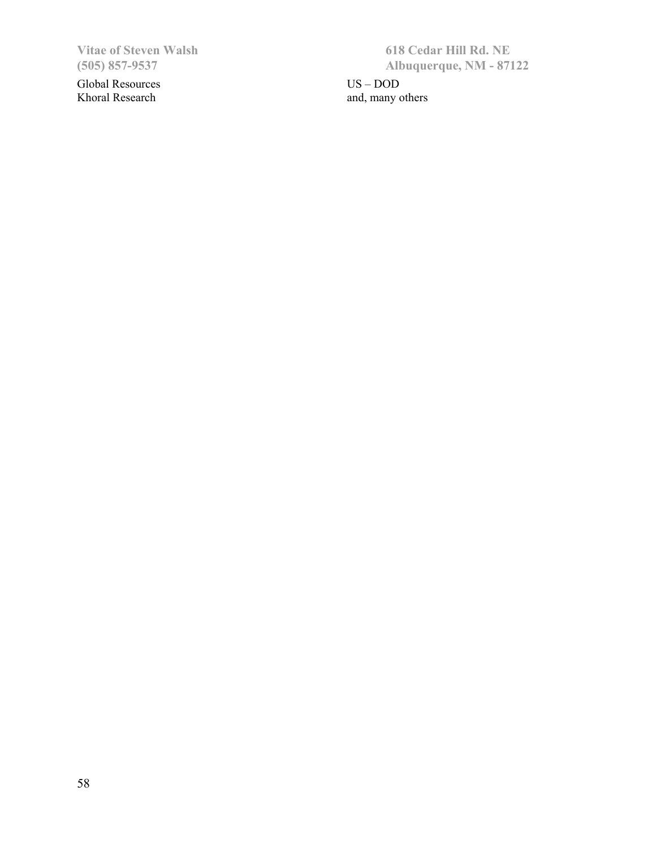Global Resources US – DOD Khoral Research and, many others and, many others

Vitae of Steven Walsh 618 Cedar Hill Rd. NE<br>
(505) 857-9537 Albuquerque, NM - 871 **(505) 857-9537 Albuquerque, NM - 87122**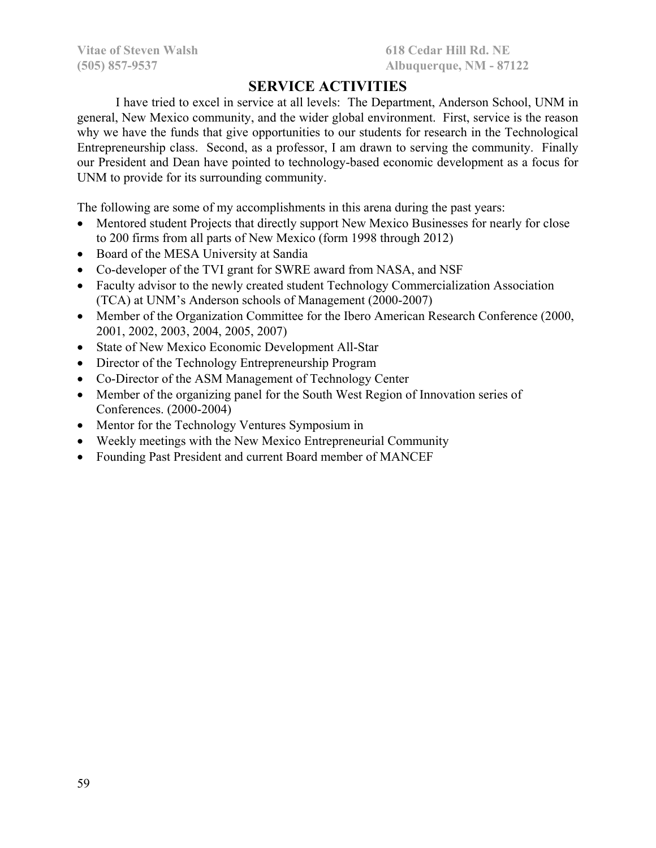# **SERVICE ACTIVITIES**

I have tried to excel in service at all levels: The Department, Anderson School, UNM in general, New Mexico community, and the wider global environment. First, service is the reason why we have the funds that give opportunities to our students for research in the Technological Entrepreneurship class. Second, as a professor, I am drawn to serving the community. Finally our President and Dean have pointed to technology-based economic development as a focus for UNM to provide for its surrounding community.

The following are some of my accomplishments in this arena during the past years:

- Mentored student Projects that directly support New Mexico Businesses for nearly for close to 200 firms from all parts of New Mexico (form 1998 through 2012)
- Board of the MESA University at Sandia
- Co-developer of the TVI grant for SWRE award from NASA, and NSF
- Faculty advisor to the newly created student Technology Commercialization Association (TCA) at UNM's Anderson schools of Management (2000-2007)
- Member of the Organization Committee for the Ibero American Research Conference (2000, 2001, 2002, 2003, 2004, 2005, 2007)
- State of New Mexico Economic Development All-Star
- Director of the Technology Entrepreneurship Program
- Co-Director of the ASM Management of Technology Center
- Member of the organizing panel for the South West Region of Innovation series of Conferences. (2000-2004)
- Mentor for the Technology Ventures Symposium in
- Weekly meetings with the New Mexico Entrepreneurial Community
- Founding Past President and current Board member of MANCEF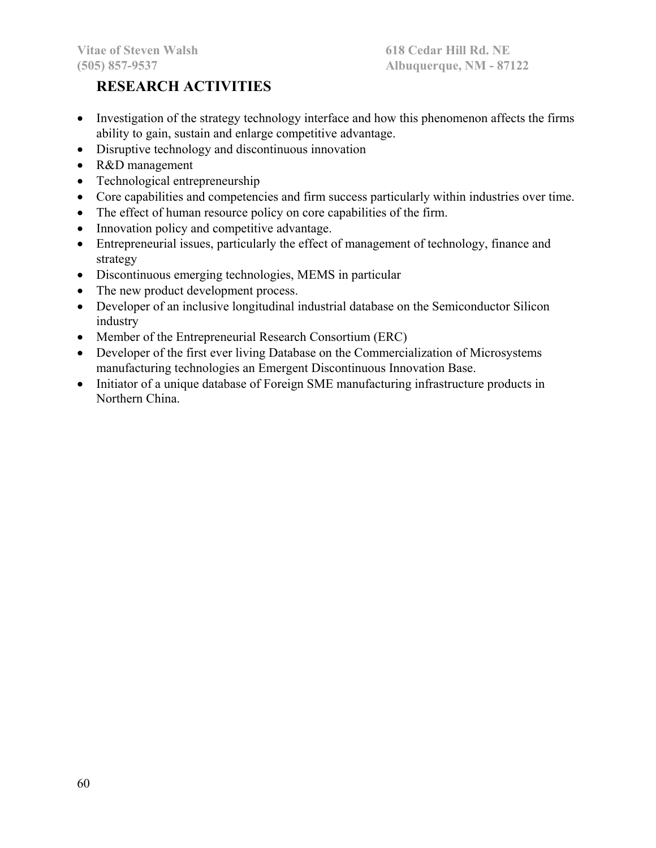# **RESEARCH ACTIVITIES**

- Investigation of the strategy technology interface and how this phenomenon affects the firms ability to gain, sustain and enlarge competitive advantage.
- Disruptive technology and discontinuous innovation
- R&D management
- Technological entrepreneurship
- Core capabilities and competencies and firm success particularly within industries over time.
- The effect of human resource policy on core capabilities of the firm.
- Innovation policy and competitive advantage.
- Entrepreneurial issues, particularly the effect of management of technology, finance and strategy
- Discontinuous emerging technologies, MEMS in particular
- The new product development process.
- Developer of an inclusive longitudinal industrial database on the Semiconductor Silicon industry
- Member of the Entrepreneurial Research Consortium (ERC)
- Developer of the first ever living Database on the Commercialization of Microsystems manufacturing technologies an Emergent Discontinuous Innovation Base.
- Initiator of a unique database of Foreign SME manufacturing infrastructure products in Northern China.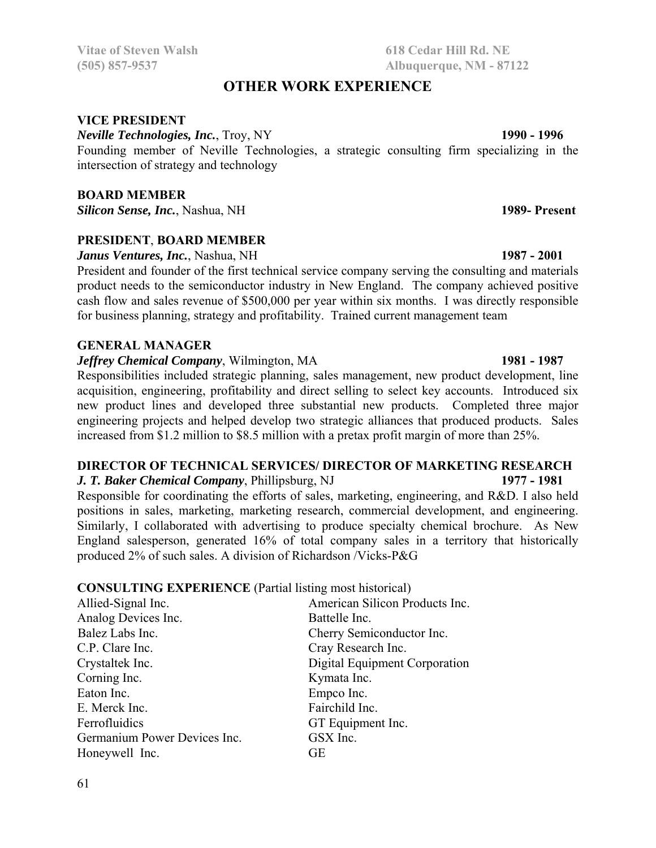### **OTHER WORK EXPERIENCE**

#### **VICE PRESIDENT**

*Neville Technologies, Inc., Troy, NY* 1990 - 1996

Founding member of Neville Technologies, a strategic consulting firm specializing in the intersection of strategy and technology

#### **BOARD MEMBER**

*Silicon Sense, Inc.*, Nashua, NH **1989- Present**

#### **PRESIDENT**, **BOARD MEMBER**

*Janus Ventures, Inc.*, Nashua, NH **1987 - 2001**

President and founder of the first technical service company serving the consulting and materials product needs to the semiconductor industry in New England. The company achieved positive cash flow and sales revenue of \$500,000 per year within six months. I was directly responsible for business planning, strategy and profitability. Trained current management team

#### **GENERAL MANAGER**

#### *<i>Jeffrey Chemical Company*, Wilmington, MA **1981** - 1987

Responsibilities included strategic planning, sales management, new product development, line acquisition, engineering, profitability and direct selling to select key accounts. Introduced six new product lines and developed three substantial new products. Completed three major engineering projects and helped develop two strategic alliances that produced products. Sales increased from \$1.2 million to \$8.5 million with a pretax profit margin of more than 25%.

#### **DIRECTOR OF TECHNICAL SERVICES/ DIRECTOR OF MARKETING RESEARCH**  *J. T. Baker Chemical Company*, Phillipsburg, NJ **1977 - 1981**

Responsible for coordinating the efforts of sales, marketing, engineering, and R&D. I also held positions in sales, marketing, marketing research, commercial development, and engineering. Similarly, I collaborated with advertising to produce specialty chemical brochure. As New England salesperson, generated 16% of total company sales in a territory that historically produced 2% of such sales. A division of Richardson /Vicks-P&G

#### **CONSULTING EXPERIENCE** (Partial listing most historical)

| Allied-Signal Inc.           | American Silicon Products Inc. |
|------------------------------|--------------------------------|
| Analog Devices Inc.          | Battelle Inc.                  |
| Balez Labs Inc.              | Cherry Semiconductor Inc.      |
| C.P. Clare Inc.              | Cray Research Inc.             |
| Crystaltek Inc.              | Digital Equipment Corporation  |
| Corning Inc.                 | Kymata Inc.                    |
| Eaton Inc.                   | Empco Inc.                     |
| E. Merck Inc.                | Fairchild Inc.                 |
| Ferrofluidics                | GT Equipment Inc.              |
| Germanium Power Devices Inc. | GSX Inc.                       |
| Honeywell Inc.               | GЕ                             |

#### 61